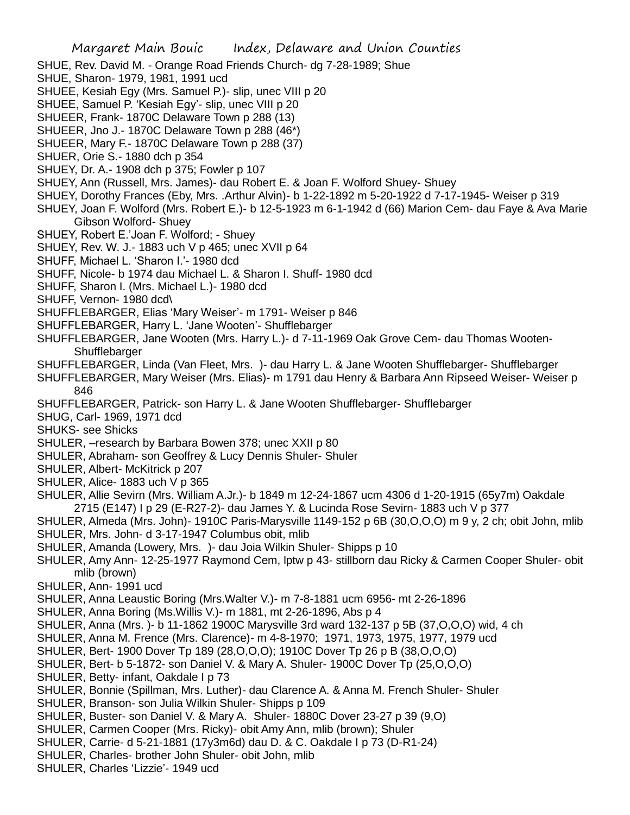- SHUE, Rev. David M. Orange Road Friends Church- dg 7-28-1989; Shue
- SHUE, Sharon- 1979, 1981, 1991 ucd
- SHUEE, Kesiah Egy (Mrs. Samuel P.)- slip, unec VIII p 20
- SHUEE, Samuel P. 'Kesiah Egy'- slip, unec VIII p 20
- SHUEER, Frank- 1870C Delaware Town p 288 (13)
- SHUEER, Jno J.- 1870C Delaware Town p 288 (46\*)
- SHUEER, Mary F.- 1870C Delaware Town p 288 (37)
- SHUER, Orie S.- 1880 dch p 354
- SHUEY, Dr. A.- 1908 dch p 375; Fowler p 107
- SHUEY, Ann (Russell, Mrs. James)- dau Robert E. & Joan F. Wolford Shuey- Shuey
- SHUEY, Dorothy Frances (Eby, Mrs. .Arthur Alvin)- b 1-22-1892 m 5-20-1922 d 7-17-1945- Weiser p 319
- SHUEY, Joan F. Wolford (Mrs. Robert E.)- b 12-5-1923 m 6-1-1942 d (66) Marion Cem- dau Faye & Ava Marie Gibson Wolford- Shuey
- SHUEY, Robert E.'Joan F. Wolford; Shuey
- SHUEY, Rev. W. J.- 1883 uch V p 465; unec XVII p 64
- SHUFF, Michael L. 'Sharon I.'- 1980 dcd
- SHUFF, Nicole- b 1974 dau Michael L. & Sharon I. Shuff- 1980 dcd
- SHUFF, Sharon I. (Mrs. Michael L.)- 1980 dcd
- SHUFF, Vernon- 1980 dcd\
- SHUFFLEBARGER, Elias 'Mary Weiser'- m 1791- Weiser p 846
- SHUFFLEBARGER, Harry L. 'Jane Wooten'- Shufflebarger
- SHUFFLEBARGER, Jane Wooten (Mrs. Harry L.)- d 7-11-1969 Oak Grove Cem- dau Thomas Wooten-**Shufflebarger**
- SHUFFLEBARGER, Linda (Van Fleet, Mrs. )- dau Harry L. & Jane Wooten Shufflebarger- Shufflebarger
- SHUFFLEBARGER, Mary Weiser (Mrs. Elias)- m 1791 dau Henry & Barbara Ann Ripseed Weiser- Weiser p 846
- SHUFFLEBARGER, Patrick- son Harry L. & Jane Wooten Shufflebarger- Shufflebarger
- SHUG, Carl- 1969, 1971 dcd
- SHUKS- see Shicks
- SHULER, –research by Barbara Bowen 378; unec XXII p 80
- SHULER, Abraham- son Geoffrey & Lucy Dennis Shuler- Shuler
- SHULER, Albert- McKitrick p 207
- SHULER, Alice- 1883 uch V p 365
- SHULER, Allie Sevirn (Mrs. William A.Jr.)- b 1849 m 12-24-1867 ucm 4306 d 1-20-1915 (65y7m) Oakdale 2715 (E147) I p 29 (E-R27-2)- dau James Y. & Lucinda Rose Sevirn- 1883 uch V p 377
- SHULER, Almeda (Mrs. John)- 1910C Paris-Marysville 1149-152 p 6B (30,O,O,O) m 9 y, 2 ch; obit John, mlib SHULER, Mrs. John- d 3-17-1947 Columbus obit, mlib
- SHULER, Amanda (Lowery, Mrs. )- dau Joia Wilkin Shuler- Shipps p 10
- SHULER, Amy Ann- 12-25-1977 Raymond Cem, lptw p 43- stillborn dau Ricky & Carmen Cooper Shuler- obit mlib (brown)
- SHULER, Ann- 1991 ucd
- SHULER, Anna Leaustic Boring (Mrs.Walter V.)- m 7-8-1881 ucm 6956- mt 2-26-1896
- SHULER, Anna Boring (Ms.Willis V.)- m 1881, mt 2-26-1896, Abs p 4
- SHULER, Anna (Mrs. )- b 11-1862 1900C Marysville 3rd ward 132-137 p 5B (37,O,O,O) wid, 4 ch
- SHULER, Anna M. Frence (Mrs. Clarence)- m 4-8-1970; 1971, 1973, 1975, 1977, 1979 ucd
- SHULER, Bert- 1900 Dover Tp 189 (28,O,O,O); 1910C Dover Tp 26 p B (38,O,O,O)
- SHULER, Bert- b 5-1872- son Daniel V. & Mary A. Shuler- 1900C Dover Tp (25,O,O,O)
- SHULER, Betty- infant, Oakdale I p 73
- SHULER, Bonnie (Spillman, Mrs. Luther)- dau Clarence A. & Anna M. French Shuler- Shuler
- SHULER, Branson- son Julia Wilkin Shuler- Shipps p 109
- SHULER, Buster- son Daniel V. & Mary A. Shuler- 1880C Dover 23-27 p 39 (9,O)
- SHULER, Carmen Cooper (Mrs. Ricky)- obit Amy Ann, mlib (brown); Shuler
- SHULER, Carrie- d 5-21-1881 (17y3m6d) dau D. & C. Oakdale I p 73 (D-R1-24)
- SHULER, Charles- brother John Shuler- obit John, mlib
- SHULER, Charles 'Lizzie'- 1949 ucd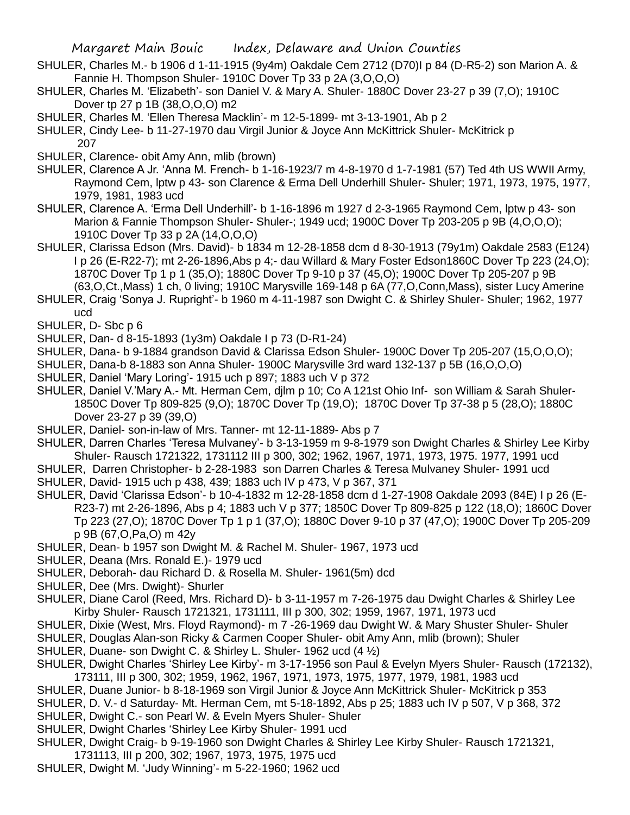- SHULER, Charles M.- b 1906 d 1-11-1915 (9y4m) Oakdale Cem 2712 (D70)I p 84 (D-R5-2) son Marion A. & Fannie H. Thompson Shuler- 1910C Dover Tp 33 p 2A (3,O,O,O)
- SHULER, Charles M. 'Elizabeth'- son Daniel V. & Mary A. Shuler- 1880C Dover 23-27 p 39 (7,O); 1910C Dover tp 27 p 1B (38,O,O,O) m2

SHULER, Charles M. 'Ellen Theresa Macklin'- m 12-5-1899- mt 3-13-1901, Ab p 2

SHULER, Cindy Lee- b 11-27-1970 dau Virgil Junior & Joyce Ann McKittrick Shuler- McKitrick p 207

SHULER, Clarence- obit Amy Ann, mlib (brown)

- SHULER, Clarence A Jr. 'Anna M. French- b 1-16-1923/7 m 4-8-1970 d 1-7-1981 (57) Ted 4th US WWII Army, Raymond Cem, lptw p 43- son Clarence & Erma Dell Underhill Shuler- Shuler; 1971, 1973, 1975, 1977, 1979, 1981, 1983 ucd
- SHULER, Clarence A. 'Erma Dell Underhill'- b 1-16-1896 m 1927 d 2-3-1965 Raymond Cem, lptw p 43- son Marion & Fannie Thompson Shuler- Shuler-; 1949 ucd; 1900C Dover Tp 203-205 p 9B (4,O,O,O); 1910C Dover Tp 33 p 2A (14,O,O,O)
- SHULER, Clarissa Edson (Mrs. David)- b 1834 m 12-28-1858 dcm d 8-30-1913 (79y1m) Oakdale 2583 (E124) I p 26 (E-R22-7); mt 2-26-1896,Abs p 4;- dau Willard & Mary Foster Edson1860C Dover Tp 223 (24,O); 1870C Dover Tp 1 p 1 (35,O); 1880C Dover Tp 9-10 p 37 (45,O); 1900C Dover Tp 205-207 p 9B (63,O,Ct.,Mass) 1 ch, 0 living; 1910C Marysville 169-148 p 6A (77,O,Conn,Mass), sister Lucy Amerine
- SHULER, Craig 'Sonya J. Rupright'- b 1960 m 4-11-1987 son Dwight C. & Shirley Shuler- Shuler; 1962, 1977 ucd
- SHULER, D- Sbc p 6
- SHULER, Dan- d 8-15-1893 (1y3m) Oakdale I p 73 (D-R1-24)
- SHULER, Dana- b 9-1884 grandson David & Clarissa Edson Shuler- 1900C Dover Tp 205-207 (15,O,O,O);
- SHULER, Dana-b 8-1883 son Anna Shuler- 1900C Marysville 3rd ward 132-137 p 5B (16,O,O,O)
- SHULER, Daniel 'Mary Loring'- 1915 uch p 897; 1883 uch V p 372
- SHULER, Daniel V.'Mary A.- Mt. Herman Cem, djlm p 10; Co A 121st Ohio Inf- son William & Sarah Shuler-1850C Dover Tp 809-825 (9,O); 1870C Dover Tp (19,O); 1870C Dover Tp 37-38 p 5 (28,O); 1880C Dover 23-27 p 39 (39,O)
- SHULER, Daniel- son-in-law of Mrs. Tanner- mt 12-11-1889- Abs p 7
- SHULER, Darren Charles 'Teresa Mulvaney'- b 3-13-1959 m 9-8-1979 son Dwight Charles & Shirley Lee Kirby Shuler- Rausch 1721322, 1731112 III p 300, 302; 1962, 1967, 1971, 1973, 1975. 1977, 1991 ucd
- SHULER, Darren Christopher- b 2-28-1983 son Darren Charles & Teresa Mulvaney Shuler- 1991 ucd SHULER, David- 1915 uch p 438, 439; 1883 uch IV p 473, V p 367, 371
- SHULER, David 'Clarissa Edson'- b 10-4-1832 m 12-28-1858 dcm d 1-27-1908 Oakdale 2093 (84E) I p 26 (E-R23-7) mt 2-26-1896, Abs p 4; 1883 uch V p 377; 1850C Dover Tp 809-825 p 122 (18,O); 1860C Dover Tp 223 (27,O); 1870C Dover Tp 1 p 1 (37,O); 1880C Dover 9-10 p 37 (47,O); 1900C Dover Tp 205-209 p 9B (67,O,Pa,O) m 42y
- SHULER, Dean- b 1957 son Dwight M. & Rachel M. Shuler- 1967, 1973 ucd
- SHULER, Deana (Mrs. Ronald E.)- 1979 ucd
- SHULER, Deborah- dau Richard D. & Rosella M. Shuler- 1961(5m) dcd
- SHULER, Dee (Mrs. Dwight)- Shurler
- SHULER, Diane Carol (Reed, Mrs. Richard D)- b 3-11-1957 m 7-26-1975 dau Dwight Charles & Shirley Lee Kirby Shuler- Rausch 1721321, 1731111, III p 300, 302; 1959, 1967, 1971, 1973 ucd
- SHULER, Dixie (West, Mrs. Floyd Raymond)- m 7 -26-1969 dau Dwight W. & Mary Shuster Shuler- Shuler
- SHULER, Douglas Alan-son Ricky & Carmen Cooper Shuler- obit Amy Ann, mlib (brown); Shuler
- SHULER, Duane- son Dwight C. & Shirley L. Shuler- 1962 ucd (4 ½)
- SHULER, Dwight Charles 'Shirley Lee Kirby'- m 3-17-1956 son Paul & Evelyn Myers Shuler- Rausch (172132), 173111, III p 300, 302; 1959, 1962, 1967, 1971, 1973, 1975, 1977, 1979, 1981, 1983 ucd
- SHULER, Duane Junior- b 8-18-1969 son Virgil Junior & Joyce Ann McKittrick Shuler- McKitrick p 353
- SHULER, D. V.- d Saturday- Mt. Herman Cem, mt 5-18-1892, Abs p 25; 1883 uch IV p 507, V p 368, 372 SHULER, Dwight C.- son Pearl W. & Eveln Myers Shuler- Shuler
- SHULER, Dwight Charles 'Shirley Lee Kirby Shuler- 1991 ucd
- SHULER, Dwight Craig- b 9-19-1960 son Dwight Charles & Shirley Lee Kirby Shuler- Rausch 1721321,
- 1731113, III p 200, 302; 1967, 1973, 1975, 1975 ucd
- SHULER, Dwight M. 'Judy Winning'- m 5-22-1960; 1962 ucd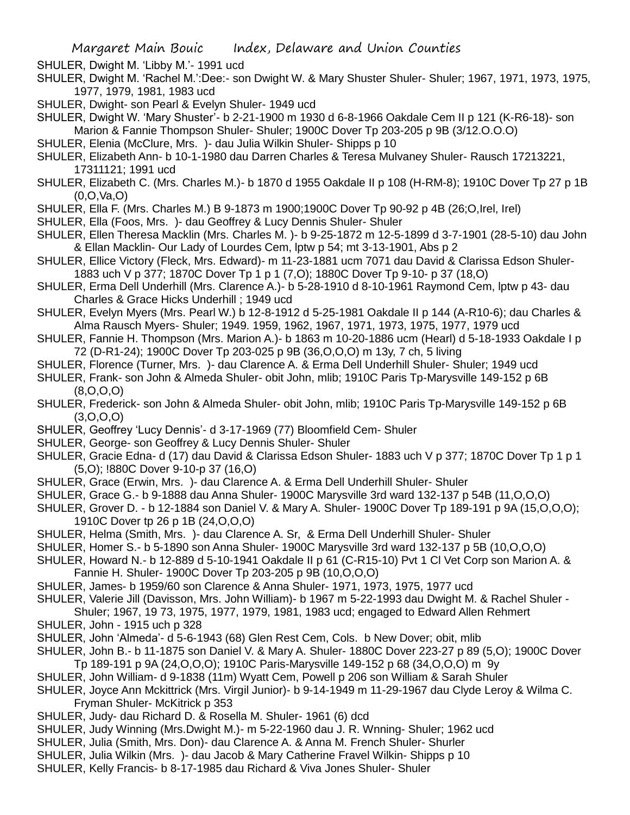SHULER, Dwight M. 'Libby M.'- 1991 ucd

SHULER, Dwight M. 'Rachel M.':Dee:- son Dwight W. & Mary Shuster Shuler- Shuler; 1967, 1971, 1973, 1975, 1977, 1979, 1981, 1983 ucd

SHULER, Dwight- son Pearl & Evelyn Shuler- 1949 ucd

SHULER, Dwight W. 'Mary Shuster'- b 2-21-1900 m 1930 d 6-8-1966 Oakdale Cem II p 121 (K-R6-18)- son Marion & Fannie Thompson Shuler- Shuler; 1900C Dover Tp 203-205 p 9B (3/12.O.O.O)

- SHULER, Elenia (McClure, Mrs. )- dau Julia Wilkin Shuler- Shipps p 10
- SHULER, Elizabeth Ann- b 10-1-1980 dau Darren Charles & Teresa Mulvaney Shuler- Rausch 17213221, 17311121; 1991 ucd
- SHULER, Elizabeth C. (Mrs. Charles M.)- b 1870 d 1955 Oakdale II p 108 (H-RM-8); 1910C Dover Tp 27 p 1B (0,O,Va,O)
- SHULER, Ella F. (Mrs. Charles M.) B 9-1873 m 1900;1900C Dover Tp 90-92 p 4B (26;O,Irel, Irel)
- SHULER, Ella (Foos, Mrs. )- dau Geoffrey & Lucy Dennis Shuler- Shuler
- SHULER, Ellen Theresa Macklin (Mrs. Charles M. )- b 9-25-1872 m 12-5-1899 d 3-7-1901 (28-5-10) dau John & Ellan Macklin- Our Lady of Lourdes Cem, lptw p 54; mt 3-13-1901, Abs p 2
- SHULER, Ellice Victory (Fleck, Mrs. Edward)- m 11-23-1881 ucm 7071 dau David & Clarissa Edson Shuler-1883 uch V p 377; 1870C Dover Tp 1 p 1 (7,O); 1880C Dover Tp 9-10- p 37 (18,O)
- SHULER, Erma Dell Underhill (Mrs. Clarence A.)- b 5-28-1910 d 8-10-1961 Raymond Cem, lptw p 43- dau Charles & Grace Hicks Underhill ; 1949 ucd
- SHULER, Evelyn Myers (Mrs. Pearl W.) b 12-8-1912 d 5-25-1981 Oakdale II p 144 (A-R10-6); dau Charles & Alma Rausch Myers- Shuler; 1949. 1959, 1962, 1967, 1971, 1973, 1975, 1977, 1979 ucd
- SHULER, Fannie H. Thompson (Mrs. Marion A.)- b 1863 m 10-20-1886 ucm (Hearl) d 5-18-1933 Oakdale I p 72 (D-R1-24); 1900C Dover Tp 203-025 p 9B (36,O,O,O) m 13y, 7 ch, 5 living
- SHULER, Florence (Turner, Mrs. )- dau Clarence A. & Erma Dell Underhill Shuler- Shuler; 1949 ucd
- SHULER, Frank- son John & Almeda Shuler- obit John, mlib; 1910C Paris Tp-Marysville 149-152 p 6B (8,O,O,O)
- SHULER, Frederick- son John & Almeda Shuler- obit John, mlib; 1910C Paris Tp-Marysville 149-152 p 6B (3,O,O,O)
- SHULER, Geoffrey 'Lucy Dennis'- d 3-17-1969 (77) Bloomfield Cem- Shuler
- SHULER, George- son Geoffrey & Lucy Dennis Shuler- Shuler
- SHULER, Gracie Edna- d (17) dau David & Clarissa Edson Shuler- 1883 uch V p 377; 1870C Dover Tp 1 p 1 (5,O); !880C Dover 9-10-p 37 (16,O)
- SHULER, Grace (Erwin, Mrs. )- dau Clarence A. & Erma Dell Underhill Shuler- Shuler
- SHULER, Grace G.- b 9-1888 dau Anna Shuler- 1900C Marysville 3rd ward 132-137 p 54B (11,O,O,O)
- SHULER, Grover D. b 12-1884 son Daniel V. & Mary A. Shuler- 1900C Dover Tp 189-191 p 9A (15,O,O,O); 1910C Dover tp 26 p 1B (24,O,O,O)
- SHULER, Helma (Smith, Mrs. )- dau Clarence A. Sr, & Erma Dell Underhill Shuler- Shuler
- SHULER, Homer S.- b 5-1890 son Anna Shuler- 1900C Marysville 3rd ward 132-137 p 5B (10,O,O,O)
- SHULER, Howard N.- b 12-889 d 5-10-1941 Oakdale II p 61 (C-R15-10) Pvt 1 Cl Vet Corp son Marion A. & Fannie H. Shuler- 1900C Dover Tp 203-205 p 9B (10,O,O,O)
- SHULER, James- b 1959/60 son Clarence & Anna Shuler- 1971, 1973, 1975, 1977 ucd
- SHULER, Valerie Jill (Davisson, Mrs. John William)- b 1967 m 5-22-1993 dau Dwight M. & Rachel Shuler -
- Shuler; 1967, 19 73, 1975, 1977, 1979, 1981, 1983 ucd; engaged to Edward Allen Rehmert
- SHULER, John 1915 uch p 328
- SHULER, John 'Almeda'- d 5-6-1943 (68) Glen Rest Cem, Cols. b New Dover; obit, mlib
- SHULER, John B.- b 11-1875 son Daniel V. & Mary A. Shuler- 1880C Dover 223-27 p 89 (5,O); 1900C Dover Tp 189-191 p 9A (24,O,O,O); 1910C Paris-Marysville 149-152 p 68 (34,O,O,O) m 9y
- SHULER, John William- d 9-1838 (11m) Wyatt Cem, Powell p 206 son William & Sarah Shuler
- SHULER, Joyce Ann Mckittrick (Mrs. Virgil Junior)- b 9-14-1949 m 11-29-1967 dau Clyde Leroy & Wilma C. Fryman Shuler- McKitrick p 353
- SHULER, Judy- dau Richard D. & Rosella M. Shuler- 1961 (6) dcd
- SHULER, Judy Winning (Mrs.Dwight M.)- m 5-22-1960 dau J. R. Wnning- Shuler; 1962 ucd
- SHULER, Julia (Smith, Mrs. Don)- dau Clarence A. & Anna M. French Shuler- Shurler
- SHULER, Julia Wilkin (Mrs. )- dau Jacob & Mary Catherine Fravel Wilkin- Shipps p 10
- SHULER, Kelly Francis- b 8-17-1985 dau Richard & Viva Jones Shuler- Shuler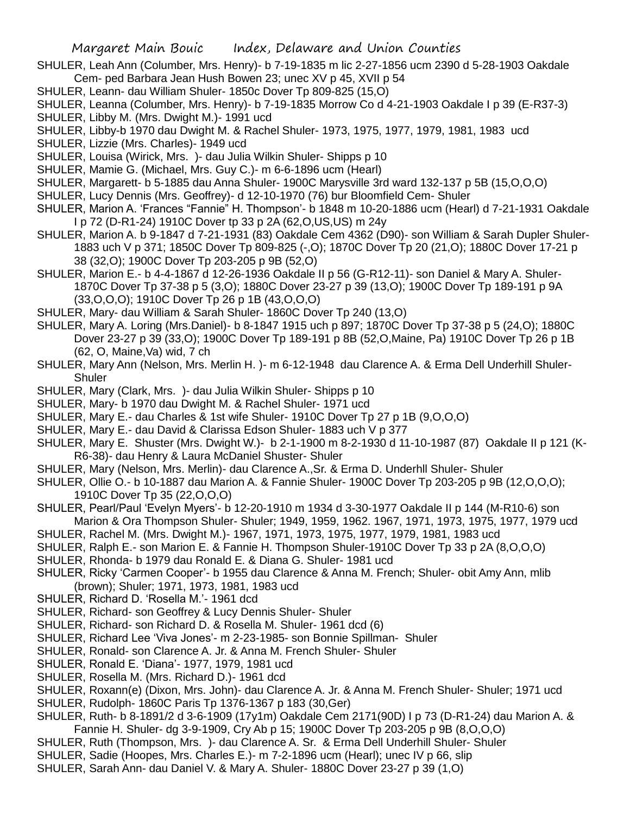- SHULER, Leah Ann (Columber, Mrs. Henry)- b 7-19-1835 m lic 2-27-1856 ucm 2390 d 5-28-1903 Oakdale Cem- ped Barbara Jean Hush Bowen 23; unec XV p 45, XVII p 54
- SHULER, Leann- dau William Shuler- 1850c Dover Tp 809-825 (15,O)
- SHULER, Leanna (Columber, Mrs. Henry)- b 7-19-1835 Morrow Co d 4-21-1903 Oakdale I p 39 (E-R37-3)
- SHULER, Libby M. (Mrs. Dwight M.)- 1991 ucd
- SHULER, Libby-b 1970 dau Dwight M. & Rachel Shuler- 1973, 1975, 1977, 1979, 1981, 1983 ucd
- SHULER, Lizzie (Mrs. Charles)- 1949 ucd
- SHULER, Louisa (Wirick, Mrs. )- dau Julia Wilkin Shuler- Shipps p 10
- SHULER, Mamie G. (Michael, Mrs. Guy C.)- m 6-6-1896 ucm (Hearl)
- SHULER, Margarett- b 5-1885 dau Anna Shuler- 1900C Marysville 3rd ward 132-137 p 5B (15,O,O,O)
- SHULER, Lucy Dennis (Mrs. Geoffrey)- d 12-10-1970 (76) bur Bloomfield Cem- Shuler
- SHULER, Marion A. 'Frances "Fannie" H. Thompson'- b 1848 m 10-20-1886 ucm (Hearl) d 7-21-1931 Oakdale I p 72 (D-R1-24) 1910C Dover tp 33 p 2A (62,O,US,US) m 24y
- SHULER, Marion A. b 9-1847 d 7-21-1931 (83) Oakdale Cem 4362 (D90)- son William & Sarah Dupler Shuler-1883 uch V p 371; 1850C Dover Tp 809-825 (-,O); 1870C Dover Tp 20 (21,O); 1880C Dover 17-21 p 38 (32,O); 1900C Dover Tp 203-205 p 9B (52,O)
- SHULER, Marion E.- b 4-4-1867 d 12-26-1936 Oakdale II p 56 (G-R12-11)- son Daniel & Mary A. Shuler-1870C Dover Tp 37-38 p 5 (3,O); 1880C Dover 23-27 p 39 (13,O); 1900C Dover Tp 189-191 p 9A (33,O,O,O); 1910C Dover Tp 26 p 1B (43,O,O,O)
- SHULER, Mary- dau William & Sarah Shuler- 1860C Dover Tp 240 (13,O)
- SHULER, Mary A. Loring (Mrs.Daniel)- b 8-1847 1915 uch p 897; 1870C Dover Tp 37-38 p 5 (24,O); 1880C Dover 23-27 p 39 (33,O); 1900C Dover Tp 189-191 p 8B (52,O,Maine, Pa) 1910C Dover Tp 26 p 1B (62, O, Maine,Va) wid, 7 ch
- SHULER, Mary Ann (Nelson, Mrs. Merlin H. )- m 6-12-1948 dau Clarence A. & Erma Dell Underhill Shuler-Shuler
- SHULER, Mary (Clark, Mrs. )- dau Julia Wilkin Shuler- Shipps p 10
- SHULER, Mary- b 1970 dau Dwight M. & Rachel Shuler- 1971 ucd
- SHULER, Mary E.- dau Charles & 1st wife Shuler- 1910C Dover Tp 27 p 1B (9,O,O,O)
- SHULER, Mary E.- dau David & Clarissa Edson Shuler- 1883 uch V p 377
- SHULER, Mary E. Shuster (Mrs. Dwight W.)- b 2-1-1900 m 8-2-1930 d 11-10-1987 (87) Oakdale II p 121 (K-R6-38)- dau Henry & Laura McDaniel Shuster- Shuler
- SHULER, Mary (Nelson, Mrs. Merlin)- dau Clarence A.,Sr. & Erma D. Underhll Shuler- Shuler
- SHULER, Ollie O.- b 10-1887 dau Marion A. & Fannie Shuler- 1900C Dover Tp 203-205 p 9B (12,O,O,O); 1910C Dover Tp 35 (22,O,O,O)
- SHULER, Pearl/Paul 'Evelyn Myers'- b 12-20-1910 m 1934 d 3-30-1977 Oakdale II p 144 (M-R10-6) son Marion & Ora Thompson Shuler- Shuler; 1949, 1959, 1962. 1967, 1971, 1973, 1975, 1977, 1979 ucd
- SHULER, Rachel M. (Mrs. Dwight M.)- 1967, 1971, 1973, 1975, 1977, 1979, 1981, 1983 ucd
- SHULER, Ralph E.- son Marion E. & Fannie H. Thompson Shuler-1910C Dover Tp 33 p 2A (8,O,O,O)
- SHULER, Rhonda- b 1979 dau Ronald E. & Diana G. Shuler- 1981 ucd
- SHULER, Ricky 'Carmen Cooper'- b 1955 dau Clarence & Anna M. French; Shuler- obit Amy Ann, mlib (brown); Shuler; 1971, 1973, 1981, 1983 ucd
- SHULER, Richard D. 'Rosella M.'- 1961 dcd
- SHULER, Richard- son Geoffrey & Lucy Dennis Shuler- Shuler
- SHULER, Richard- son Richard D. & Rosella M. Shuler- 1961 dcd (6)
- SHULER, Richard Lee 'Viva Jones'- m 2-23-1985- son Bonnie Spillman- Shuler
- SHULER, Ronald- son Clarence A. Jr. & Anna M. French Shuler- Shuler
- SHULER, Ronald E. 'Diana'- 1977, 1979, 1981 ucd
- SHULER, Rosella M. (Mrs. Richard D.)- 1961 dcd
- SHULER, Roxann(e) (Dixon, Mrs. John)- dau Clarence A. Jr. & Anna M. French Shuler- Shuler; 1971 ucd
- SHULER, Rudolph- 1860C Paris Tp 1376-1367 p 183 (30,Ger)
- SHULER, Ruth- b 8-1891/2 d 3-6-1909 (17y1m) Oakdale Cem 2171(90D) I p 73 (D-R1-24) dau Marion A. & Fannie H. Shuler- dg 3-9-1909, Cry Ab p 15; 1900C Dover Tp 203-205 p 9B (8,O,O,O)
- SHULER, Ruth (Thompson, Mrs. )- dau Clarence A. Sr. & Erma Dell Underhill Shuler- Shuler
- SHULER, Sadie (Hoopes, Mrs. Charles E.)- m 7-2-1896 ucm (Hearl); unec IV p 66, slip
- SHULER, Sarah Ann- dau Daniel V. & Mary A. Shuler- 1880C Dover 23-27 p 39 (1,O)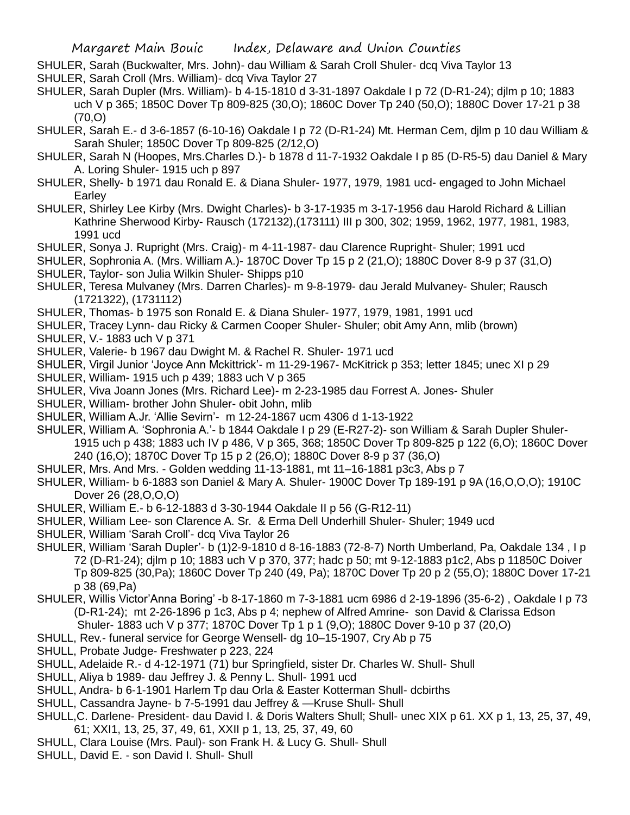- SHULER, Sarah (Buckwalter, Mrs. John)- dau William & Sarah Croll Shuler- dcq Viva Taylor 13 SHULER, Sarah Croll (Mrs. William)- dcq Viva Taylor 27
- SHULER, Sarah Dupler (Mrs. William)- b 4-15-1810 d 3-31-1897 Oakdale I p 72 (D-R1-24); djlm p 10; 1883 uch V p 365; 1850C Dover Tp 809-825 (30,O); 1860C Dover Tp 240 (50,O); 1880C Dover 17-21 p 38 (70,O)
- SHULER, Sarah E.- d 3-6-1857 (6-10-16) Oakdale I p 72 (D-R1-24) Mt. Herman Cem, djlm p 10 dau William & Sarah Shuler; 1850C Dover Tp 809-825 (2/12,O)
- SHULER, Sarah N (Hoopes, Mrs.Charles D.)- b 1878 d 11-7-1932 Oakdale I p 85 (D-R5-5) dau Daniel & Mary A. Loring Shuler- 1915 uch p 897
- SHULER, Shelly- b 1971 dau Ronald E. & Diana Shuler- 1977, 1979, 1981 ucd- engaged to John Michael Earley
- SHULER, Shirley Lee Kirby (Mrs. Dwight Charles)- b 3-17-1935 m 3-17-1956 dau Harold Richard & Lillian Kathrine Sherwood Kirby- Rausch (172132),(173111) III p 300, 302; 1959, 1962, 1977, 1981, 1983, 1991 ucd
- SHULER, Sonya J. Rupright (Mrs. Craig)- m 4-11-1987- dau Clarence Rupright- Shuler; 1991 ucd
- SHULER, Sophronia A. (Mrs. William A.)- 1870C Dover Tp 15 p 2 (21,O); 1880C Dover 8-9 p 37 (31,O) SHULER, Taylor- son Julia Wilkin Shuler- Shipps p10
- SHULER, Teresa Mulvaney (Mrs. Darren Charles)- m 9-8-1979- dau Jerald Mulvaney- Shuler; Rausch (1721322), (1731112)
- SHULER, Thomas- b 1975 son Ronald E. & Diana Shuler- 1977, 1979, 1981, 1991 ucd
- SHULER, Tracey Lynn- dau Ricky & Carmen Cooper Shuler- Shuler; obit Amy Ann, mlib (brown)
- SHULER, V.- 1883 uch V p 371
- SHULER, Valerie- b 1967 dau Dwight M. & Rachel R. Shuler- 1971 ucd
- SHULER, Virgil Junior 'Joyce Ann Mckittrick'- m 11-29-1967- McKitrick p 353; letter 1845; unec XI p 29
- SHULER, William- 1915 uch p 439; 1883 uch V p 365
- SHULER, Viva Joann Jones (Mrs. Richard Lee)- m 2-23-1985 dau Forrest A. Jones- Shuler
- SHULER, William- brother John Shuler- obit John, mlib
- SHULER, William A.Jr. 'Allie Sevirn'- m 12-24-1867 ucm 4306 d 1-13-1922
- SHULER, William A. 'Sophronia A.'- b 1844 Oakdale I p 29 (E-R27-2)- son William & Sarah Dupler Shuler-1915 uch p 438; 1883 uch IV p 486, V p 365, 368; 1850C Dover Tp 809-825 p 122 (6,O); 1860C Dover 240 (16,O); 1870C Dover Tp 15 p 2 (26,O); 1880C Dover 8-9 p 37 (36,O)
- SHULER, Mrs. And Mrs. Golden wedding 11-13-1881, mt 11–16-1881 p3c3, Abs p 7
- SHULER, William- b 6-1883 son Daniel & Mary A. Shuler- 1900C Dover Tp 189-191 p 9A (16,O,O,O); 1910C Dover 26 (28,O,O,O)
- SHULER, William E.- b 6-12-1883 d 3-30-1944 Oakdale II p 56 (G-R12-11)
- SHULER, William Lee- son Clarence A. Sr. & Erma Dell Underhill Shuler- Shuler; 1949 ucd
- SHULER, William 'Sarah Croll'- dcq Viva Taylor 26
- SHULER, William 'Sarah Dupler'- b (1)2-9-1810 d 8-16-1883 (72-8-7) North Umberland, Pa, Oakdale 134 , I p 72 (D-R1-24); djlm p 10; 1883 uch V p 370, 377; hadc p 50; mt 9-12-1883 p1c2, Abs p 11850C Doiver Tp 809-825 (30,Pa); 1860C Dover Tp 240 (49, Pa); 1870C Dover Tp 20 p 2 (55,O); 1880C Dover 17-21 p 38 (69,Pa)
- SHULER, Willis Victor'Anna Boring' -b 8-17-1860 m 7-3-1881 ucm 6986 d 2-19-1896 (35-6-2) , Oakdale I p 73 (D-R1-24); mt 2-26-1896 p 1c3, Abs p 4; nephew of Alfred Amrine- son David & Clarissa Edson Shuler- 1883 uch V p 377; 1870C Dover Tp 1 p 1 (9,O); 1880C Dover 9-10 p 37 (20,O)
- SHULL, Rev.- funeral service for George Wensell- dg 10–15-1907, Cry Ab p 75
- SHULL, Probate Judge- Freshwater p 223, 224
- SHULL, Adelaide R.- d 4-12-1971 (71) bur Springfield, sister Dr. Charles W. Shull- Shull
- SHULL, Aliya b 1989- dau Jeffrey J. & Penny L. Shull- 1991 ucd
- SHULL, Andra- b 6-1-1901 Harlem Tp dau Orla & Easter Kotterman Shull- dcbirths
- SHULL, Cassandra Jayne- b 7-5-1991 dau Jeffrey & —Kruse Shull- Shull
- SHULL,C. Darlene- President- dau David I. & Doris Walters Shull; Shull- unec XIX p 61. XX p 1, 13, 25, 37, 49, 61; XXI1, 13, 25, 37, 49, 61, XXII p 1, 13, 25, 37, 49, 60
- SHULL, Clara Louise (Mrs. Paul)- son Frank H. & Lucy G. Shull- Shull
- SHULL, David E. son David I. Shull- Shull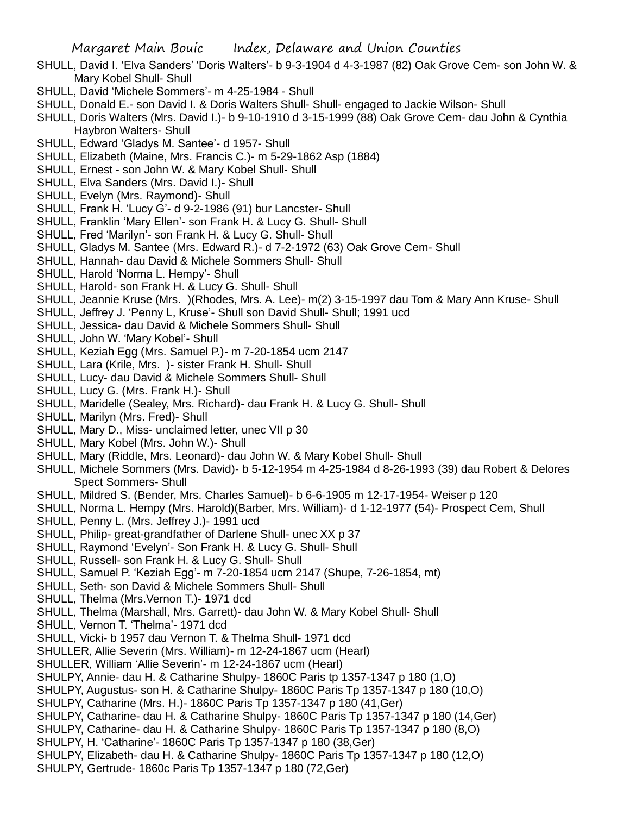- SHULL, David I. 'Elva Sanders' 'Doris Walters'- b 9-3-1904 d 4-3-1987 (82) Oak Grove Cem- son John W. & Mary Kobel Shull- Shull
- SHULL, David 'Michele Sommers'- m 4-25-1984 Shull
- SHULL, Donald E.- son David I. & Doris Walters Shull- Shull- engaged to Jackie Wilson- Shull
- SHULL, Doris Walters (Mrs. David I.)- b 9-10-1910 d 3-15-1999 (88) Oak Grove Cem- dau John & Cynthia Haybron Walters- Shull
- SHULL, Edward 'Gladys M. Santee'- d 1957- Shull
- SHULL, Elizabeth (Maine, Mrs. Francis C.)- m 5-29-1862 Asp (1884)
- SHULL, Ernest son John W. & Mary Kobel Shull- Shull
- SHULL, Elva Sanders (Mrs. David I.)- Shull
- SHULL, Evelyn (Mrs. Raymond)- Shull
- SHULL, Frank H. 'Lucy G'- d 9-2-1986 (91) bur Lancster- Shull
- SHULL, Franklin 'Mary Ellen'- son Frank H. & Lucy G. Shull- Shull
- SHULL, Fred 'Marilyn'- son Frank H. & Lucy G. Shull- Shull
- SHULL, Gladys M. Santee (Mrs. Edward R.)- d 7-2-1972 (63) Oak Grove Cem- Shull
- SHULL, Hannah- dau David & Michele Sommers Shull- Shull
- SHULL, Harold 'Norma L. Hempy'- Shull
- SHULL, Harold- son Frank H. & Lucy G. Shull- Shull
- SHULL, Jeannie Kruse (Mrs. )(Rhodes, Mrs. A. Lee)- m(2) 3-15-1997 dau Tom & Mary Ann Kruse- Shull
- SHULL, Jeffrey J. 'Penny L, Kruse'- Shull son David Shull- Shull; 1991 ucd
- SHULL, Jessica- dau David & Michele Sommers Shull- Shull
- SHULL, John W. 'Mary Kobel'- Shull
- SHULL, Keziah Egg (Mrs. Samuel P.)- m 7-20-1854 ucm 2147
- SHULL, Lara (Krile, Mrs. )- sister Frank H. Shull- Shull
- SHULL, Lucy- dau David & Michele Sommers Shull- Shull
- SHULL, Lucy G. (Mrs. Frank H.)- Shull
- SHULL, Maridelle (Sealey, Mrs. Richard)- dau Frank H. & Lucy G. Shull- Shull
- SHULL, Marilyn (Mrs. Fred)- Shull
- SHULL, Mary D., Miss- unclaimed letter, unec VII p 30
- SHULL, Mary Kobel (Mrs. John W.)- Shull
- SHULL, Mary (Riddle, Mrs. Leonard)- dau John W. & Mary Kobel Shull- Shull
- SHULL, Michele Sommers (Mrs. David)- b 5-12-1954 m 4-25-1984 d 8-26-1993 (39) dau Robert & Delores Spect Sommers- Shull
- SHULL, Mildred S. (Bender, Mrs. Charles Samuel)- b 6-6-1905 m 12-17-1954- Weiser p 120
- SHULL, Norma L. Hempy (Mrs. Harold)(Barber, Mrs. William)- d 1-12-1977 (54)- Prospect Cem, Shull
- SHULL, Penny L. (Mrs. Jeffrey J.)- 1991 ucd
- SHULL, Philip- great-grandfather of Darlene Shull- unec XX p 37
- SHULL, Raymond 'Evelyn'- Son Frank H. & Lucy G. Shull- Shull
- SHULL, Russell- son Frank H. & Lucy G. Shull- Shull
- SHULL, Samuel P. 'Keziah Egg'- m 7-20-1854 ucm 2147 (Shupe, 7-26-1854, mt)
- SHULL, Seth- son David & Michele Sommers Shull- Shull
- SHULL, Thelma (Mrs.Vernon T.)- 1971 dcd
- SHULL, Thelma (Marshall, Mrs. Garrett)- dau John W. & Mary Kobel Shull- Shull
- SHULL, Vernon T. 'Thelma'- 1971 dcd
- SHULL, Vicki- b 1957 dau Vernon T. & Thelma Shull- 1971 dcd
- SHULLER, Allie Severin (Mrs. William)- m 12-24-1867 ucm (Hearl)
- SHULLER, William 'Allie Severin'- m 12-24-1867 ucm (Hearl)
- SHULPY, Annie- dau H. & Catharine Shulpy- 1860C Paris tp 1357-1347 p 180 (1,O)
- SHULPY, Augustus- son H. & Catharine Shulpy- 1860C Paris Tp 1357-1347 p 180 (10,O)
- SHULPY, Catharine (Mrs. H.)- 1860C Paris Tp 1357-1347 p 180 (41,Ger)
- SHULPY, Catharine- dau H. & Catharine Shulpy- 1860C Paris Tp 1357-1347 p 180 (14,Ger)
- SHULPY, Catharine- dau H. & Catharine Shulpy- 1860C Paris Tp 1357-1347 p 180 (8,O)
- SHULPY, H. 'Catharine'- 1860C Paris Tp 1357-1347 p 180 (38,Ger)
- SHULPY, Elizabeth- dau H. & Catharine Shulpy- 1860C Paris Tp 1357-1347 p 180 (12,O)
- SHULPY, Gertrude- 1860c Paris Tp 1357-1347 p 180 (72,Ger)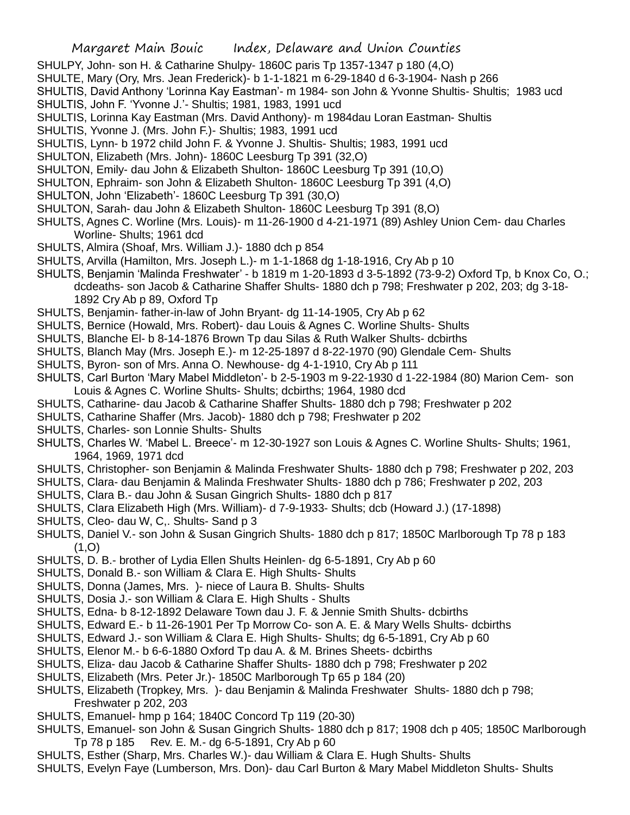- SHULPY, John- son H. & Catharine Shulpy- 1860C paris Tp 1357-1347 p 180 (4,O)
- SHULTE, Mary (Ory, Mrs. Jean Frederick)- b 1-1-1821 m 6-29-1840 d 6-3-1904- Nash p 266
- SHULTIS, David Anthony 'Lorinna Kay Eastman'- m 1984- son John & Yvonne Shultis- Shultis; 1983 ucd
- SHULTIS, John F. 'Yvonne J.'- Shultis; 1981, 1983, 1991 ucd
- SHULTIS, Lorinna Kay Eastman (Mrs. David Anthony)- m 1984dau Loran Eastman- Shultis
- SHULTIS, Yvonne J. (Mrs. John F.)- Shultis; 1983, 1991 ucd
- SHULTIS, Lynn- b 1972 child John F. & Yvonne J. Shultis- Shultis; 1983, 1991 ucd
- SHULTON, Elizabeth (Mrs. John)- 1860C Leesburg Tp 391 (32,O)
- SHULTON, Emily- dau John & Elizabeth Shulton- 1860C Leesburg Tp 391 (10,O)
- SHULTON, Ephraim- son John & Elizabeth Shulton- 1860C Leesburg Tp 391 (4,O)
- SHULTON, John 'Elizabeth'- 1860C Leesburg Tp 391 (30,O)
- SHULTON, Sarah- dau John & Elizabeth Shulton- 1860C Leesburg Tp 391 (8,O)
- SHULTS, Agnes C. Worline (Mrs. Louis)- m 11-26-1900 d 4-21-1971 (89) Ashley Union Cem- dau Charles Worline- Shults; 1961 dcd
- SHULTS, Almira (Shoaf, Mrs. William J.)- 1880 dch p 854
- SHULTS, Arvilla (Hamilton, Mrs. Joseph L.)- m 1-1-1868 dg 1-18-1916, Cry Ab p 10
- SHULTS, Benjamin 'Malinda Freshwater' b 1819 m 1-20-1893 d 3-5-1892 (73-9-2) Oxford Tp, b Knox Co, O.; dcdeaths- son Jacob & Catharine Shaffer Shults- 1880 dch p 798; Freshwater p 202, 203; dg 3-18- 1892 Cry Ab p 89, Oxford Tp
- SHULTS, Benjamin- father-in-law of John Bryant- dg 11-14-1905, Cry Ab p 62
- SHULTS, Bernice (Howald, Mrs. Robert)- dau Louis & Agnes C. Worline Shults- Shults
- SHULTS, Blanche El- b 8-14-1876 Brown Tp dau Silas & Ruth Walker Shults- dcbirths
- SHULTS, Blanch May (Mrs. Joseph E.)- m 12-25-1897 d 8-22-1970 (90) Glendale Cem- Shults
- SHULTS, Byron- son of Mrs. Anna O. Newhouse- dg 4-1-1910, Cry Ab p 111
- SHULTS, Carl Burton 'Mary Mabel Middleton'- b 2-5-1903 m 9-22-1930 d 1-22-1984 (80) Marion Cem- son Louis & Agnes C. Worline Shults- Shults; dcbirths; 1964, 1980 dcd
- SHULTS, Catharine- dau Jacob & Catharine Shaffer Shults- 1880 dch p 798; Freshwater p 202
- SHULTS, Catharine Shaffer (Mrs. Jacob)- 1880 dch p 798; Freshwater p 202
- SHULTS, Charles- son Lonnie Shults- Shults
- SHULTS, Charles W. 'Mabel L. Breece'- m 12-30-1927 son Louis & Agnes C. Worline Shults- Shults; 1961, 1964, 1969, 1971 dcd
- SHULTS, Christopher- son Benjamin & Malinda Freshwater Shults- 1880 dch p 798; Freshwater p 202, 203
- SHULTS, Clara- dau Benjamin & Malinda Freshwater Shults- 1880 dch p 786; Freshwater p 202, 203
- SHULTS, Clara B.- dau John & Susan Gingrich Shults- 1880 dch p 817
- SHULTS, Clara Elizabeth High (Mrs. William)- d 7-9-1933- Shults; dcb (Howard J.) (17-1898)
- SHULTS, Cleo- dau W, C,. Shults- Sand p 3
- SHULTS, Daniel V.- son John & Susan Gingrich Shults- 1880 dch p 817; 1850C Marlborough Tp 78 p 183  $(1,0)$
- SHULTS, D. B.- brother of Lydia Ellen Shults Heinlen- dg 6-5-1891, Cry Ab p 60
- SHULTS, Donald B.- son William & Clara E. High Shults- Shults
- SHULTS, Donna (James, Mrs. )- niece of Laura B. Shults- Shults
- SHULTS, Dosia J.- son William & Clara E. High Shults Shults
- SHULTS, Edna- b 8-12-1892 Delaware Town dau J. F. & Jennie Smith Shults- dcbirths
- SHULTS, Edward E.- b 11-26-1901 Per Tp Morrow Co- son A. E. & Mary Wells Shults- dcbirths
- SHULTS, Edward J.- son William & Clara E. High Shults- Shults; dg 6-5-1891, Cry Ab p 60
- SHULTS, Elenor M.- b 6-6-1880 Oxford Tp dau A. & M. Brines Sheets- dcbirths
- SHULTS, Eliza- dau Jacob & Catharine Shaffer Shults- 1880 dch p 798; Freshwater p 202
- SHULTS, Elizabeth (Mrs. Peter Jr.)- 1850C Marlborough Tp 65 p 184 (20)
- SHULTS, Elizabeth (Tropkey, Mrs. )- dau Benjamin & Malinda Freshwater Shults- 1880 dch p 798; Freshwater p 202, 203
- SHULTS, Emanuel- hmp p 164; 1840C Concord Tp 119 (20-30)
- SHULTS, Emanuel- son John & Susan Gingrich Shults- 1880 dch p 817; 1908 dch p 405; 1850C Marlborough Tp 78 p 185 Rev. E. M.- dg 6-5-1891, Cry Ab p 60
- SHULTS, Esther (Sharp, Mrs. Charles W.)- dau William & Clara E. Hugh Shults- Shults
- SHULTS, Evelyn Faye (Lumberson, Mrs. Don)- dau Carl Burton & Mary Mabel Middleton Shults- Shults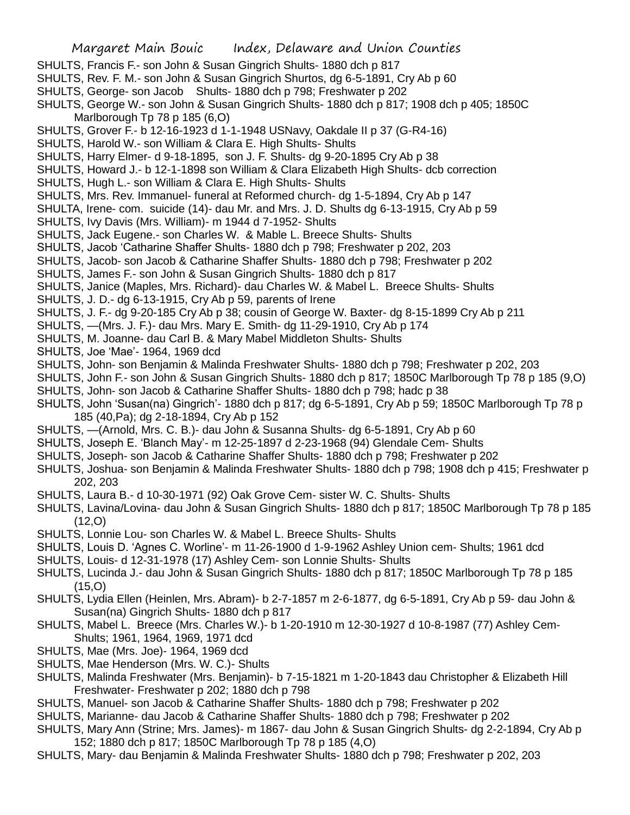- SHULTS, Francis F.- son John & Susan Gingrich Shults- 1880 dch p 817
- SHULTS, Rev. F. M.- son John & Susan Gingrich Shurtos, dg 6-5-1891, Cry Ab p 60
- SHULTS, George- son Jacob Shults- 1880 dch p 798; Freshwater p 202
- SHULTS, George W.- son John & Susan Gingrich Shults- 1880 dch p 817; 1908 dch p 405; 1850C Marlborough Tp 78 p 185 (6,O)
- SHULTS, Grover F.- b 12-16-1923 d 1-1-1948 USNavy, Oakdale II p 37 (G-R4-16)
- SHULTS, Harold W.- son William & Clara E. High Shults- Shults
- SHULTS, Harry Elmer- d 9-18-1895, son J. F. Shults- dg 9-20-1895 Cry Ab p 38
- SHULTS, Howard J.- b 12-1-1898 son William & Clara Elizabeth High Shults- dcb correction
- SHULTS, Hugh L.- son William & Clara E. High Shults- Shults
- SHULTS, Mrs. Rev. Immanuel- funeral at Reformed church- dg 1-5-1894, Cry Ab p 147
- SHULTA, Irene- com. suicide (14)- dau Mr. and Mrs. J. D. Shults dg 6-13-1915, Cry Ab p 59
- SHULTS, Ivy Davis (Mrs. William)- m 1944 d 7-1952- Shults
- SHULTS, Jack Eugene.- son Charles W. & Mable L. Breece Shults- Shults
- SHULTS, Jacob 'Catharine Shaffer Shults- 1880 dch p 798; Freshwater p 202, 203
- SHULTS, Jacob- son Jacob & Catharine Shaffer Shults- 1880 dch p 798; Freshwater p 202
- SHULTS, James F.- son John & Susan Gingrich Shults- 1880 dch p 817
- SHULTS, Janice (Maples, Mrs. Richard)- dau Charles W. & Mabel L. Breece Shults- Shults
- SHULTS, J. D.- dg 6-13-1915, Cry Ab p 59, parents of Irene
- SHULTS, J. F.- dg 9-20-185 Cry Ab p 38; cousin of George W. Baxter- dg 8-15-1899 Cry Ab p 211
- SHULTS, —(Mrs. J. F.)- dau Mrs. Mary E. Smith- dg 11-29-1910, Cry Ab p 174
- SHULTS, M. Joanne- dau Carl B. & Mary Mabel Middleton Shults- Shults
- SHULTS, Joe 'Mae'- 1964, 1969 dcd
- SHULTS, John- son Benjamin & Malinda Freshwater Shults- 1880 dch p 798; Freshwater p 202, 203
- SHULTS, John F.- son John & Susan Gingrich Shults- 1880 dch p 817; 1850C Marlborough Tp 78 p 185 (9,O)
- SHULTS, John- son Jacob & Catharine Shaffer Shults- 1880 dch p 798; hadc p 38
- SHULTS, John 'Susan(na) Gingrich'- 1880 dch p 817; dg 6-5-1891, Cry Ab p 59; 1850C Marlborough Tp 78 p 185 (40,Pa); dg 2-18-1894, Cry Ab p 152
- SHULTS, —(Arnold, Mrs. C. B.)- dau John & Susanna Shults- dg 6-5-1891, Cry Ab p 60
- SHULTS, Joseph E. 'Blanch May'- m 12-25-1897 d 2-23-1968 (94) Glendale Cem- Shults
- SHULTS, Joseph- son Jacob & Catharine Shaffer Shults- 1880 dch p 798; Freshwater p 202
- SHULTS, Joshua- son Benjamin & Malinda Freshwater Shults- 1880 dch p 798; 1908 dch p 415; Freshwater p 202, 203
- SHULTS, Laura B.- d 10-30-1971 (92) Oak Grove Cem- sister W. C. Shults- Shults
- SHULTS, Lavina/Lovina- dau John & Susan Gingrich Shults- 1880 dch p 817; 1850C Marlborough Tp 78 p 185  $(12,0)$
- SHULTS, Lonnie Lou- son Charles W. & Mabel L. Breece Shults- Shults
- SHULTS, Louis D. 'Agnes C. Worline'- m 11-26-1900 d 1-9-1962 Ashley Union cem- Shults; 1961 dcd
- SHULTS, Louis- d 12-31-1978 (17) Ashley Cem- son Lonnie Shults- Shults
- SHULTS, Lucinda J.- dau John & Susan Gingrich Shults- 1880 dch p 817; 1850C Marlborough Tp 78 p 185 (15,O)
- SHULTS, Lydia Ellen (Heinlen, Mrs. Abram)- b 2-7-1857 m 2-6-1877, dg 6-5-1891, Cry Ab p 59- dau John & Susan(na) Gingrich Shults- 1880 dch p 817
- SHULTS, Mabel L. Breece (Mrs. Charles W.)- b 1-20-1910 m 12-30-1927 d 10-8-1987 (77) Ashley Cem-Shults; 1961, 1964, 1969, 1971 dcd
- SHULTS, Mae (Mrs. Joe)- 1964, 1969 dcd
- SHULTS, Mae Henderson (Mrs. W. C.)- Shults
- SHULTS, Malinda Freshwater (Mrs. Benjamin)- b 7-15-1821 m 1-20-1843 dau Christopher & Elizabeth Hill Freshwater- Freshwater p 202; 1880 dch p 798
- SHULTS, Manuel- son Jacob & Catharine Shaffer Shults- 1880 dch p 798; Freshwater p 202
- SHULTS, Marianne- dau Jacob & Catharine Shaffer Shults- 1880 dch p 798; Freshwater p 202
- SHULTS, Mary Ann (Strine; Mrs. James)- m 1867- dau John & Susan Gingrich Shults- dg 2-2-1894, Cry Ab p 152; 1880 dch p 817; 1850C Marlborough Tp 78 p 185 (4,O)
- SHULTS, Mary- dau Benjamin & Malinda Freshwater Shults- 1880 dch p 798; Freshwater p 202, 203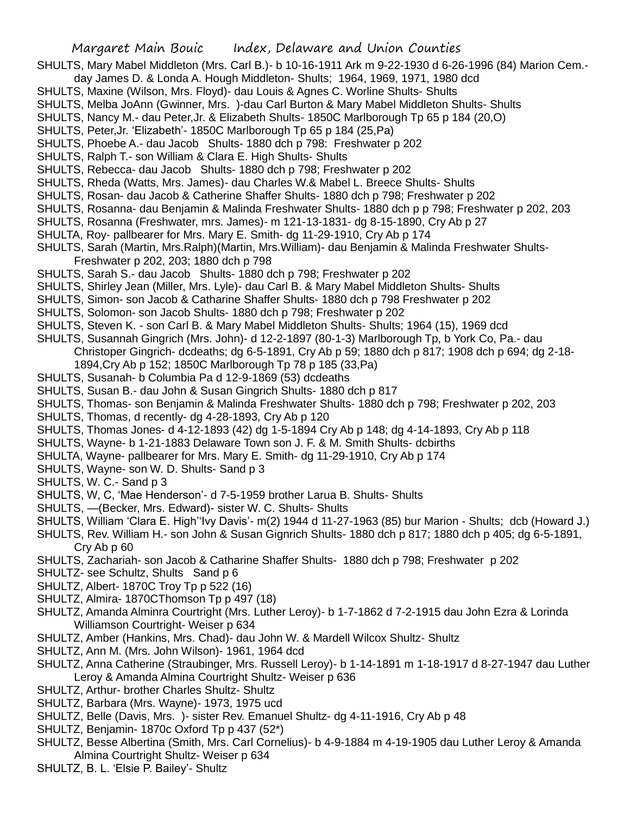- SHULTS, Mary Mabel Middleton (Mrs. Carl B.)- b 10-16-1911 Ark m 9-22-1930 d 6-26-1996 (84) Marion Cem.-
- day James D. & Londa A. Hough Middleton- Shults; 1964, 1969, 1971, 1980 dcd SHULTS, Maxine (Wilson, Mrs. Floyd)- dau Louis & Agnes C. Worline Shults- Shults
- SHULTS, Melba JoAnn (Gwinner, Mrs. )-dau Carl Burton & Mary Mabel Middleton Shults- Shults
- SHULTS, Nancy M.- dau Peter,Jr. & Elizabeth Shults- 1850C Marlborough Tp 65 p 184 (20,O)
- SHULTS, Peter,Jr. 'Elizabeth'- 1850C Marlborough Tp 65 p 184 (25,Pa)
- SHULTS, Phoebe A.- dau Jacob Shults- 1880 dch p 798: Freshwater p 202
- SHULTS, Ralph T.- son William & Clara E. High Shults- Shults
- SHULTS, Rebecca- dau Jacob Shults- 1880 dch p 798; Freshwater p 202
- SHULTS, Rheda (Watts, Mrs. James)- dau Charles W.& Mabel L. Breece Shults- Shults
- SHULTS, Rosan- dau Jacob & Catherine Shaffer Shults- 1880 dch p 798; Freshwater p 202
- SHULTS, Rosanna- dau Benjamin & Malinda Freshwater Shults- 1880 dch p p 798; Freshwater p 202, 203
- SHULTS, Rosanna (Freshwater, mrs. James)- m 121-13-1831- dg 8-15-1890, Cry Ab p 27
- SHULTA, Roy- pallbearer for Mrs. Mary E. Smith- dg 11-29-1910, Cry Ab p 174
- SHULTS, Sarah (Martin, Mrs.Ralph)(Martin, Mrs.William)- dau Benjamin & Malinda Freshwater Shults-Freshwater p 202, 203; 1880 dch p 798
- SHULTS, Sarah S.- dau Jacob Shults- 1880 dch p 798; Freshwater p 202
- SHULTS, Shirley Jean (Miller, Mrs. Lyle)- dau Carl B. & Mary Mabel Middleton Shults- Shults
- SHULTS, Simon- son Jacob & Catharine Shaffer Shults- 1880 dch p 798 Freshwater p 202
- SHULTS, Solomon- son Jacob Shults- 1880 dch p 798; Freshwater p 202
- SHULTS, Steven K. son Carl B. & Mary Mabel Middleton Shults- Shults; 1964 (15), 1969 dcd
- SHULTS, Susannah Gingrich (Mrs. John)- d 12-2-1897 (80-1-3) Marlborough Tp, b York Co, Pa.- dau Christoper Gingrich- dcdeaths; dg 6-5-1891, Cry Ab p 59; 1880 dch p 817; 1908 dch p 694; dg 2-18- 1894,Cry Ab p 152; 1850C Marlborough Tp 78 p 185 (33,Pa)
- SHULTS, Susanah- b Columbia Pa d 12-9-1869 (53) dcdeaths
- SHULTS, Susan B.- dau John & Susan Gingrich Shults- 1880 dch p 817
- SHULTS, Thomas- son Benjamin & Malinda Freshwater Shults- 1880 dch p 798; Freshwater p 202, 203
- SHULTS, Thomas, d recently- dg 4-28-1893, Cry Ab p 120
- SHULTS, Thomas Jones- d 4-12-1893 (42) dg 1-5-1894 Cry Ab p 148; dg 4-14-1893, Cry Ab p 118
- SHULTS, Wayne- b 1-21-1883 Delaware Town son J. F. & M. Smith Shults- dcbirths
- SHULTA, Wayne- pallbearer for Mrs. Mary E. Smith- dg 11-29-1910, Cry Ab p 174
- SHULTS, Wayne- son W. D. Shults- Sand p 3
- SHULTS, W. C.- Sand p 3
- SHULTS, W, C, 'Mae Henderson'- d 7-5-1959 brother Larua B. Shults- Shults
- SHULTS, —(Becker, Mrs. Edward)- sister W. C. Shults- Shults
- SHULTS, William 'Clara E. High''Ivy Davis'- m(2) 1944 d 11-27-1963 (85) bur Marion Shults; dcb (Howard J.)
- SHULTS, Rev. William H.- son John & Susan Gignrich Shults- 1880 dch p 817; 1880 dch p 405; dg 6-5-1891, Cry Ab p 60
- SHULTS, Zachariah- son Jacob & Catharine Shaffer Shults- 1880 dch p 798; Freshwater p 202
- SHULTZ- see Schultz, Shults Sand p 6
- SHULTZ, Albert- 1870C Troy Tp p 522 (16)
- SHULTZ, Almira- 1870CThomson Tp p 497 (18)
- SHULTZ, Amanda Alminra Courtright (Mrs. Luther Leroy)- b 1-7-1862 d 7-2-1915 dau John Ezra & Lorinda Williamson Courtright- Weiser p 634
- SHULTZ, Amber (Hankins, Mrs. Chad)- dau John W. & Mardell Wilcox Shultz- Shultz
- SHULTZ, Ann M. (Mrs. John Wilson)- 1961, 1964 dcd
- SHULTZ, Anna Catherine (Straubinger, Mrs. Russell Leroy)- b 1-14-1891 m 1-18-1917 d 8-27-1947 dau Luther Leroy & Amanda Almina Courtright Shultz- Weiser p 636
- SHULTZ, Arthur- brother Charles Shultz- Shultz
- SHULTZ, Barbara (Mrs. Wayne)- 1973, 1975 ucd
- SHULTZ, Belle (Davis, Mrs. )- sister Rev. Emanuel Shultz- dg 4-11-1916, Cry Ab p 48
- SHULTZ, Benjamin- 1870c Oxford Tp p 437 (52\*)
- SHULTZ, Besse Albertina (Smith, Mrs. Carl Cornelius)- b 4-9-1884 m 4-19-1905 dau Luther Leroy & Amanda Almina Courtright Shultz- Weiser p 634
- SHULTZ, B. L. 'Elsie P. Bailey'- Shultz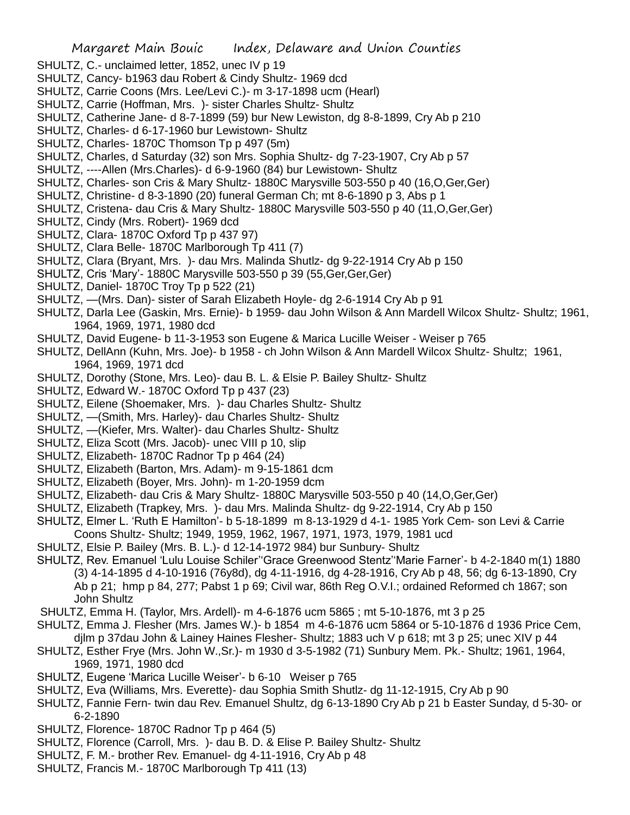- SHULTZ, C.- unclaimed letter, 1852, unec IV p 19
- SHULTZ, Cancy- b1963 dau Robert & Cindy Shultz- 1969 dcd
- SHULTZ, Carrie Coons (Mrs. Lee/Levi C.)- m 3-17-1898 ucm (Hearl)
- SHULTZ, Carrie (Hoffman, Mrs. )- sister Charles Shultz- Shultz
- SHULTZ, Catherine Jane- d 8-7-1899 (59) bur New Lewiston, dg 8-8-1899, Cry Ab p 210
- SHULTZ, Charles- d 6-17-1960 bur Lewistown- Shultz
- SHULTZ, Charles- 1870C Thomson Tp p 497 (5m)
- SHULTZ, Charles, d Saturday (32) son Mrs. Sophia Shultz- dg 7-23-1907, Cry Ab p 57
- SHULTZ, ----Allen (Mrs.Charles)- d 6-9-1960 (84) bur Lewistown- Shultz
- SHULTZ, Charles- son Cris & Mary Shultz- 1880C Marysville 503-550 p 40 (16,O,Ger,Ger)
- SHULTZ, Christine- d 8-3-1890 (20) funeral German Ch; mt 8-6-1890 p 3, Abs p 1
- SHULTZ, Cristena- dau Cris & Mary Shultz- 1880C Marysville 503-550 p 40 (11,O,Ger,Ger)
- SHULTZ, Cindy (Mrs. Robert)- 1969 dcd
- SHULTZ, Clara- 1870C Oxford Tp p 437 97)
- SHULTZ, Clara Belle- 1870C Marlborough Tp 411 (7)
- SHULTZ, Clara (Bryant, Mrs. )- dau Mrs. Malinda Shutlz- dg 9-22-1914 Cry Ab p 150
- SHULTZ, Cris 'Mary'- 1880C Marysville 503-550 p 39 (55,Ger,Ger,Ger)
- SHULTZ, Daniel- 1870C Troy Tp p 522 (21)
- SHULTZ, —(Mrs. Dan)- sister of Sarah Elizabeth Hoyle- dg 2-6-1914 Cry Ab p 91
- SHULTZ, Darla Lee (Gaskin, Mrs. Ernie)- b 1959- dau John Wilson & Ann Mardell Wilcox Shultz- Shultz; 1961, 1964, 1969, 1971, 1980 dcd
- SHULTZ, David Eugene- b 11-3-1953 son Eugene & Marica Lucille Weiser Weiser p 765
- SHULTZ, DellAnn (Kuhn, Mrs. Joe)- b 1958 ch John Wilson & Ann Mardell Wilcox Shultz- Shultz; 1961, 1964, 1969, 1971 dcd
- SHULTZ, Dorothy (Stone, Mrs. Leo)- dau B. L. & Elsie P. Bailey Shultz- Shultz
- SHULTZ, Edward W.- 1870C Oxford Tp p 437 (23)
- SHULTZ, Eilene (Shoemaker, Mrs. )- dau Charles Shultz- Shultz
- SHULTZ, —(Smith, Mrs. Harley)- dau Charles Shultz- Shultz
- SHULTZ, —(Kiefer, Mrs. Walter)- dau Charles Shultz- Shultz
- SHULTZ, Eliza Scott (Mrs. Jacob)- unec VIII p 10, slip
- SHULTZ, Elizabeth- 1870C Radnor Tp p 464 (24)
- SHULTZ, Elizabeth (Barton, Mrs. Adam)- m 9-15-1861 dcm
- SHULTZ, Elizabeth (Boyer, Mrs. John)- m 1-20-1959 dcm
- SHULTZ, Elizabeth- dau Cris & Mary Shultz- 1880C Marysville 503-550 p 40 (14,O,Ger,Ger)
- SHULTZ, Elizabeth (Trapkey, Mrs. )- dau Mrs. Malinda Shultz- dg 9-22-1914, Cry Ab p 150
- SHULTZ, Elmer L. 'Ruth E Hamilton'- b 5-18-1899 m 8-13-1929 d 4-1- 1985 York Cem- son Levi & Carrie Coons Shultz- Shultz; 1949, 1959, 1962, 1967, 1971, 1973, 1979, 1981 ucd
- SHULTZ, Elsie P. Bailey (Mrs. B. L.)- d 12-14-1972 984) bur Sunbury- Shultz
- SHULTZ, Rev. Emanuel 'Lulu Louise Schiler''Grace Greenwood Stentz''Marie Farner'- b 4-2-1840 m(1) 1880 (3) 4-14-1895 d 4-10-1916 (76y8d), dg 4-11-1916, dg 4-28-1916, Cry Ab p 48, 56; dg 6-13-1890, Cry Ab p 21; hmp p 84, 277; Pabst 1 p 69; Civil war, 86th Reg O.V.I.; ordained Reformed ch 1867; son John Shultz
- SHULTZ, Emma H. (Taylor, Mrs. Ardell)- m 4-6-1876 ucm 5865 ; mt 5-10-1876, mt 3 p 25
- SHULTZ, Emma J. Flesher (Mrs. James W.)- b 1854 m 4-6-1876 ucm 5864 or 5-10-1876 d 1936 Price Cem, djlm p 37dau John & Lainey Haines Flesher- Shultz; 1883 uch V p 618; mt 3 p 25; unec XIV p 44
- SHULTZ, Esther Frye (Mrs. John W.,Sr.)- m 1930 d 3-5-1982 (71) Sunbury Mem. Pk.- Shultz; 1961, 1964, 1969, 1971, 1980 dcd
- SHULTZ, Eugene 'Marica Lucille Weiser'- b 6-10 Weiser p 765
- SHULTZ, Eva (Williams, Mrs. Everette)- dau Sophia Smith Shutlz- dg 11-12-1915, Cry Ab p 90
- SHULTZ, Fannie Fern- twin dau Rev. Emanuel Shultz, dg 6-13-1890 Cry Ab p 21 b Easter Sunday, d 5-30- or 6-2-1890
- SHULTZ, Florence- 1870C Radnor Tp p 464 (5)
- SHULTZ, Florence (Carroll, Mrs. )- dau B. D. & Elise P. Bailey Shultz- Shultz
- SHULTZ, F. M.- brother Rev. Emanuel- dg 4-11-1916, Cry Ab p 48
- SHULTZ, Francis M.- 1870C Marlborough Tp 411 (13)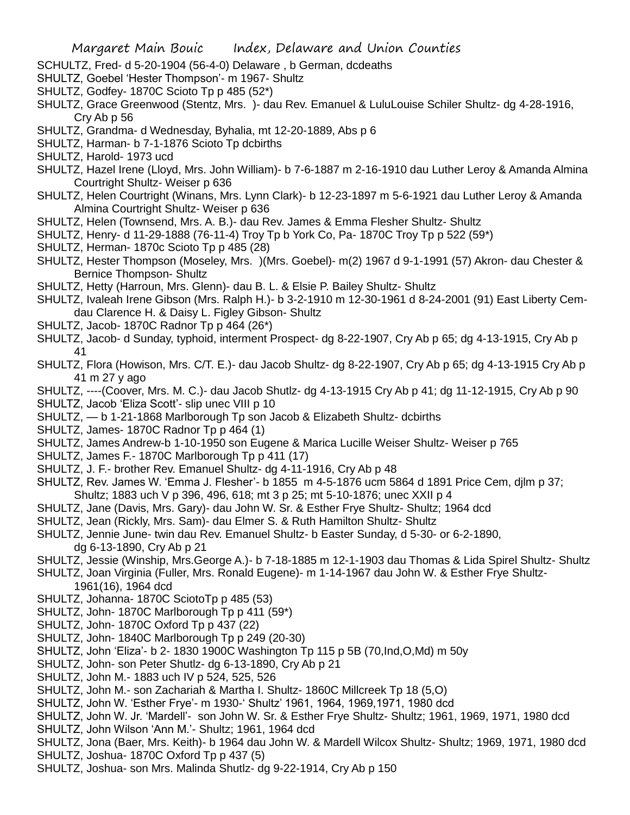- SCHULTZ, Fred- d 5-20-1904 (56-4-0) Delaware , b German, dcdeaths
- SHULTZ, Goebel 'Hester Thompson'- m 1967- Shultz
- SHULTZ, Godfey- 1870C Scioto Tp p 485 (52\*)
- SHULTZ, Grace Greenwood (Stentz, Mrs. )- dau Rev. Emanuel & LuluLouise Schiler Shultz- dg 4-28-1916, Cry Ab p 56
- SHULTZ, Grandma- d Wednesday, Byhalia, mt 12-20-1889, Abs p 6
- SHULTZ, Harman- b 7-1-1876 Scioto Tp dcbirths
- SHULTZ, Harold- 1973 ucd
- SHULTZ, Hazel Irene (Lloyd, Mrs. John William)- b 7-6-1887 m 2-16-1910 dau Luther Leroy & Amanda Almina Courtright Shultz- Weiser p 636
- SHULTZ, Helen Courtright (Winans, Mrs. Lynn Clark)- b 12-23-1897 m 5-6-1921 dau Luther Leroy & Amanda Almina Courtright Shultz- Weiser p 636
- SHULTZ, Helen (Townsend, Mrs. A. B.)- dau Rev. James & Emma Flesher Shultz- Shultz
- SHULTZ, Henry- d 11-29-1888 (76-11-4) Troy Tp b York Co, Pa- 1870C Troy Tp p 522 (59\*)
- SHULTZ, Herman- 1870c Scioto Tp p 485 (28)
- SHULTZ, Hester Thompson (Moseley, Mrs. )(Mrs. Goebel)- m(2) 1967 d 9-1-1991 (57) Akron- dau Chester & Bernice Thompson- Shultz
- SHULTZ, Hetty (Harroun, Mrs. Glenn)- dau B. L. & Elsie P. Bailey Shultz- Shultz
- SHULTZ, Ivaleah Irene Gibson (Mrs. Ralph H.)- b 3-2-1910 m 12-30-1961 d 8-24-2001 (91) East Liberty Cemdau Clarence H. & Daisy L. Figley Gibson- Shultz
- SHULTZ, Jacob- 1870C Radnor Tp p 464 (26\*)
- SHULTZ, Jacob- d Sunday, typhoid, interment Prospect- dg 8-22-1907, Cry Ab p 65; dg 4-13-1915, Cry Ab p 41
- SHULTZ, Flora (Howison, Mrs. C/T. E.)- dau Jacob Shultz- dg 8-22-1907, Cry Ab p 65; dg 4-13-1915 Cry Ab p 41 m 27 y ago
- SHULTZ, ----(Coover, Mrs. M. C.)- dau Jacob Shutlz- dg 4-13-1915 Cry Ab p 41; dg 11-12-1915, Cry Ab p 90 SHULTZ, Jacob 'Eliza Scott'- slip unec VIII p 10
- SHULTZ, b 1-21-1868 Marlborough Tp son Jacob & Elizabeth Shultz- dcbirths
- SHULTZ, James- 1870C Radnor Tp p 464 (1)
- SHULTZ, James Andrew-b 1-10-1950 son Eugene & Marica Lucille Weiser Shultz- Weiser p 765
- SHULTZ, James F.- 1870C Marlborough Tp p 411 (17)
- SHULTZ, J. F.- brother Rev. Emanuel Shultz- dg 4-11-1916, Cry Ab p 48
- SHULTZ, Rev. James W. 'Emma J. Flesher'- b 1855 m 4-5-1876 ucm 5864 d 1891 Price Cem, djlm p 37; Shultz; 1883 uch V p 396, 496, 618; mt 3 p 25; mt 5-10-1876; unec XXII p 4
- SHULTZ, Jane (Davis, Mrs. Gary)- dau John W. Sr. & Esther Frye Shultz- Shultz; 1964 dcd
- SHULTZ, Jean (Rickly, Mrs. Sam)- dau Elmer S. & Ruth Hamilton Shultz- Shultz
- SHULTZ, Jennie June- twin dau Rev. Emanuel Shultz- b Easter Sunday, d 5-30- or 6-2-1890, dg 6-13-1890, Cry Ab p 21
- SHULTZ, Jessie (Winship, Mrs.George A.)- b 7-18-1885 m 12-1-1903 dau Thomas & Lida Spirel Shultz- Shultz
- SHULTZ, Joan Virginia (Fuller, Mrs. Ronald Eugene)- m 1-14-1967 dau John W. & Esther Frye Shultz-1961(16), 1964 dcd
- SHULTZ, Johanna- 1870C SciotoTp p 485 (53)
- SHULTZ, John-1870C Marlborough Tp p 411 (59\*)
- SHULTZ, John- 1870C Oxford Tp p 437 (22)
- SHULTZ, John- 1840C Marlborough Tp p 249 (20-30)
- SHULTZ, John 'Eliza'- b 2- 1830 1900C Washington Tp 115 p 5B (70,Ind,O,Md) m 50y
- SHULTZ, John- son Peter Shutlz- dg 6-13-1890, Cry Ab p 21
- SHULTZ, John M.- 1883 uch IV p 524, 525, 526
- SHULTZ, John M.- son Zachariah & Martha I. Shultz- 1860C Millcreek Tp 18 (5,O)
- SHULTZ, John W. 'Esther Frye'- m 1930-' Shultz' 1961, 1964, 1969,1971, 1980 dcd
- SHULTZ, John W. Jr. 'Mardell'- son John W. Sr. & Esther Frye Shultz- Shultz; 1961, 1969, 1971, 1980 dcd
- SHULTZ, John Wilson 'Ann M.'- Shultz; 1961, 1964 dcd
- SHULTZ, Jona (Baer, Mrs. Keith)- b 1964 dau John W. & Mardell Wilcox Shultz- Shultz; 1969, 1971, 1980 dcd SHULTZ, Joshua- 1870C Oxford Tp p 437 (5)
- SHULTZ, Joshua- son Mrs. Malinda Shutlz- dg 9-22-1914, Cry Ab p 150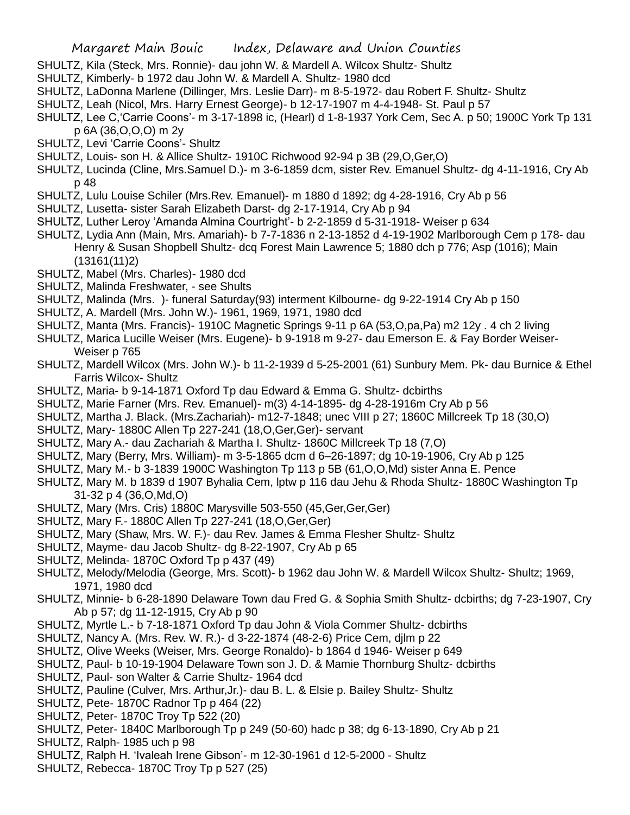- SHULTZ, Kila (Steck, Mrs. Ronnie)- dau john W. & Mardell A. Wilcox Shultz- Shultz
- SHULTZ, Kimberly- b 1972 dau John W. & Mardell A. Shultz- 1980 dcd
- SHULTZ, LaDonna Marlene (Dillinger, Mrs. Leslie Darr)- m 8-5-1972- dau Robert F. Shultz- Shultz
- SHULTZ, Leah (Nicol, Mrs. Harry Ernest George)- b 12-17-1907 m 4-4-1948- St. Paul p 57
- SHULTZ, Lee C,'Carrie Coons'- m 3-17-1898 ic, (Hearl) d 1-8-1937 York Cem, Sec A. p 50; 1900C York Tp 131 p 6A (36,O,O,O) m 2y
- SHULTZ, Levi 'Carrie Coons'- Shultz
- SHULTZ, Louis- son H. & Allice Shultz- 1910C Richwood 92-94 p 3B (29,O,Ger,O)
- SHULTZ, Lucinda (Cline, Mrs.Samuel D.)- m 3-6-1859 dcm, sister Rev. Emanuel Shultz- dg 4-11-1916, Cry Ab p 48
- SHULTZ, Lulu Louise Schiler (Mrs.Rev. Emanuel)- m 1880 d 1892; dg 4-28-1916, Cry Ab p 56
- SHULTZ, Lusetta- sister Sarah Elizabeth Darst- dg 2-17-1914, Cry Ab p 94
- SHULTZ, Luther Leroy 'Amanda Almina Courtright'- b 2-2-1859 d 5-31-1918- Weiser p 634
- SHULTZ, Lydia Ann (Main, Mrs. Amariah)- b 7-7-1836 n 2-13-1852 d 4-19-1902 Marlborough Cem p 178- dau Henry & Susan Shopbell Shultz- dcq Forest Main Lawrence 5; 1880 dch p 776; Asp (1016); Main (13161(11)2)
- SHULTZ, Mabel (Mrs. Charles)- 1980 dcd
- SHULTZ, Malinda Freshwater, see Shults
- SHULTZ, Malinda (Mrs. )- funeral Saturday(93) interment Kilbourne- dg 9-22-1914 Cry Ab p 150
- SHULTZ, A. Mardell (Mrs. John W.)- 1961, 1969, 1971, 1980 dcd
- SHULTZ, Manta (Mrs. Francis)- 1910C Magnetic Springs 9-11 p 6A (53,O,pa,Pa) m2 12y . 4 ch 2 living
- SHULTZ, Marica Lucille Weiser (Mrs. Eugene)- b 9-1918 m 9-27- dau Emerson E. & Fay Border Weiser-Weiser p 765
- SHULTZ, Mardell Wilcox (Mrs. John W.)- b 11-2-1939 d 5-25-2001 (61) Sunbury Mem. Pk- dau Burnice & Ethel Farris Wilcox- Shultz
- SHULTZ, Maria- b 9-14-1871 Oxford Tp dau Edward & Emma G. Shultz- dcbirths
- SHULTZ, Marie Farner (Mrs. Rev. Emanuel)- m(3) 4-14-1895- dg 4-28-1916m Cry Ab p 56
- SHULTZ, Martha J. Black. (Mrs.Zachariah)- m12-7-1848; unec VIII p 27; 1860C Millcreek Tp 18 (30,O)
- SHULTZ, Mary- 1880C Allen Tp 227-241 (18,O,Ger,Ger)- servant
- SHULTZ, Mary A.- dau Zachariah & Martha I. Shultz- 1860C Millcreek Tp 18 (7,O)
- SHULTZ, Mary (Berry, Mrs. William)- m 3-5-1865 dcm d 6–26-1897; dg 10-19-1906, Cry Ab p 125
- SHULTZ, Mary M.- b 3-1839 1900C Washington Tp 113 p 5B (61,O,O,Md) sister Anna E. Pence
- SHULTZ, Mary M. b 1839 d 1907 Byhalia Cem, lptw p 116 dau Jehu & Rhoda Shultz- 1880C Washington Tp 31-32 p 4 (36,O,Md,O)
- SHULTZ, Mary (Mrs. Cris) 1880C Marysville 503-550 (45,Ger,Ger,Ger)
- SHULTZ, Mary F.- 1880C Allen Tp 227-241 (18,O,Ger,Ger)
- SHULTZ, Mary (Shaw, Mrs. W. F.)- dau Rev. James & Emma Flesher Shultz- Shultz
- SHULTZ, Mayme- dau Jacob Shultz- dg 8-22-1907, Cry Ab p 65
- SHULTZ, Melinda- 1870C Oxford Tp p 437 (49)
- SHULTZ, Melody/Melodia (George, Mrs. Scott)- b 1962 dau John W. & Mardell Wilcox Shultz- Shultz; 1969, 1971, 1980 dcd
- SHULTZ, Minnie- b 6-28-1890 Delaware Town dau Fred G. & Sophia Smith Shultz- dcbirths; dg 7-23-1907, Cry Ab p 57; dg 11-12-1915, Cry Ab p 90
- SHULTZ, Myrtle L.- b 7-18-1871 Oxford Tp dau John & Viola Commer Shultz- dcbirths
- SHULTZ, Nancy A. (Mrs. Rev. W. R.)- d 3-22-1874 (48-2-6) Price Cem, djlm p 22
- SHULTZ, Olive Weeks (Weiser, Mrs. George Ronaldo)- b 1864 d 1946- Weiser p 649
- SHULTZ, Paul- b 10-19-1904 Delaware Town son J. D. & Mamie Thornburg Shultz- dcbirths
- SHULTZ, Paul- son Walter & Carrie Shultz- 1964 dcd
- SHULTZ, Pauline (Culver, Mrs. Arthur,Jr.)- dau B. L. & Elsie p. Bailey Shultz- Shultz
- SHULTZ, Pete- 1870C Radnor Tp p 464 (22)
- SHULTZ, Peter- 1870C Troy Tp 522 (20)
- SHULTZ, Peter- 1840C Marlborough Tp p 249 (50-60) hadc p 38; dg 6-13-1890, Cry Ab p 21
- SHULTZ, Ralph- 1985 uch p 98
- SHULTZ, Ralph H. 'Ivaleah Irene Gibson'- m 12-30-1961 d 12-5-2000 Shultz
- SHULTZ, Rebecca- 1870C Troy Tp p 527 (25)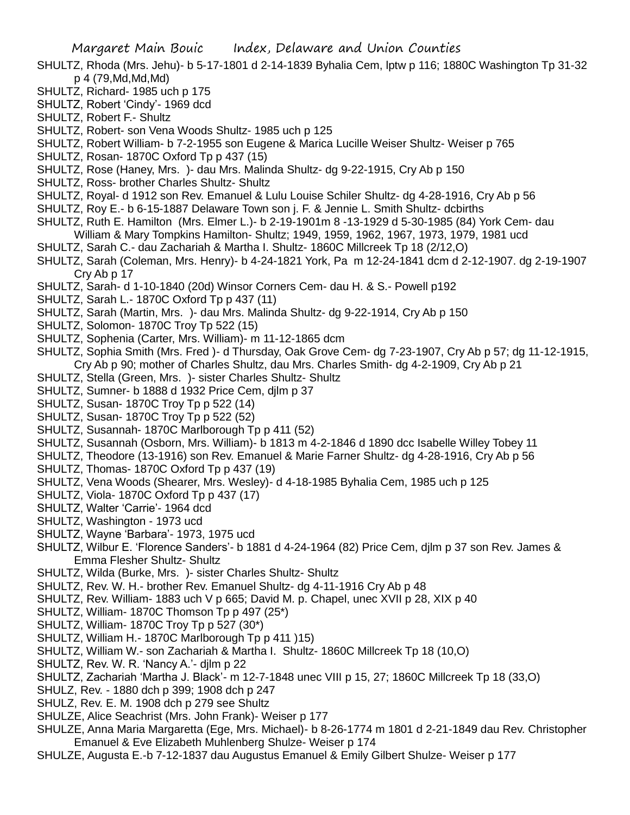- SHULTZ, Rhoda (Mrs. Jehu)- b 5-17-1801 d 2-14-1839 Byhalia Cem, lptw p 116; 1880C Washington Tp 31-32 p 4 (79,Md,Md,Md)
- SHULTZ, Richard- 1985 uch p 175
- SHULTZ, Robert 'Cindy'- 1969 dcd
- SHULTZ, Robert F.- Shultz
- SHULTZ, Robert- son Vena Woods Shultz- 1985 uch p 125
- SHULTZ, Robert William- b 7-2-1955 son Eugene & Marica Lucille Weiser Shultz- Weiser p 765
- SHULTZ, Rosan- 1870C Oxford Tp p 437 (15)
- SHULTZ, Rose (Haney, Mrs. )- dau Mrs. Malinda Shultz- dg 9-22-1915, Cry Ab p 150
- SHULTZ, Ross- brother Charles Shultz- Shultz
- SHULTZ, Royal- d 1912 son Rev. Emanuel & Lulu Louise Schiler Shultz- dg 4-28-1916, Cry Ab p 56
- SHULTZ, Roy E.- b 6-15-1887 Delaware Town son j. F. & Jennie L. Smith Shultz- dcbirths
- SHULTZ, Ruth E. Hamilton (Mrs. Elmer L.)- b 2-19-1901m 8 -13-1929 d 5-30-1985 (84) York Cem- dau William & Mary Tompkins Hamilton- Shultz; 1949, 1959, 1962, 1967, 1973, 1979, 1981 ucd
- SHULTZ, Sarah C.- dau Zachariah & Martha I. Shultz- 1860C Millcreek Tp 18 (2/12,O)
- SHULTZ, Sarah (Coleman, Mrs. Henry)- b 4-24-1821 York, Pa m 12-24-1841 dcm d 2-12-1907. dg 2-19-1907 Cry Ab p 17
- SHULTZ, Sarah- d 1-10-1840 (20d) Winsor Corners Cem- dau H. & S.- Powell p192
- SHULTZ, Sarah L.- 1870C Oxford Tp p 437 (11)
- SHULTZ, Sarah (Martin, Mrs. )- dau Mrs. Malinda Shultz- dg 9-22-1914, Cry Ab p 150
- SHULTZ, Solomon- 1870C Troy Tp 522 (15)
- SHULTZ, Sophenia (Carter, Mrs. William)- m 11-12-1865 dcm
- SHULTZ, Sophia Smith (Mrs. Fred )- d Thursday, Oak Grove Cem- dg 7-23-1907, Cry Ab p 57; dg 11-12-1915, Cry Ab p 90; mother of Charles Shultz, dau Mrs. Charles Smith- dg 4-2-1909, Cry Ab p 21
- SHULTZ, Stella (Green, Mrs. )- sister Charles Shultz- Shultz
- SHULTZ, Sumner- b 1888 d 1932 Price Cem, djlm p 37
- SHULTZ, Susan- 1870C Troy Tp p 522 (14)
- SHULTZ, Susan- 1870C Troy Tp p 522 (52)
- SHULTZ, Susannah- 1870C Marlborough Tp p 411 (52)
- SHULTZ, Susannah (Osborn, Mrs. William)- b 1813 m 4-2-1846 d 1890 dcc Isabelle Willey Tobey 11
- SHULTZ, Theodore (13-1916) son Rev. Emanuel & Marie Farner Shultz- dg 4-28-1916, Cry Ab p 56
- SHULTZ, Thomas- 1870C Oxford Tp p 437 (19)
- SHULTZ, Vena Woods (Shearer, Mrs. Wesley)- d 4-18-1985 Byhalia Cem, 1985 uch p 125
- SHULTZ, Viola- 1870C Oxford Tp p 437 (17)
- SHULTZ, Walter 'Carrie'- 1964 dcd
- SHULTZ, Washington 1973 ucd
- SHULTZ, Wayne 'Barbara'- 1973, 1975 ucd
- SHULTZ, Wilbur E. 'Florence Sanders'- b 1881 d 4-24-1964 (82) Price Cem, djlm p 37 son Rev. James & Emma Flesher Shultz- Shultz
- SHULTZ, Wilda (Burke, Mrs. )- sister Charles Shultz- Shultz
- SHULTZ, Rev. W. H.- brother Rev. Emanuel Shultz- dg 4-11-1916 Cry Ab p 48
- SHULTZ, Rev. William- 1883 uch V p 665; David M. p. Chapel, unec XVII p 28, XIX p 40
- SHULTZ, William- 1870C Thomson Tp p 497 (25\*)
- SHULTZ, William- 1870C Troy Tp p 527 (30\*)
- SHULTZ, William H.- 1870C Marlborough Tp p 411 )15)
- SHULTZ, William W.- son Zachariah & Martha I. Shultz- 1860C Millcreek Tp 18 (10,O)
- SHULTZ, Rev. W. R. 'Nancy A.'- djlm p 22
- SHULTZ, Zachariah 'Martha J. Black'- m 12-7-1848 unec VIII p 15, 27; 1860C Millcreek Tp 18 (33,O)
- SHULZ, Rev. 1880 dch p 399; 1908 dch p 247
- SHULZ, Rev. E. M. 1908 dch p 279 see Shultz
- SHULZE, Alice Seachrist (Mrs. John Frank)- Weiser p 177
- SHULZE, Anna Maria Margaretta (Ege, Mrs. Michael)- b 8-26-1774 m 1801 d 2-21-1849 dau Rev. Christopher Emanuel & Eve Elizabeth Muhlenberg Shulze- Weiser p 174
- SHULZE, Augusta E.-b 7-12-1837 dau Augustus Emanuel & Emily Gilbert Shulze- Weiser p 177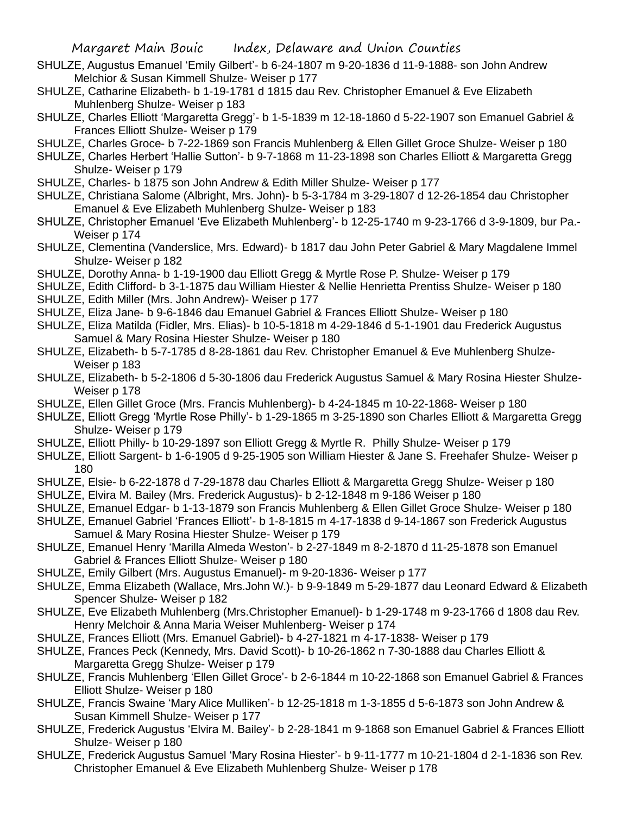- SHULZE, Augustus Emanuel 'Emily Gilbert'- b 6-24-1807 m 9-20-1836 d 11-9-1888- son John Andrew Melchior & Susan Kimmell Shulze- Weiser p 177
- SHULZE, Catharine Elizabeth- b 1-19-1781 d 1815 dau Rev. Christopher Emanuel & Eve Elizabeth Muhlenberg Shulze- Weiser p 183
- SHULZE, Charles Elliott 'Margaretta Gregg'- b 1-5-1839 m 12-18-1860 d 5-22-1907 son Emanuel Gabriel & Frances Elliott Shulze- Weiser p 179
- SHULZE, Charles Groce- b 7-22-1869 son Francis Muhlenberg & Ellen Gillet Groce Shulze- Weiser p 180
- SHULZE, Charles Herbert 'Hallie Sutton'- b 9-7-1868 m 11-23-1898 son Charles Elliott & Margaretta Gregg Shulze- Weiser p 179
- SHULZE, Charles- b 1875 son John Andrew & Edith Miller Shulze- Weiser p 177
- SHULZE, Christiana Salome (Albright, Mrs. John)- b 5-3-1784 m 3-29-1807 d 12-26-1854 dau Christopher Emanuel & Eve Elizabeth Muhlenberg Shulze- Weiser p 183
- SHULZE, Christopher Emanuel 'Eve Elizabeth Muhlenberg'- b 12-25-1740 m 9-23-1766 d 3-9-1809, bur Pa.- Weiser p 174
- SHULZE, Clementina (Vanderslice, Mrs. Edward)- b 1817 dau John Peter Gabriel & Mary Magdalene Immel Shulze- Weiser p 182
- SHULZE, Dorothy Anna- b 1-19-1900 dau Elliott Gregg & Myrtle Rose P. Shulze- Weiser p 179
- SHULZE, Edith Clifford- b 3-1-1875 dau William Hiester & Nellie Henrietta Prentiss Shulze- Weiser p 180
- SHULZE, Edith Miller (Mrs. John Andrew)- Weiser p 177
- SHULZE, Eliza Jane- b 9-6-1846 dau Emanuel Gabriel & Frances Elliott Shulze- Weiser p 180
- SHULZE, Eliza Matilda (Fidler, Mrs. Elias)- b 10-5-1818 m 4-29-1846 d 5-1-1901 dau Frederick Augustus Samuel & Mary Rosina Hiester Shulze- Weiser p 180
- SHULZE, Elizabeth- b 5-7-1785 d 8-28-1861 dau Rev. Christopher Emanuel & Eve Muhlenberg Shulze-Weiser p 183
- SHULZE, Elizabeth- b 5-2-1806 d 5-30-1806 dau Frederick Augustus Samuel & Mary Rosina Hiester Shulze-Weiser p 178
- SHULZE, Ellen Gillet Groce (Mrs. Francis Muhlenberg)- b 4-24-1845 m 10-22-1868- Weiser p 180
- SHULZE, Elliott Gregg 'Myrtle Rose Philly'- b 1-29-1865 m 3-25-1890 son Charles Elliott & Margaretta Gregg Shulze- Weiser p 179
- SHULZE, Elliott Philly- b 10-29-1897 son Elliott Gregg & Myrtle R. Philly Shulze- Weiser p 179
- SHULZE, Elliott Sargent- b 1-6-1905 d 9-25-1905 son William Hiester & Jane S. Freehafer Shulze- Weiser p 180
- SHULZE, Elsie- b 6-22-1878 d 7-29-1878 dau Charles Elliott & Margaretta Gregg Shulze- Weiser p 180
- SHULZE, Elvira M. Bailey (Mrs. Frederick Augustus)- b 2-12-1848 m 9-186 Weiser p 180
- SHULZE, Emanuel Edgar- b 1-13-1879 son Francis Muhlenberg & Ellen Gillet Groce Shulze- Weiser p 180
- SHULZE, Emanuel Gabriel 'Frances Elliott'- b 1-8-1815 m 4-17-1838 d 9-14-1867 son Frederick Augustus Samuel & Mary Rosina Hiester Shulze- Weiser p 179
- SHULZE, Emanuel Henry 'Marilla Almeda Weston'- b 2-27-1849 m 8-2-1870 d 11-25-1878 son Emanuel Gabriel & Frances Elliott Shulze- Weiser p 180
- SHULZE, Emily Gilbert (Mrs. Augustus Emanuel)- m 9-20-1836- Weiser p 177
- SHULZE, Emma Elizabeth (Wallace, Mrs.John W.)- b 9-9-1849 m 5-29-1877 dau Leonard Edward & Elizabeth Spencer Shulze- Weiser p 182
- SHULZE, Eve Elizabeth Muhlenberg (Mrs.Christopher Emanuel)- b 1-29-1748 m 9-23-1766 d 1808 dau Rev. Henry Melchoir & Anna Maria Weiser Muhlenberg- Weiser p 174
- SHULZE, Frances Elliott (Mrs. Emanuel Gabriel)- b 4-27-1821 m 4-17-1838- Weiser p 179
- SHULZE, Frances Peck (Kennedy, Mrs. David Scott)- b 10-26-1862 n 7-30-1888 dau Charles Elliott & Margaretta Gregg Shulze- Weiser p 179
- SHULZE, Francis Muhlenberg 'Ellen Gillet Groce'- b 2-6-1844 m 10-22-1868 son Emanuel Gabriel & Frances Elliott Shulze- Weiser p 180
- SHULZE, Francis Swaine 'Mary Alice Mulliken'- b 12-25-1818 m 1-3-1855 d 5-6-1873 son John Andrew & Susan Kimmell Shulze- Weiser p 177
- SHULZE, Frederick Augustus 'Elvira M. Bailey'- b 2-28-1841 m 9-1868 son Emanuel Gabriel & Frances Elliott Shulze- Weiser p 180
- SHULZE, Frederick Augustus Samuel 'Mary Rosina Hiester'- b 9-11-1777 m 10-21-1804 d 2-1-1836 son Rev. Christopher Emanuel & Eve Elizabeth Muhlenberg Shulze- Weiser p 178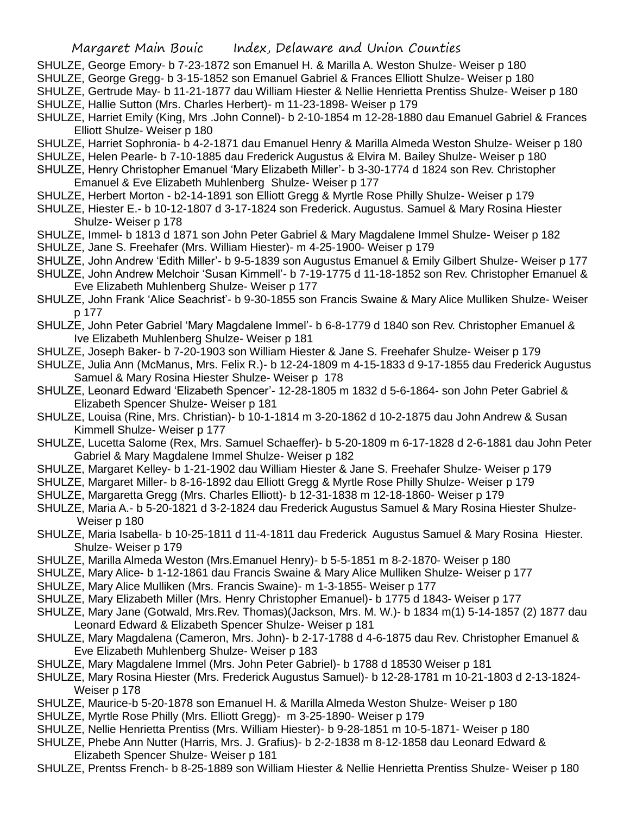- SHULZE, George Emory- b 7-23-1872 son Emanuel H. & Marilla A. Weston Shulze- Weiser p 180
- SHULZE, George Gregg- b 3-15-1852 son Emanuel Gabriel & Frances Elliott Shulze- Weiser p 180
- SHULZE, Gertrude May- b 11-21-1877 dau William Hiester & Nellie Henrietta Prentiss Shulze- Weiser p 180 SHULZE, Hallie Sutton (Mrs. Charles Herbert)- m 11-23-1898- Weiser p 179
- SHULZE, Harriet Emily (King, Mrs .John Connel)- b 2-10-1854 m 12-28-1880 dau Emanuel Gabriel & Frances Elliott Shulze- Weiser p 180
- SHULZE, Harriet Sophronia- b 4-2-1871 dau Emanuel Henry & Marilla Almeda Weston Shulze- Weiser p 180
- SHULZE, Helen Pearle- b 7-10-1885 dau Frederick Augustus & Elvira M. Bailey Shulze- Weiser p 180
- SHULZE, Henry Christopher Emanuel 'Mary Elizabeth Miller'- b 3-30-1774 d 1824 son Rev. Christopher Emanuel & Eve Elizabeth Muhlenberg Shulze- Weiser p 177
- SHULZE, Herbert Morton b2-14-1891 son Elliott Gregg & Myrtle Rose Philly Shulze- Weiser p 179
- SHULZE, Hiester E.- b 10-12-1807 d 3-17-1824 son Frederick. Augustus. Samuel & Mary Rosina Hiester Shulze- Weiser p 178
- SHULZE, Immel- b 1813 d 1871 son John Peter Gabriel & Mary Magdalene Immel Shulze- Weiser p 182
- SHULZE, Jane S. Freehafer (Mrs. William Hiester)- m 4-25-1900- Weiser p 179
- SHULZE, John Andrew 'Edith Miller'- b 9-5-1839 son Augustus Emanuel & Emily Gilbert Shulze- Weiser p 177
- SHULZE, John Andrew Melchoir 'Susan Kimmell'- b 7-19-1775 d 11-18-1852 son Rev. Christopher Emanuel & Eve Elizabeth Muhlenberg Shulze- Weiser p 177
- SHULZE, John Frank 'Alice Seachrist'- b 9-30-1855 son Francis Swaine & Mary Alice Mulliken Shulze- Weiser p 177
- SHULZE, John Peter Gabriel 'Mary Magdalene Immel'- b 6-8-1779 d 1840 son Rev. Christopher Emanuel & Ive Elizabeth Muhlenberg Shulze- Weiser p 181
- SHULZE, Joseph Baker- b 7-20-1903 son William Hiester & Jane S. Freehafer Shulze- Weiser p 179
- SHULZE, Julia Ann (McManus, Mrs. Felix R.)- b 12-24-1809 m 4-15-1833 d 9-17-1855 dau Frederick Augustus Samuel & Mary Rosina Hiester Shulze- Weiser p 178
- SHULZE, Leonard Edward 'Elizabeth Spencer'- 12-28-1805 m 1832 d 5-6-1864- son John Peter Gabriel & Elizabeth Spencer Shulze- Weiser p 181
- SHULZE, Louisa (Rine, Mrs. Christian)- b 10-1-1814 m 3-20-1862 d 10-2-1875 dau John Andrew & Susan Kimmell Shulze- Weiser p 177
- SHULZE, Lucetta Salome (Rex, Mrs. Samuel Schaeffer)- b 5-20-1809 m 6-17-1828 d 2-6-1881 dau John Peter Gabriel & Mary Magdalene Immel Shulze- Weiser p 182
- SHULZE, Margaret Kelley- b 1-21-1902 dau William Hiester & Jane S. Freehafer Shulze- Weiser p 179
- SHULZE, Margaret Miller- b 8-16-1892 dau Elliott Gregg & Myrtle Rose Philly Shulze- Weiser p 179
- SHULZE, Margaretta Gregg (Mrs. Charles Elliott)- b 12-31-1838 m 12-18-1860- Weiser p 179
- SHULZE, Maria A.- b 5-20-1821 d 3-2-1824 dau Frederick Augustus Samuel & Mary Rosina Hiester Shulze-Weiser p 180
- SHULZE, Maria Isabella- b 10-25-1811 d 11-4-1811 dau Frederick Augustus Samuel & Mary Rosina Hiester. Shulze- Weiser p 179
- SHULZE, Marilla Almeda Weston (Mrs.Emanuel Henry)- b 5-5-1851 m 8-2-1870- Weiser p 180
- SHULZE, Mary Alice- b 1-12-1861 dau Francis Swaine & Mary Alice Mulliken Shulze- Weiser p 177
- SHULZE, Mary Alice Mulliken (Mrs. Francis Swaine)- m 1-3-1855- Weiser p 177
- SHULZE, Mary Elizabeth Miller (Mrs. Henry Christopher Emanuel)- b 1775 d 1843- Weiser p 177
- SHULZE, Mary Jane (Gotwald, Mrs.Rev. Thomas)(Jackson, Mrs. M. W.)- b 1834 m(1) 5-14-1857 (2) 1877 dau Leonard Edward & Elizabeth Spencer Shulze- Weiser p 181
- SHULZE, Mary Magdalena (Cameron, Mrs. John)- b 2-17-1788 d 4-6-1875 dau Rev. Christopher Emanuel & Eve Elizabeth Muhlenberg Shulze- Weiser p 183
- SHULZE, Mary Magdalene Immel (Mrs. John Peter Gabriel)- b 1788 d 18530 Weiser p 181
- SHULZE, Mary Rosina Hiester (Mrs. Frederick Augustus Samuel)- b 12-28-1781 m 10-21-1803 d 2-13-1824- Weiser p 178
- SHULZE, Maurice-b 5-20-1878 son Emanuel H. & Marilla Almeda Weston Shulze- Weiser p 180
- SHULZE, Myrtle Rose Philly (Mrs. Elliott Gregg)- m 3-25-1890- Weiser p 179
- SHULZE, Nellie Henrietta Prentiss (Mrs. William Hiester)- b 9-28-1851 m 10-5-1871- Weiser p 180
- SHULZE, Phebe Ann Nutter (Harris, Mrs. J. Grafius)- b 2-2-1838 m 8-12-1858 dau Leonard Edward & Elizabeth Spencer Shulze- Weiser p 181
- SHULZE, Prentss French- b 8-25-1889 son William Hiester & Nellie Henrietta Prentiss Shulze- Weiser p 180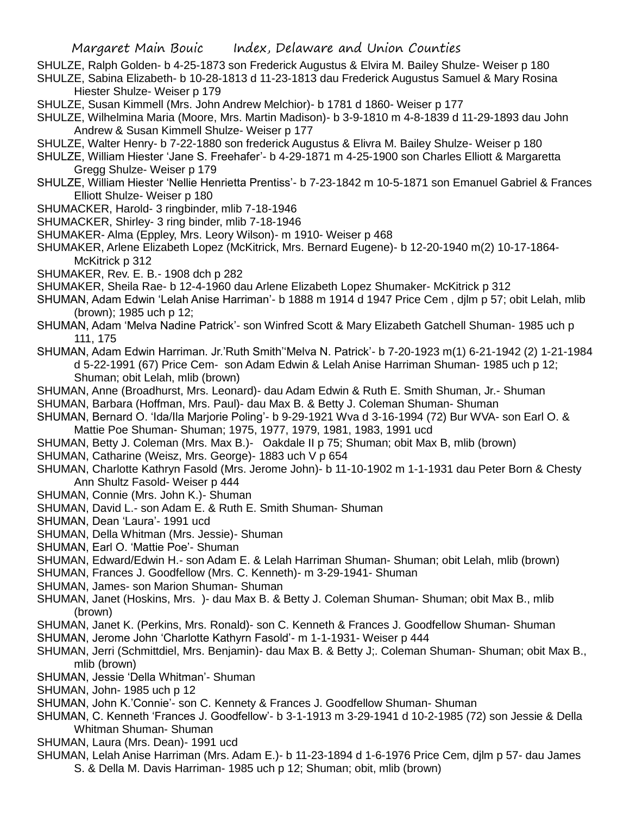SHULZE, Ralph Golden- b 4-25-1873 son Frederick Augustus & Elvira M. Bailey Shulze- Weiser p 180

- SHULZE, Sabina Elizabeth- b 10-28-1813 d 11-23-1813 dau Frederick Augustus Samuel & Mary Rosina Hiester Shulze- Weiser p 179
- SHULZE, Susan Kimmell (Mrs. John Andrew Melchior)- b 1781 d 1860- Weiser p 177
- SHULZE, Wilhelmina Maria (Moore, Mrs. Martin Madison)- b 3-9-1810 m 4-8-1839 d 11-29-1893 dau John Andrew & Susan Kimmell Shulze- Weiser p 177
- SHULZE, Walter Henry- b 7-22-1880 son frederick Augustus & Elivra M. Bailey Shulze- Weiser p 180
- SHULZE, William Hiester 'Jane S. Freehafer'- b 4-29-1871 m 4-25-1900 son Charles Elliott & Margaretta Gregg Shulze- Weiser p 179
- SHULZE, William Hiester 'Nellie Henrietta Prentiss'- b 7-23-1842 m 10-5-1871 son Emanuel Gabriel & Frances Elliott Shulze- Weiser p 180
- SHUMACKER, Harold- 3 ringbinder, mlib 7-18-1946
- SHUMACKER, Shirley- 3 ring binder, mlib 7-18-1946
- SHUMAKER- Alma (Eppley, Mrs. Leory Wilson)- m 1910- Weiser p 468
- SHUMAKER, Arlene Elizabeth Lopez (McKitrick, Mrs. Bernard Eugene)- b 12-20-1940 m(2) 10-17-1864- McKitrick p 312
- SHUMAKER, Rev. E. B.- 1908 dch p 282
- SHUMAKER, Sheila Rae- b 12-4-1960 dau Arlene Elizabeth Lopez Shumaker- McKitrick p 312
- SHUMAN, Adam Edwin 'Lelah Anise Harriman'- b 1888 m 1914 d 1947 Price Cem , djlm p 57; obit Lelah, mlib (brown); 1985 uch p 12;
- SHUMAN, Adam 'Melva Nadine Patrick'- son Winfred Scott & Mary Elizabeth Gatchell Shuman- 1985 uch p 111, 175
- SHUMAN, Adam Edwin Harriman. Jr.'Ruth Smith''Melva N. Patrick'- b 7-20-1923 m(1) 6-21-1942 (2) 1-21-1984 d 5-22-1991 (67) Price Cem- son Adam Edwin & Lelah Anise Harriman Shuman- 1985 uch p 12; Shuman; obit Lelah, mlib (brown)
- SHUMAN, Anne (Broadhurst, Mrs. Leonard)- dau Adam Edwin & Ruth E. Smith Shuman, Jr.- Shuman
- SHUMAN, Barbara (Hoffman, Mrs. Paul)- dau Max B. & Betty J. Coleman Shuman- Shuman
- SHUMAN, Bernard O. 'Ida/Ila Marjorie Poling'- b 9-29-1921 Wva d 3-16-1994 (72) Bur WVA- son Earl O. & Mattie Poe Shuman- Shuman; 1975, 1977, 1979, 1981, 1983, 1991 ucd
- SHUMAN, Betty J. Coleman (Mrs. Max B.)- Oakdale II p 75; Shuman; obit Max B, mlib (brown)
- SHUMAN, Catharine (Weisz, Mrs. George)- 1883 uch V p 654
- SHUMAN, Charlotte Kathryn Fasold (Mrs. Jerome John)- b 11-10-1902 m 1-1-1931 dau Peter Born & Chesty Ann Shultz Fasold- Weiser p 444
- SHUMAN, Connie (Mrs. John K.)- Shuman
- SHUMAN, David L.- son Adam E. & Ruth E. Smith Shuman- Shuman
- SHUMAN, Dean 'Laura'- 1991 ucd
- SHUMAN, Della Whitman (Mrs. Jessie)- Shuman
- SHUMAN, Earl O. 'Mattie Poe'- Shuman
- SHUMAN, Edward/Edwin H.- son Adam E. & Lelah Harriman Shuman- Shuman; obit Lelah, mlib (brown)
- SHUMAN, Frances J. Goodfellow (Mrs. C. Kenneth)- m 3-29-1941- Shuman
- SHUMAN, James- son Marion Shuman- Shuman
- SHUMAN, Janet (Hoskins, Mrs. )- dau Max B. & Betty J. Coleman Shuman- Shuman; obit Max B., mlib (brown)
- SHUMAN, Janet K. (Perkins, Mrs. Ronald)- son C. Kenneth & Frances J. Goodfellow Shuman- Shuman
- SHUMAN, Jerome John 'Charlotte Kathyrn Fasold'- m 1-1-1931- Weiser p 444
- SHUMAN, Jerri (Schmittdiel, Mrs. Benjamin)- dau Max B. & Betty J;. Coleman Shuman- Shuman; obit Max B., mlib (brown)
- SHUMAN, Jessie 'Della Whitman'- Shuman
- SHUMAN, John- 1985 uch p 12
- SHUMAN, John K.'Connie'- son C. Kennety & Frances J. Goodfellow Shuman- Shuman
- SHUMAN, C. Kenneth 'Frances J. Goodfellow'- b 3-1-1913 m 3-29-1941 d 10-2-1985 (72) son Jessie & Della Whitman Shuman- Shuman
- SHUMAN, Laura (Mrs. Dean)- 1991 ucd
- SHUMAN, Lelah Anise Harriman (Mrs. Adam E.)- b 11-23-1894 d 1-6-1976 Price Cem, djlm p 57- dau James S. & Della M. Davis Harriman- 1985 uch p 12; Shuman; obit, mlib (brown)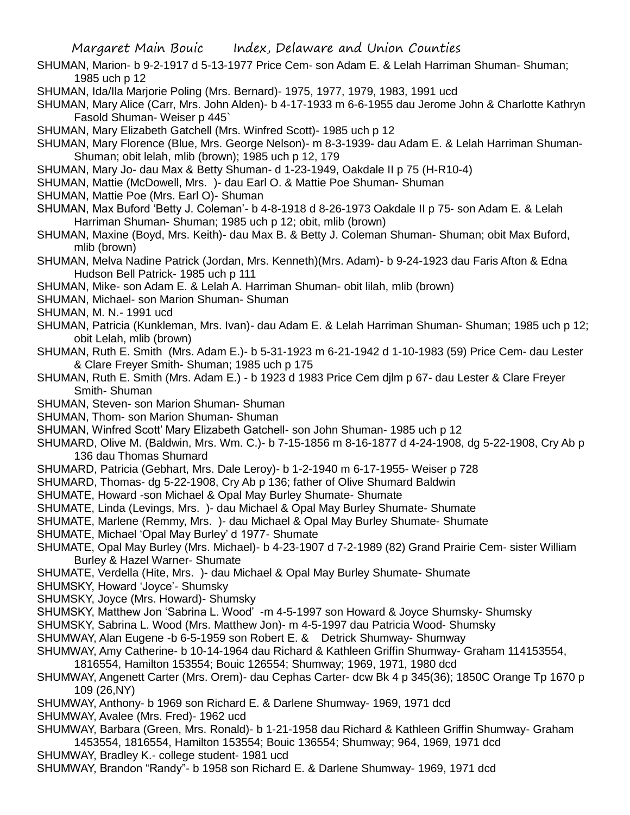- SHUMAN, Marion- b 9-2-1917 d 5-13-1977 Price Cem- son Adam E. & Lelah Harriman Shuman- Shuman; 1985 uch p 12
- SHUMAN, Ida/Ila Marjorie Poling (Mrs. Bernard)- 1975, 1977, 1979, 1983, 1991 ucd
- SHUMAN, Mary Alice (Carr, Mrs. John Alden)- b 4-17-1933 m 6-6-1955 dau Jerome John & Charlotte Kathryn Fasold Shuman- Weiser p 445`
- SHUMAN, Mary Elizabeth Gatchell (Mrs. Winfred Scott)- 1985 uch p 12
- SHUMAN, Mary Florence (Blue, Mrs. George Nelson)- m 8-3-1939- dau Adam E. & Lelah Harriman Shuman-Shuman; obit lelah, mlib (brown); 1985 uch p 12, 179
- SHUMAN, Mary Jo- dau Max & Betty Shuman- d 1-23-1949, Oakdale II p 75 (H-R10-4)
- SHUMAN, Mattie (McDowell, Mrs. )- dau Earl O. & Mattie Poe Shuman- Shuman
- SHUMAN, Mattie Poe (Mrs. Earl O)- Shuman
- SHUMAN, Max Buford 'Betty J. Coleman'- b 4-8-1918 d 8-26-1973 Oakdale II p 75- son Adam E. & Lelah Harriman Shuman- Shuman; 1985 uch p 12; obit, mlib (brown)
- SHUMAN, Maxine (Boyd, Mrs. Keith)- dau Max B. & Betty J. Coleman Shuman- Shuman; obit Max Buford, mlib (brown)
- SHUMAN, Melva Nadine Patrick (Jordan, Mrs. Kenneth)(Mrs. Adam)- b 9-24-1923 dau Faris Afton & Edna Hudson Bell Patrick- 1985 uch p 111
- SHUMAN, Mike- son Adam E. & Lelah A. Harriman Shuman- obit lilah, mlib (brown)
- SHUMAN, Michael- son Marion Shuman- Shuman
- SHUMAN, M. N.- 1991 ucd
- SHUMAN, Patricia (Kunkleman, Mrs. Ivan)- dau Adam E. & Lelah Harriman Shuman- Shuman; 1985 uch p 12; obit Lelah, mlib (brown)
- SHUMAN, Ruth E. Smith (Mrs. Adam E.)- b 5-31-1923 m 6-21-1942 d 1-10-1983 (59) Price Cem- dau Lester & Clare Freyer Smith- Shuman; 1985 uch p 175
- SHUMAN, Ruth E. Smith (Mrs. Adam E.) b 1923 d 1983 Price Cem djlm p 67- dau Lester & Clare Freyer Smith- Shuman
- SHUMAN, Steven- son Marion Shuman- Shuman
- SHUMAN, Thom- son Marion Shuman- Shuman
- SHUMAN, Winfred Scott' Mary Elizabeth Gatchell- son John Shuman- 1985 uch p 12
- SHUMARD, Olive M. (Baldwin, Mrs. Wm. C.)- b 7-15-1856 m 8-16-1877 d 4-24-1908, dg 5-22-1908, Cry Ab p 136 dau Thomas Shumard
- SHUMARD, Patricia (Gebhart, Mrs. Dale Leroy)- b 1-2-1940 m 6-17-1955- Weiser p 728
- SHUMARD, Thomas- dg 5-22-1908, Cry Ab p 136; father of Olive Shumard Baldwin
- SHUMATE, Howard -son Michael & Opal May Burley Shumate- Shumate
- SHUMATE, Linda (Levings, Mrs. )- dau Michael & Opal May Burley Shumate- Shumate
- SHUMATE, Marlene (Remmy, Mrs. )- dau Michael & Opal May Burley Shumate- Shumate
- SHUMATE, Michael 'Opal May Burley' d 1977- Shumate
- SHUMATE, Opal May Burley (Mrs. Michael)- b 4-23-1907 d 7-2-1989 (82) Grand Prairie Cem- sister William Burley & Hazel Warner- Shumate
- SHUMATE, Verdella (Hite, Mrs. )- dau Michael & Opal May Burley Shumate- Shumate
- SHUMSKY, Howard 'Joyce'- Shumsky
- SHUMSKY, Joyce (Mrs. Howard)- Shumsky
- SHUMSKY, Matthew Jon 'Sabrina L. Wood' -m 4-5-1997 son Howard & Joyce Shumsky- Shumsky
- SHUMSKY, Sabrina L. Wood (Mrs. Matthew Jon)- m 4-5-1997 dau Patricia Wood- Shumsky
- SHUMWAY, Alan Eugene -b 6-5-1959 son Robert E. & Detrick Shumway- Shumway
- SHUMWAY, Amy Catherine- b 10-14-1964 dau Richard & Kathleen Griffin Shumway- Graham 114153554,
- 1816554, Hamilton 153554; Bouic 126554; Shumway; 1969, 1971, 1980 dcd
- SHUMWAY, Angenett Carter (Mrs. Orem)- dau Cephas Carter- dcw Bk 4 p 345(36); 1850C Orange Tp 1670 p 109 (26,NY)
- SHUMWAY, Anthony- b 1969 son Richard E. & Darlene Shumway- 1969, 1971 dcd
- SHUMWAY, Avalee (Mrs. Fred)- 1962 ucd
- SHUMWAY, Barbara (Green, Mrs. Ronald)- b 1-21-1958 dau Richard & Kathleen Griffin Shumway- Graham 1453554, 1816554, Hamilton 153554; Bouic 136554; Shumway; 964, 1969, 1971 dcd
- SHUMWAY, Bradley K.- college student- 1981 ucd
- SHUMWAY, Brandon "Randy"- b 1958 son Richard E. & Darlene Shumway- 1969, 1971 dcd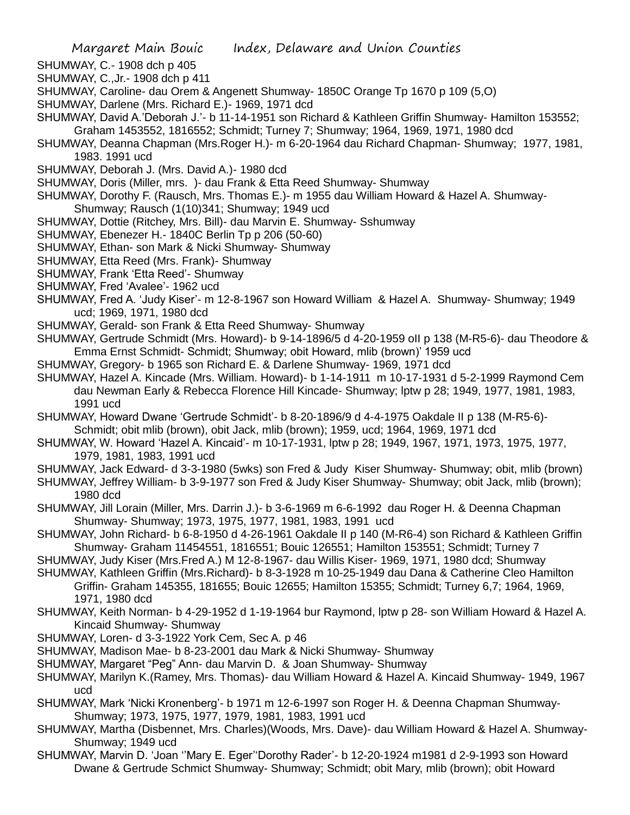- SHUMWAY, C.- 1908 dch p 405
- SHUMWAY, C.,Jr.- 1908 dch p 411
- SHUMWAY, Caroline- dau Orem & Angenett Shumway- 1850C Orange Tp 1670 p 109 (5,O)
- SHUMWAY, Darlene (Mrs. Richard E.)- 1969, 1971 dcd
- SHUMWAY, David A.'Deborah J.'- b 11-14-1951 son Richard & Kathleen Griffin Shumway- Hamilton 153552; Graham 1453552, 1816552; Schmidt; Turney 7; Shumway; 1964, 1969, 1971, 1980 dcd
- SHUMWAY, Deanna Chapman (Mrs.Roger H.)- m 6-20-1964 dau Richard Chapman- Shumway; 1977, 1981, 1983. 1991 ucd
- SHUMWAY, Deborah J. (Mrs. David A.)- 1980 dcd
- SHUMWAY, Doris (Miller, mrs. )- dau Frank & Etta Reed Shumway- Shumway
- SHUMWAY, Dorothy F. (Rausch, Mrs. Thomas E.)- m 1955 dau William Howard & Hazel A. Shumway-Shumway; Rausch (1(10)341; Shumway; 1949 ucd
- SHUMWAY, Dottie (Ritchey, Mrs. Bill)- dau Marvin E. Shumway- Sshumway
- SHUMWAY, Ebenezer H.- 1840C Berlin Tp p 206 (50-60)
- SHUMWAY, Ethan- son Mark & Nicki Shumway- Shumway
- SHUMWAY, Etta Reed (Mrs. Frank)- Shumway
- SHUMWAY, Frank 'Etta Reed'- Shumway
- SHUMWAY, Fred 'Avalee'- 1962 ucd
- SHUMWAY, Fred A. 'Judy Kiser'- m 12-8-1967 son Howard William & Hazel A. Shumway- Shumway; 1949 ucd; 1969, 1971, 1980 dcd
- SHUMWAY, Gerald- son Frank & Etta Reed Shumway- Shumway
- SHUMWAY, Gertrude Schmidt (Mrs. Howard)- b 9-14-1896/5 d 4-20-1959 oII p 138 (M-R5-6)- dau Theodore & Emma Ernst Schmidt- Schmidt; Shumway; obit Howard, mlib (brown)' 1959 ucd
- SHUMWAY, Gregory- b 1965 son Richard E. & Darlene Shumway- 1969, 1971 dcd
- SHUMWAY, Hazel A. Kincade (Mrs. William. Howard)- b 1-14-1911 m 10-17-1931 d 5-2-1999 Raymond Cem dau Newman Early & Rebecca Florence Hill Kincade- Shumway; lptw p 28; 1949, 1977, 1981, 1983, 1991 ucd
- SHUMWAY, Howard Dwane 'Gertrude Schmidt'- b 8-20-1896/9 d 4-4-1975 Oakdale II p 138 (M-R5-6)- Schmidt; obit mlib (brown), obit Jack, mlib (brown); 1959, ucd; 1964, 1969, 1971 dcd
- SHUMWAY, W. Howard 'Hazel A. Kincaid'- m 10-17-1931, lptw p 28; 1949, 1967, 1971, 1973, 1975, 1977, 1979, 1981, 1983, 1991 ucd
- SHUMWAY, Jack Edward- d 3-3-1980 (5wks) son Fred & Judy Kiser Shumway- Shumway; obit, mlib (brown)
- SHUMWAY, Jeffrey William- b 3-9-1977 son Fred & Judy Kiser Shumway- Shumway; obit Jack, mlib (brown); 1980 dcd
- SHUMWAY, Jill Lorain (Miller, Mrs. Darrin J.)- b 3-6-1969 m 6-6-1992 dau Roger H. & Deenna Chapman Shumway- Shumway; 1973, 1975, 1977, 1981, 1983, 1991 ucd
- SHUMWAY, John Richard- b 6-8-1950 d 4-26-1961 Oakdale II p 140 (M-R6-4) son Richard & Kathleen Griffin Shumway- Graham 11454551, 1816551; Bouic 126551; Hamilton 153551; Schmidt; Turney 7
- SHUMWAY, Judy Kiser (Mrs.Fred A.) M 12-8-1967- dau Willis Kiser- 1969, 1971, 1980 dcd; Shumway
- SHUMWAY, Kathleen Griffin (Mrs.Richard)- b 8-3-1928 m 10-25-1949 dau Dana & Catherine Cleo Hamilton Griffin- Graham 145355, 181655; Bouic 12655; Hamilton 15355; Schmidt; Turney 6,7; 1964, 1969, 1971, 1980 dcd
- SHUMWAY, Keith Norman- b 4-29-1952 d 1-19-1964 bur Raymond, lptw p 28- son William Howard & Hazel A. Kincaid Shumway- Shumway
- SHUMWAY, Loren- d 3-3-1922 York Cem, Sec A. p 46
- SHUMWAY, Madison Mae- b 8-23-2001 dau Mark & Nicki Shumway- Shumway
- SHUMWAY, Margaret "Peg" Ann- dau Marvin D. & Joan Shumway- Shumway
- SHUMWAY, Marilyn K.(Ramey, Mrs. Thomas)- dau William Howard & Hazel A. Kincaid Shumway- 1949, 1967 ucd
- SHUMWAY, Mark 'Nicki Kronenberg'- b 1971 m 12-6-1997 son Roger H. & Deenna Chapman Shumway-Shumway; 1973, 1975, 1977, 1979, 1981, 1983, 1991 ucd
- SHUMWAY, Martha (Disbennet, Mrs. Charles)(Woods, Mrs. Dave)- dau William Howard & Hazel A. Shumway-Shumway; 1949 ucd
- SHUMWAY, Marvin D. 'Joan ''Mary E. Eger''Dorothy Rader'- b 12-20-1924 m1981 d 2-9-1993 son Howard Dwane & Gertrude Schmict Shumway- Shumway; Schmidt; obit Mary, mlib (brown); obit Howard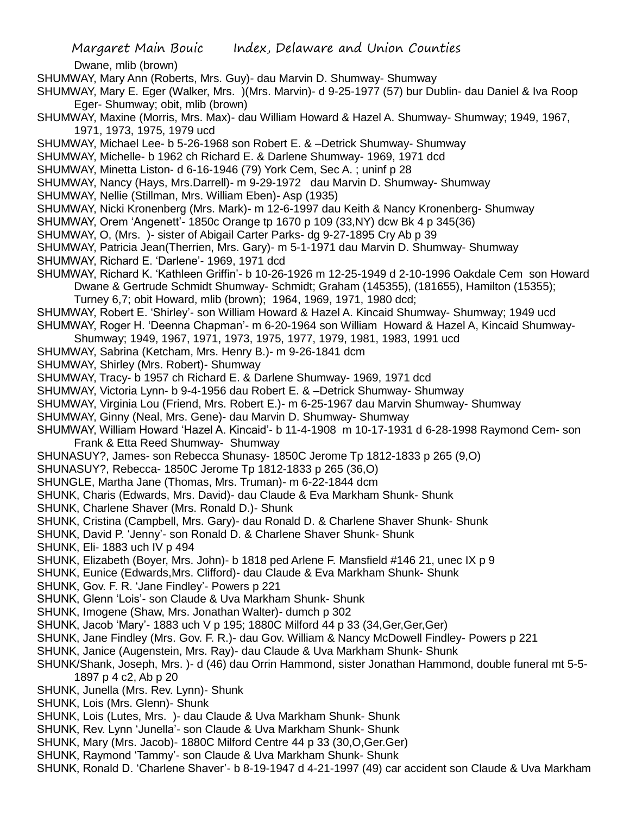Dwane, mlib (brown)

- SHUMWAY, Mary Ann (Roberts, Mrs. Guy)- dau Marvin D. Shumway- Shumway
- SHUMWAY, Mary E. Eger (Walker, Mrs. )(Mrs. Marvin)- d 9-25-1977 (57) bur Dublin- dau Daniel & Iva Roop Eger- Shumway; obit, mlib (brown)
- SHUMWAY, Maxine (Morris, Mrs. Max)- dau William Howard & Hazel A. Shumway- Shumway; 1949, 1967, 1971, 1973, 1975, 1979 ucd
- SHUMWAY, Michael Lee- b 5-26-1968 son Robert E. & –Detrick Shumway- Shumway
- SHUMWAY, Michelle- b 1962 ch Richard E. & Darlene Shumway- 1969, 1971 dcd
- SHUMWAY, Minetta Liston- d 6-16-1946 (79) York Cem, Sec A. ; uninf p 28
- SHUMWAY, Nancy (Hays, Mrs.Darrell)- m 9-29-1972 dau Marvin D. Shumway- Shumway
- SHUMWAY, Nellie (Stillman, Mrs. William Eben)- Asp (1935)
- SHUMWAY, Nicki Kronenberg (Mrs. Mark)- m 12-6-1997 dau Keith & Nancy Kronenberg- Shumway
- SHUMWAY, Orem 'Angenett'- 1850c Orange tp 1670 p 109 (33,NY) dcw Bk 4 p 345(36)
- SHUMWAY, O, (Mrs. )- sister of Abigail Carter Parks- dg 9-27-1895 Cry Ab p 39
- SHUMWAY, Patricia Jean(Therrien, Mrs. Gary)- m 5-1-1971 dau Marvin D. Shumway- Shumway
- SHUMWAY, Richard E. 'Darlene'- 1969, 1971 dcd
- SHUMWAY, Richard K. 'Kathleen Griffin'- b 10-26-1926 m 12-25-1949 d 2-10-1996 Oakdale Cem son Howard Dwane & Gertrude Schmidt Shumway- Schmidt; Graham (145355), (181655), Hamilton (15355);
	- Turney 6,7; obit Howard, mlib (brown); 1964, 1969, 1971, 1980 dcd;
- SHUMWAY, Robert E. 'Shirley'- son William Howard & Hazel A. Kincaid Shumway- Shumway; 1949 ucd SHUMWAY, Roger H. 'Deenna Chapman'- m 6-20-1964 son William Howard & Hazel A, Kincaid Shumway-
- Shumway; 1949, 1967, 1971, 1973, 1975, 1977, 1979, 1981, 1983, 1991 ucd
- SHUMWAY, Sabrina (Ketcham, Mrs. Henry B.)- m 9-26-1841 dcm
- SHUMWAY, Shirley (Mrs. Robert)- Shumway
- SHUMWAY, Tracy- b 1957 ch Richard E. & Darlene Shumway- 1969, 1971 dcd
- SHUMWAY, Victoria Lynn- b 9-4-1956 dau Robert E. & –Detrick Shumway- Shumway
- SHUMWAY, Virginia Lou (Friend, Mrs. Robert E.)- m 6-25-1967 dau Marvin Shumway- Shumway
- SHUMWAY, Ginny (Neal, Mrs. Gene)- dau Marvin D. Shumway- Shumway
- SHUMWAY, William Howard 'Hazel A. Kincaid'- b 11-4-1908 m 10-17-1931 d 6-28-1998 Raymond Cem- son Frank & Etta Reed Shumway- Shumway
- SHUNASUY?, James- son Rebecca Shunasy- 1850C Jerome Tp 1812-1833 p 265 (9,O)
- SHUNASUY?, Rebecca- 1850C Jerome Tp 1812-1833 p 265 (36,O)
- SHUNGLE, Martha Jane (Thomas, Mrs. Truman)- m 6-22-1844 dcm
- SHUNK, Charis (Edwards, Mrs. David)- dau Claude & Eva Markham Shunk- Shunk
- SHUNK, Charlene Shaver (Mrs. Ronald D.)- Shunk
- SHUNK, Cristina (Campbell, Mrs. Gary)- dau Ronald D. & Charlene Shaver Shunk- Shunk
- SHUNK, David P. 'Jenny'- son Ronald D. & Charlene Shaver Shunk- Shunk
- SHUNK, Eli- 1883 uch IV p 494
- SHUNK, Elizabeth (Boyer, Mrs. John)- b 1818 ped Arlene F. Mansfield #146 21, unec IX p 9
- SHUNK, Eunice (Edwards,Mrs. Clifford)- dau Claude & Eva Markham Shunk- Shunk
- SHUNK, Gov. F. R. 'Jane Findley'- Powers p 221
- SHUNK, Glenn 'Lois'- son Claude & Uva Markham Shunk- Shunk
- SHUNK, Imogene (Shaw, Mrs. Jonathan Walter)- dumch p 302
- SHUNK, Jacob 'Mary'- 1883 uch V p 195; 1880C Milford 44 p 33 (34,Ger,Ger,Ger)
- SHUNK, Jane Findley (Mrs. Gov. F. R.)- dau Gov. William & Nancy McDowell Findley- Powers p 221
- SHUNK, Janice (Augenstein, Mrs. Ray)- dau Claude & Uva Markham Shunk- Shunk
- SHUNK/Shank, Joseph, Mrs. )- d (46) dau Orrin Hammond, sister Jonathan Hammond, double funeral mt 5-5- 1897 p 4 c2, Ab p 20
- SHUNK, Junella (Mrs. Rev. Lynn)- Shunk
- SHUNK, Lois (Mrs. Glenn)- Shunk
- SHUNK, Lois (Lutes, Mrs. )- dau Claude & Uva Markham Shunk- Shunk
- SHUNK, Rev. Lynn 'Junella'- son Claude & Uva Markham Shunk- Shunk
- SHUNK, Mary (Mrs. Jacob)- 1880C Milford Centre 44 p 33 (30,O,Ger.Ger)
- SHUNK, Raymond 'Tammy'- son Claude & Uva Markham Shunk- Shunk
- SHUNK, Ronald D. 'Charlene Shaver'- b 8-19-1947 d 4-21-1997 (49) car accident son Claude & Uva Markham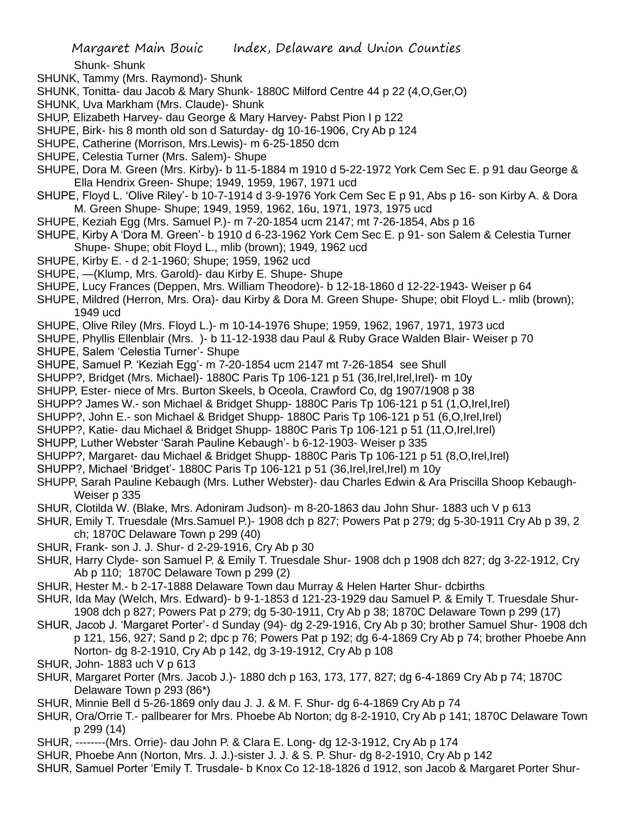Shunk- Shunk

- SHUNK, Tammy (Mrs. Raymond)- Shunk
- SHUNK, Tonitta- dau Jacob & Mary Shunk- 1880C Milford Centre 44 p 22 (4,O,Ger,O)
- SHUNK, Uva Markham (Mrs. Claude)- Shunk
- SHUP, Elizabeth Harvey- dau George & Mary Harvey- Pabst Pion I p 122
- SHUPE, Birk- his 8 month old son d Saturday- dg 10-16-1906, Cry Ab p 124
- SHUPE, Catherine (Morrison, Mrs.Lewis)- m 6-25-1850 dcm
- SHUPE, Celestia Turner (Mrs. Salem)- Shupe
- SHUPE, Dora M. Green (Mrs. Kirby)- b 11-5-1884 m 1910 d 5-22-1972 York Cem Sec E. p 91 dau George & Ella Hendrix Green- Shupe; 1949, 1959, 1967, 1971 ucd
- SHUPE, Floyd L. 'Olive Riley'- b 10-7-1914 d 3-9-1976 York Cem Sec E p 91, Abs p 16- son Kirby A. & Dora M. Green Shupe- Shupe; 1949, 1959, 1962, 16u, 1971, 1973, 1975 ucd
- SHUPE, Keziah Egg (Mrs. Samuel P.)- m 7-20-1854 ucm 2147; mt 7-26-1854, Abs p 16
- SHUPE, Kirby A 'Dora M. Green'- b 1910 d 6-23-1962 York Cem Sec E. p 91- son Salem & Celestia Turner Shupe- Shupe; obit Floyd L., mlib (brown); 1949, 1962 ucd
- SHUPE, Kirby E. d 2-1-1960; Shupe; 1959, 1962 ucd
- SHUPE, —(Klump, Mrs. Garold)- dau Kirby E. Shupe- Shupe
- SHUPE, Lucy Frances (Deppen, Mrs. William Theodore)- b 12-18-1860 d 12-22-1943- Weiser p 64
- SHUPE, Mildred (Herron, Mrs. Ora)- dau Kirby & Dora M. Green Shupe- Shupe; obit Floyd L.- mlib (brown); 1949 ucd
- SHUPE, Olive Riley (Mrs. Floyd L.)- m 10-14-1976 Shupe; 1959, 1962, 1967, 1971, 1973 ucd
- SHUPE, Phyllis Ellenblair (Mrs. )- b 11-12-1938 dau Paul & Ruby Grace Walden Blair- Weiser p 70
- SHUPE, Salem 'Celestia Turner'- Shupe
- SHUPE, Samuel P. 'Keziah Egg'- m 7-20-1854 ucm 2147 mt 7-26-1854 see Shull
- SHUPP?, Bridget (Mrs. Michael)- 1880C Paris Tp 106-121 p 51 (36,Irel,Irel,Irel)- m 10y
- SHUPP, Ester- niece of Mrs. Burton Skeels, b Oceola, Crawford Co, dg 1907/1908 p 38
- SHUPP? James W.- son Michael & Bridget Shupp- 1880C Paris Tp 106-121 p 51 (1,O,Irel,Irel)
- SHUPP?, John E.- son Michael & Bridget Shupp- 1880C Paris Tp 106-121 p 51 (6,O,Irel,Irel)
- SHUPP?, Katie- dau Michael & Bridget Shupp- 1880C Paris Tp 106-121 p 51 (11,O,Irel,Irel)
- SHUPP, Luther Webster 'Sarah Pauline Kebaugh'- b 6-12-1903- Weiser p 335
- SHUPP?, Margaret- dau Michael & Bridget Shupp- 1880C Paris Tp 106-121 p 51 (8,O,Irel,Irel)
- SHUPP?, Michael 'Bridget'- 1880C Paris Tp 106-121 p 51 (36,Irel,Irel,Irel) m 10y
- SHUPP, Sarah Pauline Kebaugh (Mrs. Luther Webster)- dau Charles Edwin & Ara Priscilla Shoop Kebaugh-Weiser p 335
- SHUR, Clotilda W. (Blake, Mrs. Adoniram Judson)- m 8-20-1863 dau John Shur- 1883 uch V p 613
- SHUR, Emily T. Truesdale (Mrs.Samuel P.)- 1908 dch p 827; Powers Pat p 279; dg 5-30-1911 Cry Ab p 39, 2 ch; 1870C Delaware Town p 299 (40)
- SHUR, Frank- son J. J. Shur- d 2-29-1916, Cry Ab p 30
- SHUR, Harry Clyde- son Samuel P. & Emily T. Truesdale Shur- 1908 dch p 1908 dch 827; dg 3-22-1912, Cry Ab p 110; 1870C Delaware Town p 299 (2)
- SHUR, Hester M.- b 2-17-1888 Delaware Town dau Murray & Helen Harter Shur- dcbirths
- SHUR, Ida May (Welch, Mrs. Edward)- b 9-1-1853 d 121-23-1929 dau Samuel P. & Emily T. Truesdale Shur-1908 dch p 827; Powers Pat p 279; dg 5-30-1911, Cry Ab p 38; 1870C Delaware Town p 299 (17)
- SHUR, Jacob J. 'Margaret Porter'- d Sunday (94)- dg 2-29-1916, Cry Ab p 30; brother Samuel Shur- 1908 dch p 121, 156, 927; Sand p 2; dpc p 76; Powers Pat p 192; dg 6-4-1869 Cry Ab p 74; brother Phoebe Ann Norton- dg 8-2-1910, Cry Ab p 142, dg 3-19-1912, Cry Ab p 108
- SHUR, John- 1883 uch V p 613
- SHUR, Margaret Porter (Mrs. Jacob J.)- 1880 dch p 163, 173, 177, 827; dg 6-4-1869 Cry Ab p 74; 1870C Delaware Town p 293 (86\*)
- SHUR, Minnie Bell d 5-26-1869 only dau J. J. & M. F. Shur- dg 6-4-1869 Cry Ab p 74
- SHUR, Ora/Orrie T.- pallbearer for Mrs. Phoebe Ab Norton; dg 8-2-1910, Cry Ab p 141; 1870C Delaware Town p 299 (14)
- SHUR, --------(Mrs. Orrie)- dau John P. & Clara E. Long- dg 12-3-1912, Cry Ab p 174
- SHUR, Phoebe Ann (Norton, Mrs. J. J.)-sister J. J. & S. P. Shur- dg 8-2-1910, Cry Ab p 142
- SHUR, Samuel Porter 'Emily T. Trusdale- b Knox Co 12-18-1826 d 1912, son Jacob & Margaret Porter Shur-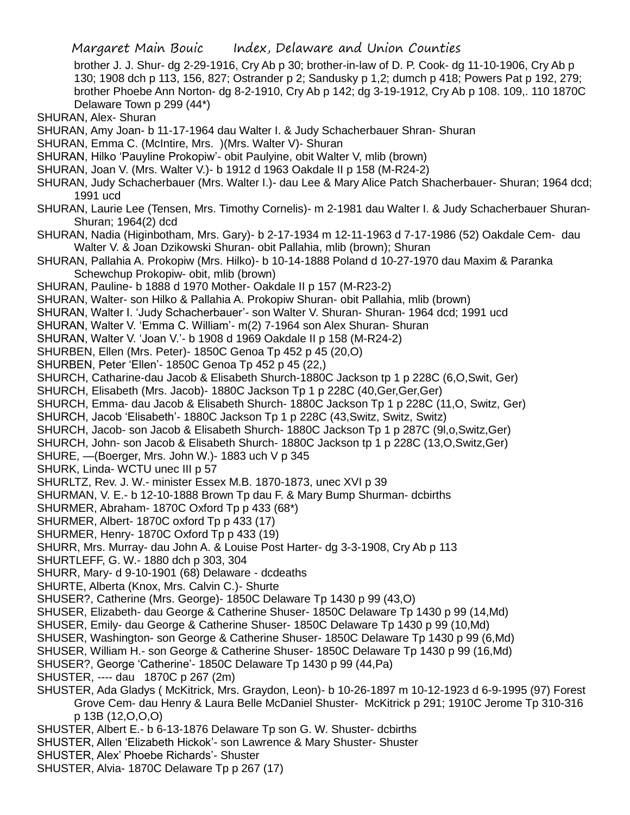brother J. J. Shur- dg 2-29-1916, Cry Ab p 30; brother-in-law of D. P. Cook- dg 11-10-1906, Cry Ab p 130; 1908 dch p 113, 156, 827; Ostrander p 2; Sandusky p 1,2; dumch p 418; Powers Pat p 192, 279; brother Phoebe Ann Norton- dg 8-2-1910, Cry Ab p 142; dg 3-19-1912, Cry Ab p 108. 109,. 110 1870C Delaware Town p 299 (44\*)

SHURAN, Alex- Shuran

SHURAN, Amy Joan- b 11-17-1964 dau Walter I. & Judy Schacherbauer Shran- Shuran

- SHURAN, Emma C. (McIntire, Mrs. )(Mrs. Walter V)- Shuran
- SHURAN, Hilko 'Pauyline Prokopiw'- obit Paulyine, obit Walter V, mlib (brown)
- SHURAN, Joan V. (Mrs. Walter V.)- b 1912 d 1963 Oakdale II p 158 (M-R24-2)
- SHURAN, Judy Schacherbauer (Mrs. Walter I.)- dau Lee & Mary Alice Patch Shacherbauer- Shuran; 1964 dcd; 1991 ucd
- SHURAN, Laurie Lee (Tensen, Mrs. Timothy Cornelis)- m 2-1981 dau Walter I. & Judy Schacherbauer Shuran-Shuran; 1964(2) dcd
- SHURAN, Nadia (Higinbotham, Mrs. Gary)- b 2-17-1934 m 12-11-1963 d 7-17-1986 (52) Oakdale Cem- dau Walter V. & Joan Dzikowski Shuran- obit Pallahia, mlib (brown); Shuran
- SHURAN, Pallahia A. Prokopiw (Mrs. Hilko)- b 10-14-1888 Poland d 10-27-1970 dau Maxim & Paranka Schewchup Prokopiw- obit, mlib (brown)
- SHURAN, Pauline- b 1888 d 1970 Mother- Oakdale II p 157 (M-R23-2)
- SHURAN, Walter- son Hilko & Pallahia A. Prokopiw Shuran- obit Pallahia, mlib (brown)
- SHURAN, Walter I. 'Judy Schacherbauer'- son Walter V. Shuran- Shuran- 1964 dcd; 1991 ucd
- SHURAN, Walter V. 'Emma C. William'- m(2) 7-1964 son Alex Shuran- Shuran
- SHURAN, Walter V. 'Joan V.'- b 1908 d 1969 Oakdale II p 158 (M-R24-2)
- SHURBEN, Ellen (Mrs. Peter)- 1850C Genoa Tp 452 p 45 (20,O)
- SHURBEN, Peter 'Ellen'- 1850C Genoa Tp 452 p 45 (22,)

SHURCH, Catharine-dau Jacob & Elisabeth Shurch-1880C Jackson tp 1 p 228C (6,O,Swit, Ger)

SHURCH, Elisabeth (Mrs. Jacob)- 1880C Jackson Tp 1 p 228C (40, Ger, Ger, Ger)

SHURCH, Emma- dau Jacob & Elisabeth Shurch- 1880C Jackson Tp 1 p 228C (11,O, Switz, Ger)

SHURCH, Jacob 'Elisabeth'- 1880C Jackson Tp 1 p 228C (43,Switz, Switz, Switz)

SHURCH, Jacob- son Jacob & Elisabeth Shurch- 1880C Jackson Tp 1 p 287C (9l,o,Switz,Ger)

SHURCH, John- son Jacob & Elisabeth Shurch- 1880C Jackson tp 1 p 228C (13,O,Switz,Ger)

SHURE, —(Boerger, Mrs. John W.)- 1883 uch V p 345

SHURK, Linda- WCTU unec III p 57

SHURLTZ, Rev. J. W.- minister Essex M.B. 1870-1873, unec XVI p 39

SHURMAN, V. E.- b 12-10-1888 Brown Tp dau F. & Mary Bump Shurman- dcbirths

SHURMER, Abraham- 1870C Oxford Tp p 433 (68\*)

SHURMER, Albert- 1870C oxford Tp p 433 (17)

SHURMER, Henry- 1870C Oxford Tp p 433 (19)

SHURR, Mrs. Murray- dau John A. & Louise Post Harter- dg 3-3-1908, Cry Ab p 113

SHURTLEFF, G. W.- 1880 dch p 303, 304

SHURR, Mary- d 9-10-1901 (68) Delaware - dcdeaths

SHURTE, Alberta (Knox, Mrs. Calvin C.)- Shurte

SHUSER?, Catherine (Mrs. George)- 1850C Delaware Tp 1430 p 99 (43,O)

SHUSER, Elizabeth- dau George & Catherine Shuser- 1850C Delaware Tp 1430 p 99 (14,Md)

SHUSER, Emily- dau George & Catherine Shuser- 1850C Delaware Tp 1430 p 99 (10,Md)

- SHUSER, Washington- son George & Catherine Shuser- 1850C Delaware Tp 1430 p 99 (6,Md)
- SHUSER, William H.- son George & Catherine Shuser- 1850C Delaware Tp 1430 p 99 (16,Md)
- SHUSER?, George 'Catherine'- 1850C Delaware Tp 1430 p 99 (44,Pa)

SHUSTER, ---- dau 1870C p 267 (2m)

- SHUSTER, Ada Gladys ( McKitrick, Mrs. Graydon, Leon)- b 10-26-1897 m 10-12-1923 d 6-9-1995 (97) Forest Grove Cem- dau Henry & Laura Belle McDaniel Shuster- McKitrick p 291; 1910C Jerome Tp 310-316 p 13B (12,O,O,O)
- SHUSTER, Albert E.- b 6-13-1876 Delaware Tp son G. W. Shuster- dcbirths
- SHUSTER, Allen 'Elizabeth Hickok'- son Lawrence & Mary Shuster- Shuster
- SHUSTER, Alex' Phoebe Richards'- Shuster

SHUSTER, Alvia- 1870C Delaware Tp p 267 (17)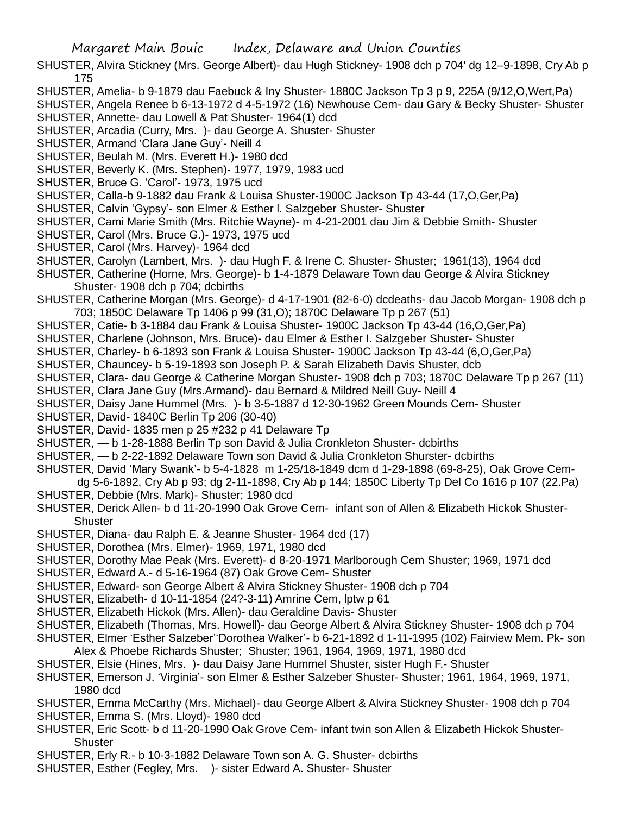- SHUSTER, Alvira Stickney (Mrs. George Albert)- dau Hugh Stickney- 1908 dch p 704' dg 12–9-1898, Cry Ab p 175
- SHUSTER, Amelia- b 9-1879 dau Faebuck & Iny Shuster- 1880C Jackson Tp 3 p 9, 225A (9/12,O,Wert,Pa)

SHUSTER, Angela Renee b 6-13-1972 d 4-5-1972 (16) Newhouse Cem- dau Gary & Becky Shuster- Shuster

- SHUSTER, Annette- dau Lowell & Pat Shuster- 1964(1) dcd
- SHUSTER, Arcadia (Curry, Mrs. )- dau George A. Shuster- Shuster
- SHUSTER, Armand 'Clara Jane Guy'- Neill 4
- SHUSTER, Beulah M. (Mrs. Everett H.)- 1980 dcd
- SHUSTER, Beverly K. (Mrs. Stephen)- 1977, 1979, 1983 ucd
- SHUSTER, Bruce G. 'Carol'- 1973, 1975 ucd
- SHUSTER, Calla-b 9-1882 dau Frank & Louisa Shuster-1900C Jackson Tp 43-44 (17,O,Ger,Pa)
- SHUSTER, Calvin 'Gypsy'- son Elmer & Esther l. Salzgeber Shuster- Shuster
- SHUSTER, Cami Marie Smith (Mrs. Ritchie Wayne)- m 4-21-2001 dau Jim & Debbie Smith- Shuster
- SHUSTER, Carol (Mrs. Bruce G.)- 1973, 1975 ucd
- SHUSTER, Carol (Mrs. Harvey)- 1964 dcd
- SHUSTER, Carolyn (Lambert, Mrs. )- dau Hugh F. & Irene C. Shuster- Shuster; 1961(13), 1964 dcd
- SHUSTER, Catherine (Horne, Mrs. George)- b 1-4-1879 Delaware Town dau George & Alvira Stickney Shuster- 1908 dch p 704; dcbirths
- SHUSTER, Catherine Morgan (Mrs. George)- d 4-17-1901 (82-6-0) dcdeaths- dau Jacob Morgan- 1908 dch p 703; 1850C Delaware Tp 1406 p 99 (31,O); 1870C Delaware Tp p 267 (51)
- SHUSTER, Catie- b 3-1884 dau Frank & Louisa Shuster- 1900C Jackson Tp 43-44 (16,O,Ger,Pa)
- SHUSTER, Charlene (Johnson, Mrs. Bruce)- dau Elmer & Esther I. Salzgeber Shuster- Shuster
- SHUSTER, Charley- b 6-1893 son Frank & Louisa Shuster- 1900C Jackson Tp 43-44 (6,O,Ger,Pa)
- SHUSTER, Chauncey- b 5-19-1893 son Joseph P. & Sarah Elizabeth Davis Shuster, dcb
- SHUSTER, Clara- dau George & Catherine Morgan Shuster- 1908 dch p 703; 1870C Delaware Tp p 267 (11)
- SHUSTER, Clara Jane Guy (Mrs.Armand)- dau Bernard & Mildred Neill Guy- Neill 4
- SHUSTER, Daisy Jane Hummel (Mrs. )- b 3-5-1887 d 12-30-1962 Green Mounds Cem- Shuster
- SHUSTER, David- 1840C Berlin Tp 206 (30-40)
- SHUSTER, David- 1835 men p 25 #232 p 41 Delaware Tp
- SHUSTER, b 1-28-1888 Berlin Tp son David & Julia Cronkleton Shuster- dcbirths
- SHUSTER, b 2-22-1892 Delaware Town son David & Julia Cronkleton Shurster- dcbirths
- SHUSTER, David 'Mary Swank'- b 5-4-1828 m 1-25/18-1849 dcm d 1-29-1898 (69-8-25), Oak Grove Cem-
- dg 5-6-1892, Cry Ab p 93; dg 2-11-1898, Cry Ab p 144; 1850C Liberty Tp Del Co 1616 p 107 (22.Pa) SHUSTER, Debbie (Mrs. Mark)- Shuster; 1980 dcd
- SHUSTER, Derick Allen- b d 11-20-1990 Oak Grove Cem- infant son of Allen & Elizabeth Hickok Shuster-**Shuster**
- SHUSTER, Diana- dau Ralph E. & Jeanne Shuster- 1964 dcd (17)
- SHUSTER, Dorothea (Mrs. Elmer)- 1969, 1971, 1980 dcd
- SHUSTER, Dorothy Mae Peak (Mrs. Everett)- d 8-20-1971 Marlborough Cem Shuster; 1969, 1971 dcd
- SHUSTER, Edward A.- d 5-16-1964 (87) Oak Grove Cem- Shuster
- SHUSTER, Edward- son George Albert & Alvira Stickney Shuster- 1908 dch p 704
- SHUSTER, Elizabeth- d 10-11-1854 (24?-3-11) Amrine Cem, lptw p 61
- SHUSTER, Elizabeth Hickok (Mrs. Allen)- dau Geraldine Davis- Shuster
- SHUSTER, Elizabeth (Thomas, Mrs. Howell)- dau George Albert & Alvira Stickney Shuster- 1908 dch p 704
- SHUSTER, Elmer 'Esther Salzeber''Dorothea Walker'- b 6-21-1892 d 1-11-1995 (102) Fairview Mem. Pk- son Alex & Phoebe Richards Shuster; Shuster; 1961, 1964, 1969, 1971, 1980 dcd
- SHUSTER, Elsie (Hines, Mrs. )- dau Daisy Jane Hummel Shuster, sister Hugh F.- Shuster
- SHUSTER, Emerson J. 'Virginia'- son Elmer & Esther Salzeber Shuster- Shuster; 1961, 1964, 1969, 1971, 1980 dcd
- SHUSTER, Emma McCarthy (Mrs. Michael)- dau George Albert & Alvira Stickney Shuster- 1908 dch p 704
- SHUSTER, Emma S. (Mrs. Lloyd)- 1980 dcd
- SHUSTER, Eric Scott- b d 11-20-1990 Oak Grove Cem- infant twin son Allen & Elizabeth Hickok Shuster-**Shuster**
- SHUSTER, Erly R.- b 10-3-1882 Delaware Town son A. G. Shuster- dcbirths
- SHUSTER, Esther (Fegley, Mrs. )- sister Edward A. Shuster- Shuster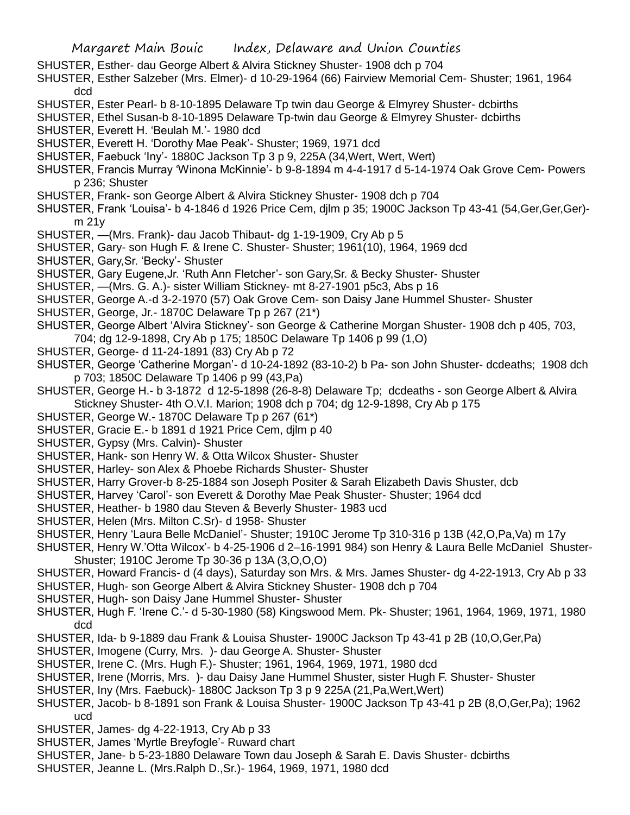- SHUSTER, Esther- dau George Albert & Alvira Stickney Shuster- 1908 dch p 704
- SHUSTER, Esther Salzeber (Mrs. Elmer)- d 10-29-1964 (66) Fairview Memorial Cem- Shuster; 1961, 1964 dcd
- SHUSTER, Ester Pearl- b 8-10-1895 Delaware Tp twin dau George & Elmyrey Shuster- dcbirths
- SHUSTER, Ethel Susan-b 8-10-1895 Delaware Tp-twin dau George & Elmyrey Shuster- dcbirths
- SHUSTER, Everett H. 'Beulah M.'- 1980 dcd
- SHUSTER, Everett H. 'Dorothy Mae Peak'- Shuster; 1969, 1971 dcd
- SHUSTER, Faebuck 'Iny'- 1880C Jackson Tp 3 p 9, 225A (34,Wert, Wert, Wert)
- SHUSTER, Francis Murray 'Winona McKinnie'- b 9-8-1894 m 4-4-1917 d 5-14-1974 Oak Grove Cem- Powers p 236; Shuster
- SHUSTER, Frank- son George Albert & Alvira Stickney Shuster- 1908 dch p 704
- SHUSTER, Frank 'Louisa'- b 4-1846 d 1926 Price Cem, djlm p 35; 1900C Jackson Tp 43-41 (54,Ger,Ger,Ger) m 21y
- SHUSTER, —(Mrs. Frank)- dau Jacob Thibaut- dg 1-19-1909, Cry Ab p 5
- SHUSTER, Gary- son Hugh F. & Irene C. Shuster- Shuster; 1961(10), 1964, 1969 dcd
- SHUSTER, Gary,Sr. 'Becky'- Shuster
- SHUSTER, Gary Eugene,Jr. 'Ruth Ann Fletcher'- son Gary,Sr. & Becky Shuster- Shuster
- SHUSTER, —(Mrs. G. A.)- sister William Stickney- mt 8-27-1901 p5c3, Abs p 16
- SHUSTER, George A.-d 3-2-1970 (57) Oak Grove Cem- son Daisy Jane Hummel Shuster- Shuster
- SHUSTER, George, Jr.- 1870C Delaware Tp p 267 (21\*)
- SHUSTER, George Albert 'Alvira Stickney'- son George & Catherine Morgan Shuster- 1908 dch p 405, 703, 704; dg 12-9-1898, Cry Ab p 175; 1850C Delaware Tp 1406 p 99 (1,O)
- SHUSTER, George- d 11-24-1891 (83) Cry Ab p 72
- SHUSTER, George 'Catherine Morgan'- d 10-24-1892 (83-10-2) b Pa- son John Shuster- dcdeaths; 1908 dch p 703; 1850C Delaware Tp 1406 p 99 (43,Pa)
- SHUSTER, George H.- b 3-1872 d 12-5-1898 (26-8-8) Delaware Tp; dcdeaths son George Albert & Alvira Stickney Shuster- 4th O.V.I. Marion; 1908 dch p 704; dg 12-9-1898, Cry Ab p 175
- SHUSTER, George W.- 1870C Delaware Tp p 267 (61\*)
- SHUSTER, Gracie E.- b 1891 d 1921 Price Cem, djlm p 40
- SHUSTER, Gypsy (Mrs. Calvin)- Shuster
- SHUSTER, Hank- son Henry W. & Otta Wilcox Shuster- Shuster
- SHUSTER, Harley- son Alex & Phoebe Richards Shuster- Shuster
- SHUSTER, Harry Grover-b 8-25-1884 son Joseph Positer & Sarah Elizabeth Davis Shuster, dcb
- SHUSTER, Harvey 'Carol'- son Everett & Dorothy Mae Peak Shuster- Shuster; 1964 dcd
- SHUSTER, Heather- b 1980 dau Steven & Beverly Shuster- 1983 ucd
- SHUSTER, Helen (Mrs. Milton C.Sr)- d 1958- Shuster
- SHUSTER, Henry 'Laura Belle McDaniel'- Shuster; 1910C Jerome Tp 310-316 p 13B (42,O,Pa,Va) m 17y
- SHUSTER, Henry W.'Otta Wilcox'- b 4-25-1906 d 2–16-1991 984) son Henry & Laura Belle McDaniel Shuster-Shuster; 1910C Jerome Tp 30-36 p 13A (3,O,O,O)
- SHUSTER, Howard Francis- d (4 days), Saturday son Mrs. & Mrs. James Shuster- dg 4-22-1913, Cry Ab p 33 SHUSTER, Hugh- son George Albert & Alvira Stickney Shuster- 1908 dch p 704
- SHUSTER, Hugh- son Daisy Jane Hummel Shuster- Shuster
- SHUSTER, Hugh F. 'Irene C.'- d 5-30-1980 (58) Kingswood Mem. Pk- Shuster; 1961, 1964, 1969, 1971, 1980 dcd
- SHUSTER, Ida- b 9-1889 dau Frank & Louisa Shuster- 1900C Jackson Tp 43-41 p 2B (10,O,Ger,Pa)
- SHUSTER, Imogene (Curry, Mrs. )- dau George A. Shuster- Shuster
- SHUSTER, Irene C. (Mrs. Hugh F.)- Shuster; 1961, 1964, 1969, 1971, 1980 dcd
- SHUSTER, Irene (Morris, Mrs. )- dau Daisy Jane Hummel Shuster, sister Hugh F. Shuster- Shuster
- SHUSTER, Iny (Mrs. Faebuck)- 1880C Jackson Tp 3 p 9 225A (21,Pa,Wert,Wert)
- SHUSTER, Jacob- b 8-1891 son Frank & Louisa Shuster- 1900C Jackson Tp 43-41 p 2B (8,O,Ger,Pa); 1962 ucd
- SHUSTER, James- dg 4-22-1913, Cry Ab p 33
- SHUSTER, James 'Myrtle Breyfogle'- Ruward chart
- SHUSTER, Jane- b 5-23-1880 Delaware Town dau Joseph & Sarah E. Davis Shuster- dcbirths
- SHUSTER, Jeanne L. (Mrs.Ralph D.,Sr.)- 1964, 1969, 1971, 1980 dcd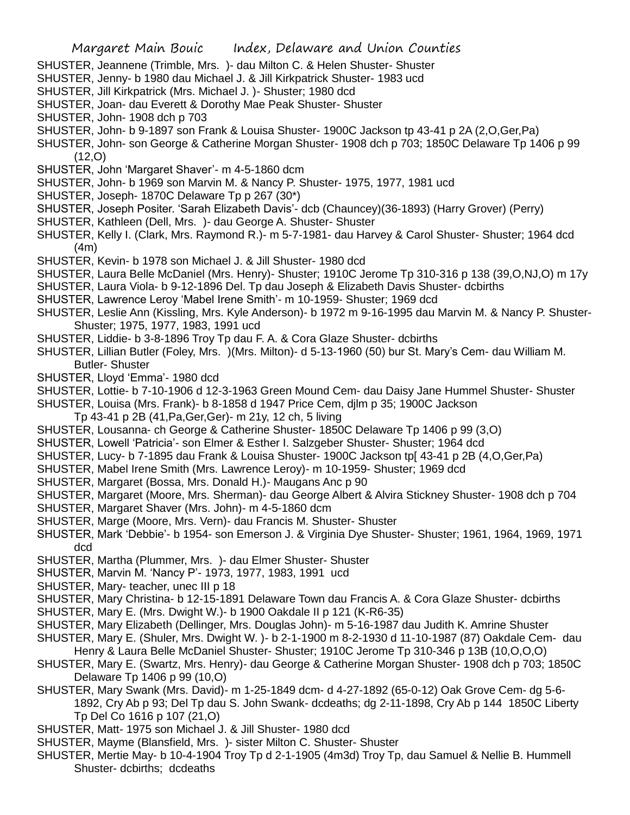- SHUSTER, Jeannene (Trimble, Mrs. )- dau Milton C. & Helen Shuster- Shuster
- SHUSTER, Jenny- b 1980 dau Michael J. & Jill Kirkpatrick Shuster- 1983 ucd
- SHUSTER, Jill Kirkpatrick (Mrs. Michael J. )- Shuster; 1980 dcd
- SHUSTER, Joan- dau Everett & Dorothy Mae Peak Shuster- Shuster
- SHUSTER, John- 1908 dch p 703
- SHUSTER, John- b 9-1897 son Frank & Louisa Shuster- 1900C Jackson tp 43-41 p 2A (2,O,Ger,Pa)
- SHUSTER, John- son George & Catherine Morgan Shuster- 1908 dch p 703; 1850C Delaware Tp 1406 p 99 (12,O)
- SHUSTER, John 'Margaret Shaver'- m 4-5-1860 dcm
- SHUSTER, John- b 1969 son Marvin M. & Nancy P. Shuster- 1975, 1977, 1981 ucd
- SHUSTER, Joseph- 1870C Delaware Tp p 267 (30\*)
- SHUSTER, Joseph Positer. 'Sarah Elizabeth Davis'- dcb (Chauncey)(36-1893) (Harry Grover) (Perry)
- SHUSTER, Kathleen (Dell, Mrs. )- dau George A. Shuster- Shuster
- SHUSTER, Kelly I. (Clark, Mrs. Raymond R.)- m 5-7-1981- dau Harvey & Carol Shuster- Shuster; 1964 dcd (4m)
- SHUSTER, Kevin- b 1978 son Michael J. & Jill Shuster- 1980 dcd
- SHUSTER, Laura Belle McDaniel (Mrs. Henry)- Shuster; 1910C Jerome Tp 310-316 p 138 (39,O,NJ,O) m 17y
- SHUSTER, Laura Viola- b 9-12-1896 Del. Tp dau Joseph & Elizabeth Davis Shuster- dcbirths
- SHUSTER, Lawrence Leroy 'Mabel Irene Smith'- m 10-1959- Shuster; 1969 dcd
- SHUSTER, Leslie Ann (Kissling, Mrs. Kyle Anderson)- b 1972 m 9-16-1995 dau Marvin M. & Nancy P. Shuster-Shuster; 1975, 1977, 1983, 1991 ucd
- SHUSTER, Liddie- b 3-8-1896 Troy Tp dau F. A. & Cora Glaze Shuster- dcbirths
- SHUSTER, Lillian Butler (Foley, Mrs. )(Mrs. Milton)- d 5-13-1960 (50) bur St. Mary's Cem- dau William M. Butler- Shuster
- SHUSTER, Lloyd 'Emma'- 1980 dcd
- SHUSTER, Lottie- b 7-10-1906 d 12-3-1963 Green Mound Cem- dau Daisy Jane Hummel Shuster- Shuster
- SHUSTER, Louisa (Mrs. Frank)- b 8-1858 d 1947 Price Cem, djlm p 35; 1900C Jackson
- Tp 43-41 p 2B (41,Pa,Ger,Ger)- m 21y, 12 ch, 5 living
- SHUSTER, Lousanna- ch George & Catherine Shuster- 1850C Delaware Tp 1406 p 99 (3,O)
- SHUSTER, Lowell 'Patricia'- son Elmer & Esther I. Salzgeber Shuster- Shuster; 1964 dcd
- SHUSTER, Lucy- b 7-1895 dau Frank & Louisa Shuster- 1900C Jackson tp[ 43-41 p 2B (4,O,Ger,Pa)
- SHUSTER, Mabel Irene Smith (Mrs. Lawrence Leroy)- m 10-1959- Shuster; 1969 dcd
- SHUSTER, Margaret (Bossa, Mrs. Donald H.)- Maugans Anc p 90
- SHUSTER, Margaret (Moore, Mrs. Sherman)- dau George Albert & Alvira Stickney Shuster- 1908 dch p 704
- SHUSTER, Margaret Shaver (Mrs. John)- m 4-5-1860 dcm
- SHUSTER, Marge (Moore, Mrs. Vern)- dau Francis M. Shuster- Shuster
- SHUSTER, Mark 'Debbie'- b 1954- son Emerson J. & Virginia Dye Shuster- Shuster; 1961, 1964, 1969, 1971 dcd
- SHUSTER, Martha (Plummer, Mrs. )- dau Elmer Shuster- Shuster
- SHUSTER, Marvin M. 'Nancy P'- 1973, 1977, 1983, 1991 ucd
- SHUSTER, Mary- teacher, unec III p 18
- SHUSTER, Mary Christina- b 12-15-1891 Delaware Town dau Francis A. & Cora Glaze Shuster- dcbirths
- SHUSTER, Mary E. (Mrs. Dwight W.)- b 1900 Oakdale II p 121 (K-R6-35)
- SHUSTER, Mary Elizabeth (Dellinger, Mrs. Douglas John)- m 5-16-1987 dau Judith K. Amrine Shuster
- SHUSTER, Mary E. (Shuler, Mrs. Dwight W. )- b 2-1-1900 m 8-2-1930 d 11-10-1987 (87) Oakdale Cem- dau Henry & Laura Belle McDaniel Shuster- Shuster; 1910C Jerome Tp 310-346 p 13B (10,O,O,O)
- SHUSTER, Mary E. (Swartz, Mrs. Henry)- dau George & Catherine Morgan Shuster- 1908 dch p 703; 1850C Delaware Tp 1406 p 99 (10,O)
- SHUSTER, Mary Swank (Mrs. David)- m 1-25-1849 dcm- d 4-27-1892 (65-0-12) Oak Grove Cem- dg 5-6- 1892, Cry Ab p 93; Del Tp dau S. John Swank- dcdeaths; dg 2-11-1898, Cry Ab p 144 1850C Liberty Tp Del Co 1616 p 107 (21,O)
- SHUSTER, Matt- 1975 son Michael J. & Jill Shuster- 1980 dcd
- SHUSTER, Mayme (Blansfield, Mrs. )- sister Milton C. Shuster- Shuster
- SHUSTER, Mertie May- b 10-4-1904 Troy Tp d 2-1-1905 (4m3d) Troy Tp, dau Samuel & Nellie B. Hummell Shuster- dcbirths; dcdeaths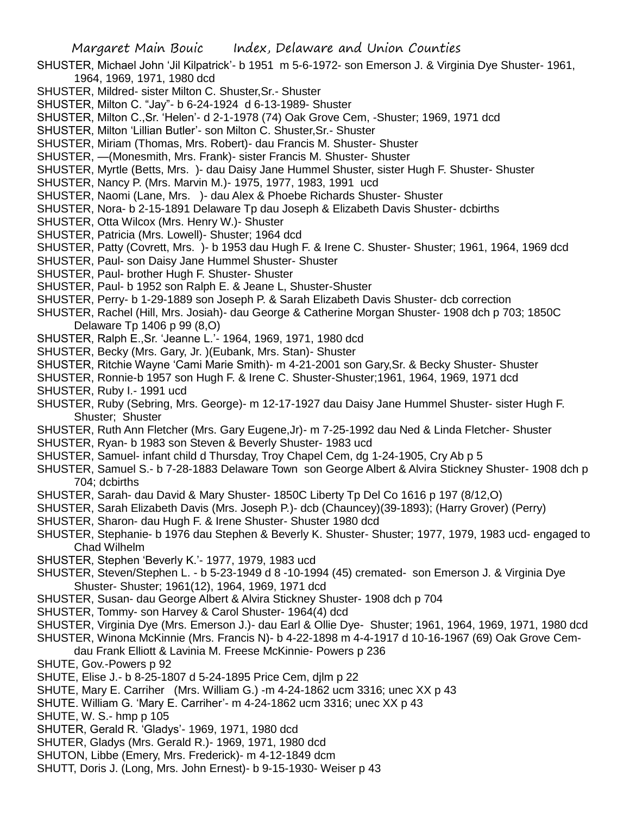- SHUSTER, Michael John 'Jil Kilpatrick'- b 1951 m 5-6-1972- son Emerson J. & Virginia Dye Shuster- 1961, 1964, 1969, 1971, 1980 dcd
- SHUSTER, Mildred- sister Milton C. Shuster,Sr.- Shuster
- SHUSTER, Milton C. "Jay"- b 6-24-1924 d 6-13-1989- Shuster
- SHUSTER, Milton C.,Sr. 'Helen'- d 2-1-1978 (74) Oak Grove Cem, -Shuster; 1969, 1971 dcd
- SHUSTER, Milton 'Lillian Butler'- son Milton C. Shuster,Sr.- Shuster
- SHUSTER, Miriam (Thomas, Mrs. Robert)- dau Francis M. Shuster- Shuster
- SHUSTER, —(Monesmith, Mrs. Frank)- sister Francis M. Shuster- Shuster
- SHUSTER, Myrtle (Betts, Mrs. )- dau Daisy Jane Hummel Shuster, sister Hugh F. Shuster- Shuster
- SHUSTER, Nancy P. (Mrs. Marvin M.)- 1975, 1977, 1983, 1991 ucd
- SHUSTER, Naomi (Lane, Mrs. )- dau Alex & Phoebe Richards Shuster- Shuster
- SHUSTER, Nora- b 2-15-1891 Delaware Tp dau Joseph & Elizabeth Davis Shuster- dcbirths
- SHUSTER, Otta Wilcox (Mrs. Henry W.)- Shuster
- SHUSTER, Patricia (Mrs. Lowell)- Shuster; 1964 dcd
- SHUSTER, Patty (Covrett, Mrs. )- b 1953 dau Hugh F. & Irene C. Shuster- Shuster; 1961, 1964, 1969 dcd
- SHUSTER, Paul- son Daisy Jane Hummel Shuster- Shuster
- SHUSTER, Paul- brother Hugh F. Shuster- Shuster
- SHUSTER, Paul- b 1952 son Ralph E. & Jeane L, Shuster-Shuster
- SHUSTER, Perry- b 1-29-1889 son Joseph P. & Sarah Elizabeth Davis Shuster- dcb correction
- SHUSTER, Rachel (Hill, Mrs. Josiah)- dau George & Catherine Morgan Shuster- 1908 dch p 703; 1850C Delaware Tp 1406 p 99 (8,O)
- SHUSTER, Ralph E.,Sr. 'Jeanne L.'- 1964, 1969, 1971, 1980 dcd
- SHUSTER, Becky (Mrs. Gary, Jr. )(Eubank, Mrs. Stan)- Shuster
- SHUSTER, Ritchie Wayne 'Cami Marie Smith)- m 4-21-2001 son Gary,Sr. & Becky Shuster- Shuster
- SHUSTER, Ronnie-b 1957 son Hugh F. & Irene C. Shuster-Shuster;1961, 1964, 1969, 1971 dcd SHUSTER, Ruby I.- 1991 ucd
- SHUSTER, Ruby (Sebring, Mrs. George)- m 12-17-1927 dau Daisy Jane Hummel Shuster- sister Hugh F. Shuster; Shuster
- SHUSTER, Ruth Ann Fletcher (Mrs. Gary Eugene,Jr)- m 7-25-1992 dau Ned & Linda Fletcher- Shuster
- SHUSTER, Ryan- b 1983 son Steven & Beverly Shuster- 1983 ucd
- SHUSTER, Samuel- infant child d Thursday, Troy Chapel Cem, dg 1-24-1905, Cry Ab p 5
- SHUSTER, Samuel S.- b 7-28-1883 Delaware Town son George Albert & Alvira Stickney Shuster- 1908 dch p 704; dcbirths
- SHUSTER, Sarah- dau David & Mary Shuster- 1850C Liberty Tp Del Co 1616 p 197 (8/12,O)
- SHUSTER, Sarah Elizabeth Davis (Mrs. Joseph P.)- dcb (Chauncey)(39-1893); (Harry Grover) (Perry)
- SHUSTER, Sharon- dau Hugh F. & Irene Shuster- Shuster 1980 dcd
- SHUSTER, Stephanie- b 1976 dau Stephen & Beverly K. Shuster- Shuster; 1977, 1979, 1983 ucd- engaged to Chad Wilhelm
- SHUSTER, Stephen 'Beverly K.'- 1977, 1979, 1983 ucd
- SHUSTER, Steven/Stephen L. b 5-23-1949 d 8 -10-1994 (45) cremated- son Emerson J. & Virginia Dye Shuster- Shuster; 1961(12), 1964, 1969, 1971 dcd
- SHUSTER, Susan- dau George Albert & Alvira Stickney Shuster- 1908 dch p 704
- SHUSTER, Tommy- son Harvey & Carol Shuster- 1964(4) dcd
- SHUSTER, Virginia Dye (Mrs. Emerson J.)- dau Earl & Ollie Dye- Shuster; 1961, 1964, 1969, 1971, 1980 dcd
- SHUSTER, Winona McKinnie (Mrs. Francis N)- b 4-22-1898 m 4-4-1917 d 10-16-1967 (69) Oak Grove Cem
	- dau Frank Elliott & Lavinia M. Freese McKinnie- Powers p 236
- SHUTE, Gov.-Powers p 92
- SHUTE, Elise J.- b 8-25-1807 d 5-24-1895 Price Cem, djlm p 22
- SHUTE, Mary E. Carriher (Mrs. William G.) -m 4-24-1862 ucm 3316; unec XX p 43
- SHUTE. William G. 'Mary E. Carriher'- m 4-24-1862 ucm 3316; unec XX p 43
- SHUTE, W. S.- hmp p 105
- SHUTER, Gerald R. 'Gladys'- 1969, 1971, 1980 dcd
- SHUTER, Gladys (Mrs. Gerald R.)- 1969, 1971, 1980 dcd
- SHUTON, Libbe (Emery, Mrs. Frederick)- m 4-12-1849 dcm
- SHUTT, Doris J. (Long, Mrs. John Ernest)- b 9-15-1930- Weiser p 43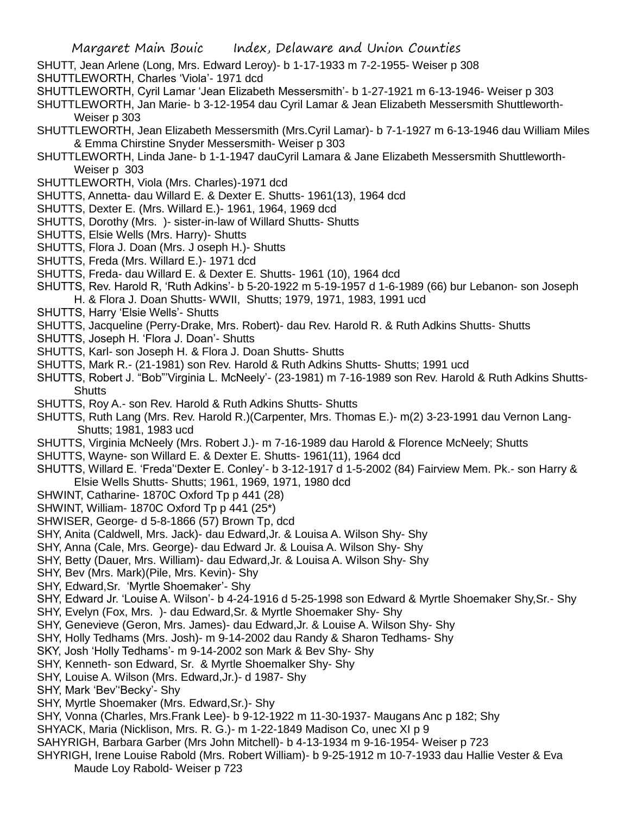- SHUTT, Jean Arlene (Long, Mrs. Edward Leroy)- b 1-17-1933 m 7-2-1955- Weiser p 308
- SHUTTLEWORTH, Charles 'Viola'- 1971 dcd
- SHUTTLEWORTH, Cyril Lamar 'Jean Elizabeth Messersmith'- b 1-27-1921 m 6-13-1946- Weiser p 303
- SHUTTLEWORTH, Jan Marie- b 3-12-1954 dau Cyril Lamar & Jean Elizabeth Messersmith Shuttleworth-Weiser p 303
- SHUTTLEWORTH, Jean Elizabeth Messersmith (Mrs.Cyril Lamar)- b 7-1-1927 m 6-13-1946 dau William Miles & Emma Chirstine Snyder Messersmith- Weiser p 303
- SHUTTLEWORTH, Linda Jane- b 1-1-1947 dauCyril Lamara & Jane Elizabeth Messersmith Shuttleworth-Weiser p 303
- SHUTTLEWORTH, Viola (Mrs. Charles)-1971 dcd
- SHUTTS, Annetta- dau Willard E. & Dexter E. Shutts- 1961(13), 1964 dcd
- SHUTTS, Dexter E. (Mrs. Willard E.)- 1961, 1964, 1969 dcd
- SHUTTS, Dorothy (Mrs. )- sister-in-law of Willard Shutts- Shutts
- SHUTTS, Elsie Wells (Mrs. Harry)- Shutts
- SHUTTS, Flora J. Doan (Mrs. J oseph H.)- Shutts
- SHUTTS, Freda (Mrs. Willard E.)- 1971 dcd
- SHUTTS, Freda- dau Willard E. & Dexter E. Shutts- 1961 (10), 1964 dcd
- SHUTTS, Rev. Harold R, 'Ruth Adkins'- b 5-20-1922 m 5-19-1957 d 1-6-1989 (66) bur Lebanon- son Joseph H. & Flora J. Doan Shutts- WWII, Shutts; 1979, 1971, 1983, 1991 ucd
- SHUTTS, Harry 'Elsie Wells'- Shutts
- SHUTTS, Jacqueline (Perry-Drake, Mrs. Robert)- dau Rev. Harold R. & Ruth Adkins Shutts- Shutts
- SHUTTS, Joseph H. 'Flora J. Doan'- Shutts
- SHUTTS, Karl- son Joseph H. & Flora J. Doan Shutts- Shutts
- SHUTTS, Mark R.- (21-1981) son Rev. Harold & Ruth Adkins Shutts- Shutts; 1991 ucd
- SHUTTS, Robert J. "Bob"'Virginia L. McNeely'- (23-1981) m 7-16-1989 son Rev. Harold & Ruth Adkins Shutts-**Shutts**
- SHUTTS, Roy A.- son Rev. Harold & Ruth Adkins Shutts- Shutts
- SHUTTS, Ruth Lang (Mrs. Rev. Harold R.)(Carpenter, Mrs. Thomas E.)- m(2) 3-23-1991 dau Vernon Lang-Shutts; 1981, 1983 ucd
- SHUTTS, Virginia McNeely (Mrs. Robert J.)- m 7-16-1989 dau Harold & Florence McNeely; Shutts
- SHUTTS, Wayne- son Willard E. & Dexter E. Shutts- 1961(11), 1964 dcd
- SHUTTS, Willard E. 'Freda''Dexter E. Conley'- b 3-12-1917 d 1-5-2002 (84) Fairview Mem. Pk.- son Harry & Elsie Wells Shutts- Shutts; 1961, 1969, 1971, 1980 dcd
- SHWINT, Catharine- 1870C Oxford Tp p 441 (28)
- SHWINT, William- 1870C Oxford Tp p 441 (25\*)
- SHWISER, George- d 5-8-1866 (57) Brown Tp, dcd
- SHY, Anita (Caldwell, Mrs. Jack)- dau Edward,Jr. & Louisa A. Wilson Shy- Shy
- SHY, Anna (Cale, Mrs. George)- dau Edward Jr. & Louisa A. Wilson Shy- Shy
- SHY, Betty (Dauer, Mrs. William)- dau Edward,Jr. & Louisa A. Wilson Shy- Shy
- SHY, Bev (Mrs. Mark)(Pile, Mrs. Kevin)- Shy
- SHY, Edward,Sr. 'Myrtle Shoemaker'- Shy
- SHY, Edward Jr. 'Louise A. Wilson'- b 4-24-1916 d 5-25-1998 son Edward & Myrtle Shoemaker Shy,Sr.- Shy
- SHY, Evelyn (Fox, Mrs. )- dau Edward,Sr. & Myrtle Shoemaker Shy- Shy
- SHY, Genevieve (Geron, Mrs. James)- dau Edward,Jr. & Louise A. Wilson Shy- Shy
- SHY, Holly Tedhams (Mrs. Josh)- m 9-14-2002 dau Randy & Sharon Tedhams- Shy
- SKY, Josh 'Holly Tedhams'- m 9-14-2002 son Mark & Bev Shy- Shy
- SHY, Kenneth- son Edward, Sr. & Myrtle Shoemalker Shy- Shy
- SHY, Louise A. Wilson (Mrs. Edward,Jr.)- d 1987- Shy
- SHY, Mark 'Bev''Becky'- Shy
- SHY, Myrtle Shoemaker (Mrs. Edward,Sr.)- Shy
- SHY, Vonna (Charles, Mrs.Frank Lee)- b 9-12-1922 m 11-30-1937- Maugans Anc p 182; Shy
- SHYACK, Maria (Nicklison, Mrs. R. G.)- m 1-22-1849 Madison Co, unec XI p 9
- SAHYRIGH, Barbara Garber (Mrs John Mitchell)- b 4-13-1934 m 9-16-1954- Weiser p 723
- SHYRIGH, Irene Louise Rabold (Mrs. Robert William)- b 9-25-1912 m 10-7-1933 dau Hallie Vester & Eva Maude Loy Rabold- Weiser p 723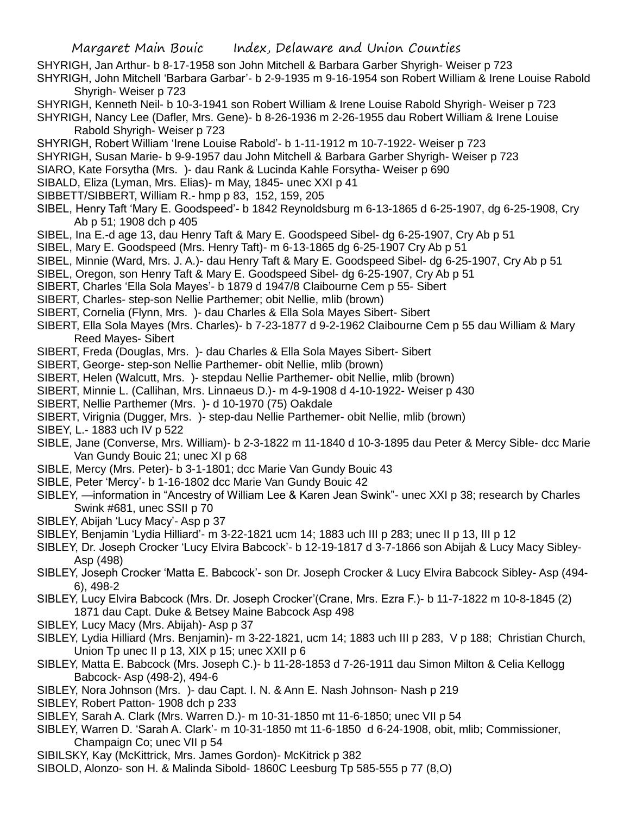- SHYRIGH, Jan Arthur- b 8-17-1958 son John Mitchell & Barbara Garber Shyrigh- Weiser p 723
- SHYRIGH, John Mitchell 'Barbara Garbar'- b 2-9-1935 m 9-16-1954 son Robert William & Irene Louise Rabold Shyrigh- Weiser p 723
- SHYRIGH, Kenneth Neil- b 10-3-1941 son Robert William & Irene Louise Rabold Shyrigh- Weiser p 723
- SHYRIGH, Nancy Lee (Dafler, Mrs. Gene)- b 8-26-1936 m 2-26-1955 dau Robert William & Irene Louise Rabold Shyrigh- Weiser p 723
- SHYRIGH, Robert William 'Irene Louise Rabold'- b 1-11-1912 m 10-7-1922- Weiser p 723
- SHYRIGH, Susan Marie- b 9-9-1957 dau John Mitchell & Barbara Garber Shyrigh- Weiser p 723
- SIARO, Kate Forsytha (Mrs. )- dau Rank & Lucinda Kahle Forsytha- Weiser p 690
- SIBALD, Eliza (Lyman, Mrs. Elias)- m May, 1845- unec XXI p 41
- SIBBETT/SIBBERT, William R.- hmp p 83, 152, 159, 205
- SIBEL, Henry Taft 'Mary E. Goodspeed'- b 1842 Reynoldsburg m 6-13-1865 d 6-25-1907, dg 6-25-1908, Cry Ab p 51; 1908 dch p 405
- SIBEL, Ina E.-d age 13, dau Henry Taft & Mary E. Goodspeed Sibel- dg 6-25-1907, Cry Ab p 51
- SIBEL, Mary E. Goodspeed (Mrs. Henry Taft)- m 6-13-1865 dg 6-25-1907 Cry Ab p 51
- SIBEL, Minnie (Ward, Mrs. J. A.)- dau Henry Taft & Mary E. Goodspeed Sibel- dg 6-25-1907, Cry Ab p 51
- SIBEL, Oregon, son Henry Taft & Mary E. Goodspeed Sibel- dg 6-25-1907, Cry Ab p 51
- SIBERT, Charles 'Ella Sola Mayes'- b 1879 d 1947/8 Claibourne Cem p 55- Sibert
- SIBERT, Charles- step-son Nellie Parthemer; obit Nellie, mlib (brown)
- SIBERT, Cornelia (Flynn, Mrs. )- dau Charles & Ella Sola Mayes Sibert- Sibert
- SIBERT, Ella Sola Mayes (Mrs. Charles)- b 7-23-1877 d 9-2-1962 Claibourne Cem p 55 dau William & Mary Reed Mayes- Sibert
- SIBERT, Freda (Douglas, Mrs. )- dau Charles & Ella Sola Mayes Sibert- Sibert
- SIBERT, George- step-son Nellie Parthemer- obit Nellie, mlib (brown)
- SIBERT, Helen (Walcutt, Mrs. )- stepdau Nellie Parthemer- obit Nellie, mlib (brown)
- SIBERT, Minnie L. (Callihan, Mrs. Linnaeus D.)- m 4-9-1908 d 4-10-1922- Weiser p 430
- SIBERT, Nellie Parthemer (Mrs. )- d 10-1970 (75) Oakdale
- SIBERT, Virignia (Dugger, Mrs. )- step-dau Nellie Parthemer- obit Nellie, mlib (brown)
- SIBEY, L.- 1883 uch IV p 522
- SIBLE, Jane (Converse, Mrs. William)- b 2-3-1822 m 11-1840 d 10-3-1895 dau Peter & Mercy Sible- dcc Marie Van Gundy Bouic 21; unec XI p 68
- SIBLE, Mercy (Mrs. Peter)- b 3-1-1801; dcc Marie Van Gundy Bouic 43
- SIBLE, Peter 'Mercy'- b 1-16-1802 dcc Marie Van Gundy Bouic 42
- SIBLEY, —information in "Ancestry of William Lee & Karen Jean Swink"- unec XXI p 38; research by Charles Swink #681, unec SSII p 70
- SIBLEY, Abijah 'Lucy Macy'- Asp p 37
- SIBLEY, Benjamin 'Lydia Hilliard'- m 3-22-1821 ucm 14; 1883 uch III p 283; unec II p 13, III p 12
- SIBLEY, Dr. Joseph Crocker 'Lucy Elvira Babcock'- b 12-19-1817 d 3-7-1866 son Abijah & Lucy Macy Sibley-Asp (498)
- SIBLEY, Joseph Crocker 'Matta E. Babcock'- son Dr. Joseph Crocker & Lucy Elvira Babcock Sibley- Asp (494- 6), 498-2
- SIBLEY, Lucy Elvira Babcock (Mrs. Dr. Joseph Crocker'(Crane, Mrs. Ezra F.)- b 11-7-1822 m 10-8-1845 (2) 1871 dau Capt. Duke & Betsey Maine Babcock Asp 498
- SIBLEY, Lucy Macy (Mrs. Abijah)- Asp p 37
- SIBLEY, Lydia Hilliard (Mrs. Benjamin)- m 3-22-1821, ucm 14; 1883 uch III p 283, V p 188; Christian Church, Union Tp unec II p 13, XIX p 15; unec XXII p 6
- SIBLEY, Matta E. Babcock (Mrs. Joseph C.)- b 11-28-1853 d 7-26-1911 dau Simon Milton & Celia Kellogg Babcock- Asp (498-2), 494-6
- SIBLEY, Nora Johnson (Mrs. )- dau Capt. I. N. & Ann E. Nash Johnson- Nash p 219
- SIBLEY, Robert Patton- 1908 dch p 233
- SIBLEY, Sarah A. Clark (Mrs. Warren D.)- m 10-31-1850 mt 11-6-1850; unec VII p 54
- SIBLEY, Warren D. 'Sarah A. Clark'- m 10-31-1850 mt 11-6-1850 d 6-24-1908, obit, mlib; Commissioner, Champaign Co; unec VII p 54
- SIBILSKY, Kay (McKittrick, Mrs. James Gordon)- McKitrick p 382
- SIBOLD, Alonzo- son H. & Malinda Sibold- 1860C Leesburg Tp 585-555 p 77 (8,O)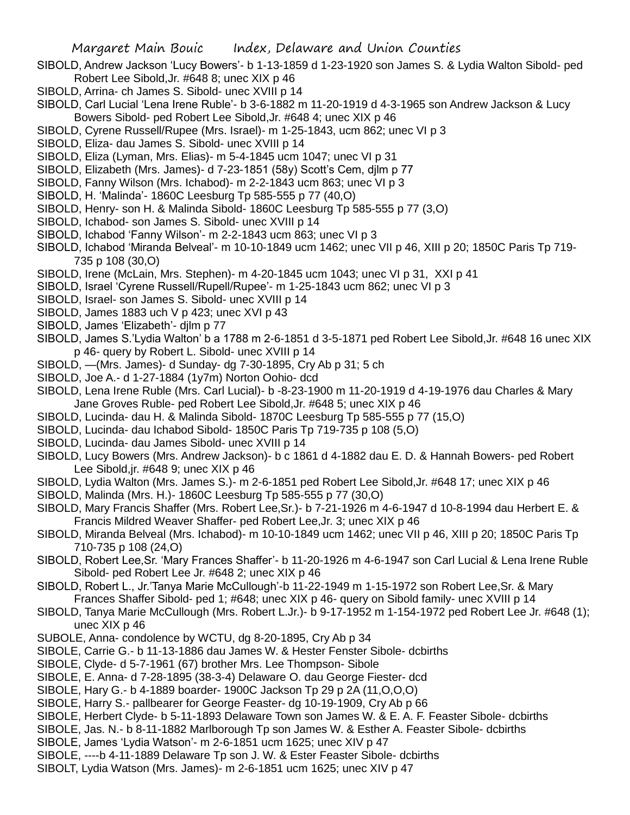- SIBOLD, Andrew Jackson 'Lucy Bowers'- b 1-13-1859 d 1-23-1920 son James S. & Lydia Walton Sibold- ped Robert Lee Sibold,Jr. #648 8; unec XIX p 46
- SIBOLD, Arrina- ch James S. Sibold- unec XVIII p 14
- SIBOLD, Carl Lucial 'Lena Irene Ruble'- b 3-6-1882 m 11-20-1919 d 4-3-1965 son Andrew Jackson & Lucy Bowers Sibold- ped Robert Lee Sibold,Jr. #648 4; unec XIX p 46
- SIBOLD, Cyrene Russell/Rupee (Mrs. Israel)- m 1-25-1843, ucm 862; unec VI p 3
- SIBOLD, Eliza- dau James S. Sibold- unec XVIII p 14
- SIBOLD, Eliza (Lyman, Mrs. Elias)- m 5-4-1845 ucm 1047; unec VI p 31
- SIBOLD, Elizabeth (Mrs. James)- d 7-23-1851 (58y) Scott's Cem, djlm p 77
- SIBOLD, Fanny Wilson (Mrs. Ichabod)- m 2-2-1843 ucm 863; unec VI p 3
- SIBOLD, H. 'Malinda'- 1860C Leesburg Tp 585-555 p 77 (40,O)
- SIBOLD, Henry- son H. & Malinda Sibold- 1860C Leesburg Tp 585-555 p 77 (3,O)
- SIBOLD, Ichabod- son James S. Sibold- unec XVIII p 14
- SIBOLD, Ichabod 'Fanny Wilson'- m 2-2-1843 ucm 863; unec VI p 3
- SIBOLD, Ichabod 'Miranda Belveal'- m 10-10-1849 ucm 1462; unec VII p 46, XIII p 20; 1850C Paris Tp 719- 735 p 108 (30,O)
- SIBOLD, Irene (McLain, Mrs. Stephen)- m 4-20-1845 ucm 1043; unec VI p 31, XXI p 41
- SIBOLD, Israel 'Cyrene Russell/Rupell/Rupee'- m 1-25-1843 ucm 862; unec VI p 3
- SIBOLD, Israel- son James S. Sibold- unec XVIII p 14
- SIBOLD, James 1883 uch V p 423; unec XVI p 43
- SIBOLD, James 'Elizabeth'- djlm p 77
- SIBOLD, James S.'Lydia Walton' b a 1788 m 2-6-1851 d 3-5-1871 ped Robert Lee Sibold,Jr. #648 16 unec XIX p 46- query by Robert L. Sibold- unec XVIII p 14
- SIBOLD, —(Mrs. James)- d Sunday- dg 7-30-1895, Cry Ab p 31; 5 ch
- SIBOLD, Joe A.- d 1-27-1884 (1y7m) Norton Oohio- dcd
- SIBOLD, Lena Irene Ruble (Mrs. Carl Lucial)- b -8-23-1900 m 11-20-1919 d 4-19-1976 dau Charles & Mary Jane Groves Ruble- ped Robert Lee Sibold,Jr. #648 5; unec XIX p 46
- SIBOLD, Lucinda- dau H. & Malinda Sibold- 1870C Leesburg Tp 585-555 p 77 (15,O)
- SIBOLD, Lucinda- dau Ichabod Sibold- 1850C Paris Tp 719-735 p 108 (5,O)
- SIBOLD, Lucinda- dau James Sibold- unec XVIII p 14
- SIBOLD, Lucy Bowers (Mrs. Andrew Jackson)- b c 1861 d 4-1882 dau E. D. & Hannah Bowers- ped Robert Lee Sibold,jr. #648 9; unec XIX p 46
- SIBOLD, Lydia Walton (Mrs. James S.)- m 2-6-1851 ped Robert Lee Sibold,Jr. #648 17; unec XIX p 46
- SIBOLD, Malinda (Mrs. H.)- 1860C Leesburg Tp 585-555 p 77 (30,O)
- SIBOLD, Mary Francis Shaffer (Mrs. Robert Lee,Sr.)- b 7-21-1926 m 4-6-1947 d 10-8-1994 dau Herbert E. & Francis Mildred Weaver Shaffer- ped Robert Lee,Jr. 3; unec XIX p 46
- SIBOLD, Miranda Belveal (Mrs. Ichabod)- m 10-10-1849 ucm 1462; unec VII p 46, XIII p 20; 1850C Paris Tp 710-735 p 108 (24,O)
- SIBOLD, Robert Lee,Sr. 'Mary Frances Shaffer'- b 11-20-1926 m 4-6-1947 son Carl Lucial & Lena Irene Ruble Sibold- ped Robert Lee Jr. #648 2; unec XIX p 46
- SIBOLD, Robert L., Jr.'Tanya Marie McCullough'-b 11-22-1949 m 1-15-1972 son Robert Lee,Sr. & Mary Frances Shaffer Sibold- ped 1; #648; unec XIX p 46- query on Sibold family- unec XVIII p 14
- SIBOLD, Tanya Marie McCullough (Mrs. Robert L.Jr.)- b 9-17-1952 m 1-154-1972 ped Robert Lee Jr. #648 (1); unec XIX p 46
- SUBOLE, Anna- condolence by WCTU, dg 8-20-1895, Cry Ab p 34
- SIBOLE, Carrie G.- b 11-13-1886 dau James W. & Hester Fenster Sibole- dcbirths
- SIBOLE, Clyde- d 5-7-1961 (67) brother Mrs. Lee Thompson- Sibole
- SIBOLE, E. Anna- d 7-28-1895 (38-3-4) Delaware O. dau George Fiester- dcd
- SIBOLE, Hary G.- b 4-1889 boarder- 1900C Jackson Tp 29 p 2A (11,O,O,O)
- SIBOLE, Harry S.- pallbearer for George Feaster- dg 10-19-1909, Cry Ab p 66
- SIBOLE, Herbert Clyde- b 5-11-1893 Delaware Town son James W. & E. A. F. Feaster Sibole- dcbirths
- SIBOLE, Jas. N.- b 8-11-1882 Marlborough Tp son James W. & Esther A. Feaster Sibole- dcbirths
- SIBOLE, James 'Lydia Watson'- m 2-6-1851 ucm 1625; unec XIV p 47
- SIBOLE, ----b 4-11-1889 Delaware Tp son J. W. & Ester Feaster Sibole- dcbirths
- SIBOLT, Lydia Watson (Mrs. James)- m 2-6-1851 ucm 1625; unec XIV p 47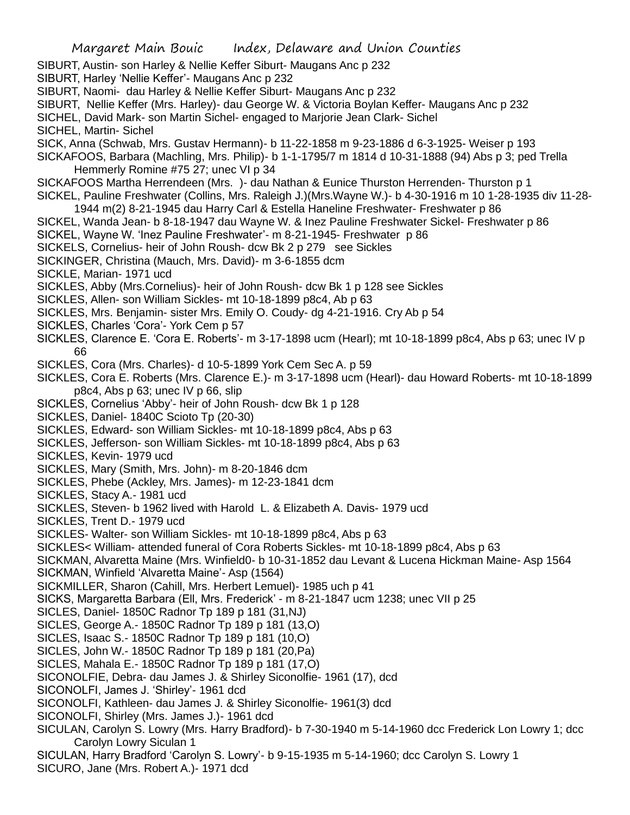SIBURT, Austin- son Harley & Nellie Keffer Siburt- Maugans Anc p 232

SIBURT, Harley 'Nellie Keffer'- Maugans Anc p 232

- SIBURT, Naomi- dau Harley & Nellie Keffer Siburt- Maugans Anc p 232
- SIBURT, Nellie Keffer (Mrs. Harley)- dau George W. & Victoria Boylan Keffer- Maugans Anc p 232

SICHEL, David Mark- son Martin Sichel- engaged to Marjorie Jean Clark- Sichel

SICHEL, Martin- Sichel

SICK, Anna (Schwab, Mrs. Gustav Hermann)- b 11-22-1858 m 9-23-1886 d 6-3-1925- Weiser p 193

SICKAFOOS, Barbara (Machling, Mrs. Philip)- b 1-1-1795/7 m 1814 d 10-31-1888 (94) Abs p 3; ped Trella Hemmerly Romine #75 27; unec VI p 34

SICKAFOOS Martha Herrendeen (Mrs. )- dau Nathan & Eunice Thurston Herrenden- Thurston p 1

SICKEL, Pauline Freshwater (Collins, Mrs. Raleigh J.)(Mrs.Wayne W.)- b 4-30-1916 m 10 1-28-1935 div 11-28- 1944 m(2) 8-21-1945 dau Harry Carl & Estella Haneline Freshwater- Freshwater p 86

- SICKEL, Wanda Jean- b 8-18-1947 dau Wayne W. & Inez Pauline Freshwater Sickel- Freshwater p 86
- SICKEL, Wayne W. 'Inez Pauline Freshwater'- m 8-21-1945- Freshwater p 86
- SICKELS, Cornelius- heir of John Roush- dcw Bk 2 p 279 see Sickles
- SICKINGER, Christina (Mauch, Mrs. David)- m 3-6-1855 dcm

SICKLE, Marian- 1971 ucd

- SICKLES, Abby (Mrs.Cornelius)- heir of John Roush- dcw Bk 1 p 128 see Sickles
- SICKLES, Allen- son William Sickles- mt 10-18-1899 p8c4, Ab p 63
- SICKLES, Mrs. Benjamin- sister Mrs. Emily O. Coudy- dg 4-21-1916. Cry Ab p 54
- SICKLES, Charles 'Cora'- York Cem p 57
- SICKLES, Clarence E. 'Cora E. Roberts'- m 3-17-1898 ucm (Hearl); mt 10-18-1899 p8c4, Abs p 63; unec IV p 66
- SICKLES, Cora (Mrs. Charles)- d 10-5-1899 York Cem Sec A. p 59
- SICKLES, Cora E. Roberts (Mrs. Clarence E.)- m 3-17-1898 ucm (Hearl)- dau Howard Roberts- mt 10-18-1899 p8c4, Abs p 63; unec IV p 66, slip
- SICKLES, Cornelius 'Abby'- heir of John Roush- dcw Bk 1 p 128
- SICKLES, Daniel- 1840C Scioto Tp (20-30)
- SICKLES, Edward- son William Sickles- mt 10-18-1899 p8c4, Abs p 63
- SICKLES, Jefferson- son William Sickles- mt 10-18-1899 p8c4, Abs p 63
- SICKLES, Kevin- 1979 ucd
- SICKLES, Mary (Smith, Mrs. John)- m 8-20-1846 dcm
- SICKLES, Phebe (Ackley, Mrs. James)- m 12-23-1841 dcm
- SICKLES, Stacy A.- 1981 ucd
- SICKLES, Steven- b 1962 lived with Harold L. & Elizabeth A. Davis- 1979 ucd
- SICKLES, Trent D.- 1979 ucd
- SICKLES- Walter- son William Sickles- mt 10-18-1899 p8c4, Abs p 63
- SICKLES< William- attended funeral of Cora Roberts Sickles- mt 10-18-1899 p8c4, Abs p 63
- SICKMAN, Alvaretta Maine (Mrs. Winfield0- b 10-31-1852 dau Levant & Lucena Hickman Maine- Asp 1564
- SICKMAN, Winfield 'Alvaretta Maine'- Asp (1564)
- SICKMILLER, Sharon (Cahill, Mrs. Herbert Lemuel)- 1985 uch p 41
- SICKS, Margaretta Barbara (Ell, Mrs. Frederick' m 8-21-1847 ucm 1238; unec VII p 25
- SICLES, Daniel- 1850C Radnor Tp 189 p 181 (31,NJ)
- SICLES, George A.- 1850C Radnor Tp 189 p 181 (13,O)
- SICLES, Isaac S.- 1850C Radnor Tp 189 p 181 (10,O)
- SICLES, John W.- 1850C Radnor Tp 189 p 181 (20,Pa)
- SICLES, Mahala E.- 1850C Radnor Tp 189 p 181 (17,O)
- SICONOLFIE, Debra- dau James J. & Shirley Siconolfie- 1961 (17), dcd
- SICONOLFI, James J. 'Shirley'- 1961 dcd
- SICONOLFI, Kathleen- dau James J. & Shirley Siconolfie- 1961(3) dcd
- SICONOLFI, Shirley (Mrs. James J.)- 1961 dcd
- SICULAN, Carolyn S. Lowry (Mrs. Harry Bradford)- b 7-30-1940 m 5-14-1960 dcc Frederick Lon Lowry 1; dcc Carolyn Lowry Siculan 1
- SICULAN, Harry Bradford 'Carolyn S. Lowry'- b 9-15-1935 m 5-14-1960; dcc Carolyn S. Lowry 1 SICURO, Jane (Mrs. Robert A.)- 1971 dcd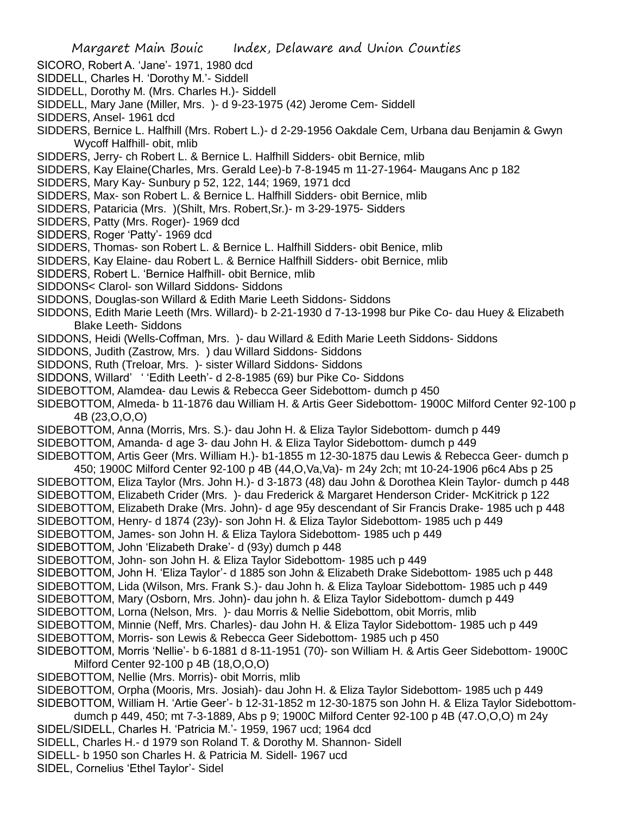SICORO, Robert A. 'Jane'- 1971, 1980 dcd

SIDDELL, Charles H. 'Dorothy M.'- Siddell

SIDDELL, Dorothy M. (Mrs. Charles H.)- Siddell

- SIDDELL, Mary Jane (Miller, Mrs. )- d 9-23-1975 (42) Jerome Cem- Siddell
- SIDDERS, Ansel- 1961 dcd
- SIDDERS, Bernice L. Halfhill (Mrs. Robert L.)- d 2-29-1956 Oakdale Cem, Urbana dau Benjamin & Gwyn Wycoff Halfhill- obit, mlib
- SIDDERS, Jerry- ch Robert L. & Bernice L. Halfhill Sidders- obit Bernice, mlib
- SIDDERS, Kay Elaine(Charles, Mrs. Gerald Lee)-b 7-8-1945 m 11-27-1964- Maugans Anc p 182
- SIDDERS, Mary Kay- Sunbury p 52, 122, 144; 1969, 1971 dcd
- SIDDERS, Max- son Robert L. & Bernice L. Halfhill Sidders- obit Bernice, mlib
- SIDDERS, Pataricia (Mrs. )(Shilt, Mrs. Robert,Sr.)- m 3-29-1975- Sidders
- SIDDERS, Patty (Mrs. Roger)- 1969 dcd
- SIDDERS, Roger 'Patty'- 1969 dcd
- SIDDERS, Thomas- son Robert L. & Bernice L. Halfhill Sidders- obit Benice, mlib
- SIDDERS, Kay Elaine- dau Robert L. & Bernice Halfhill Sidders- obit Bernice, mlib
- SIDDERS, Robert L. 'Bernice Halfhill- obit Bernice, mlib
- SIDDONS< Clarol- son Willard Siddons- Siddons
- SIDDONS, Douglas-son Willard & Edith Marie Leeth Siddons- Siddons
- SIDDONS, Edith Marie Leeth (Mrs. Willard)- b 2-21-1930 d 7-13-1998 bur Pike Co- dau Huey & Elizabeth Blake Leeth- Siddons
- SIDDONS, Heidi (Wells-Coffman, Mrs. )- dau Willard & Edith Marie Leeth Siddons- Siddons
- SIDDONS, Judith (Zastrow, Mrs. ) dau Willard Siddons- Siddons
- SIDDONS, Ruth (Treloar, Mrs. )- sister Willard Siddons- Siddons
- SIDDONS, Willard' ' 'Edith Leeth'- d 2-8-1985 (69) bur Pike Co- Siddons
- SIDEBOTTOM, Alamdea- dau Lewis & Rebecca Geer Sidebottom- dumch p 450
- SIDEBOTTOM, Almeda- b 11-1876 dau William H. & Artis Geer Sidebottom- 1900C Milford Center 92-100 p 4B (23,O,O,O)
- SIDEBOTTOM, Anna (Morris, Mrs. S.)- dau John H. & Eliza Taylor Sidebottom- dumch p 449
- SIDEBOTTOM, Amanda- d age 3- dau John H. & Eliza Taylor Sidebottom- dumch p 449
- SIDEBOTTOM, Artis Geer (Mrs. William H.)- b1-1855 m 12-30-1875 dau Lewis & Rebecca Geer- dumch p 450; 1900C Milford Center 92-100 p 4B (44,O,Va,Va)- m 24y 2ch; mt 10-24-1906 p6c4 Abs p 25
- SIDEBOTTOM, Eliza Taylor (Mrs. John H.)- d 3-1873 (48) dau John & Dorothea Klein Taylor- dumch p 448
- SIDEBOTTOM, Elizabeth Crider (Mrs. )- dau Frederick & Margaret Henderson Crider- McKitrick p 122
- SIDEBOTTOM, Elizabeth Drake (Mrs. John)- d age 95y descendant of Sir Francis Drake- 1985 uch p 448
- SIDEBOTTOM, Henry- d 1874 (23y)- son John H. & Eliza Taylor Sidebottom- 1985 uch p 449
- SIDEBOTTOM, James- son John H. & Eliza Taylora Sidebottom- 1985 uch p 449
- SIDEBOTTOM, John 'Elizabeth Drake'- d (93y) dumch p 448
- SIDEBOTTOM, John- son John H. & Eliza Taylor Sidebottom- 1985 uch p 449
- SIDEBOTTOM, John H. 'Eliza Taylor'- d 1885 son John & Elizabeth Drake Sidebottom- 1985 uch p 448
- SIDEBOTTOM, Lida (Wilson, Mrs. Frank S.)- dau John h. & Eliza Tayloar Sidebottom- 1985 uch p 449
- SIDEBOTTOM, Mary (Osborn, Mrs. John)- dau john h. & Eliza Taylor Sidebottom- dumch p 449
- SIDEBOTTOM, Lorna (Nelson, Mrs. )- dau Morris & Nellie Sidebottom, obit Morris, mlib
- SIDEBOTTOM, Minnie (Neff, Mrs. Charles)- dau John H. & Eliza Taylor Sidebottom- 1985 uch p 449
- SIDEBOTTOM, Morris- son Lewis & Rebecca Geer Sidebottom- 1985 uch p 450
- SIDEBOTTOM, Morris 'Nellie'- b 6-1881 d 8-11-1951 (70)- son William H. & Artis Geer Sidebottom- 1900C Milford Center 92-100 p 4B (18,O,O,O)
- SIDEBOTTOM, Nellie (Mrs. Morris)- obit Morris, mlib
- SIDEBOTTOM, Orpha (Mooris, Mrs. Josiah)- dau John H. & Eliza Taylor Sidebottom- 1985 uch p 449
- SIDEBOTTOM, William H. 'Artie Geer'- b 12-31-1852 m 12-30-1875 son John H. & Eliza Taylor Sidebottom-
- dumch p 449, 450; mt 7-3-1889, Abs p 9; 1900C Milford Center 92-100 p 4B (47.O,O,O) m 24y
- SIDEL/SIDELL, Charles H. 'Patricia M.'- 1959, 1967 ucd; 1964 dcd
- SIDELL, Charles H.- d 1979 son Roland T. & Dorothy M. Shannon- Sidell
- SIDELL- b 1950 son Charles H. & Patricia M. Sidell- 1967 ucd
- SIDEL, Cornelius 'Ethel Taylor'- Sidel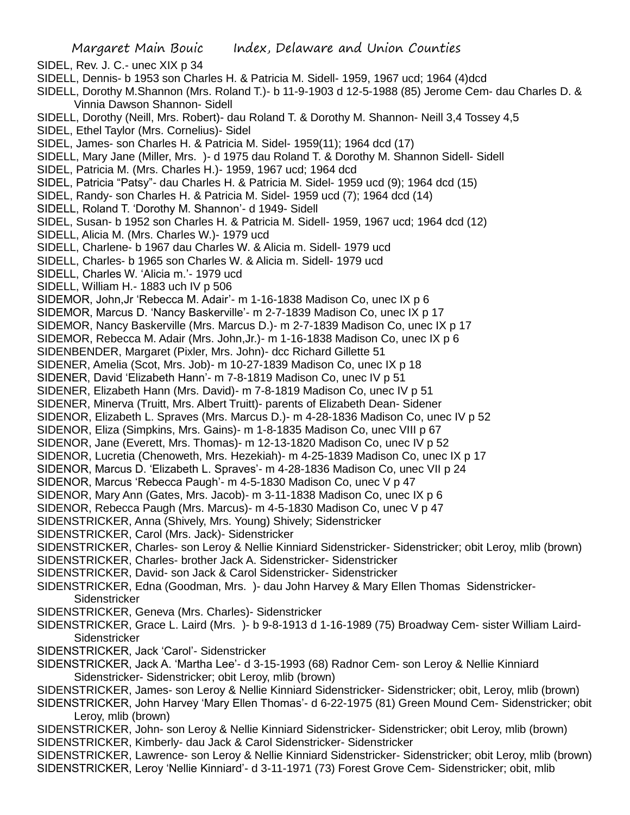Margaret Main Bouic Index, Delaware and Union Counties SIDEL, Rev. J. C.- unec XIX p 34 SIDELL, Dennis- b 1953 son Charles H. & Patricia M. Sidell- 1959, 1967 ucd; 1964 (4)dcd SIDELL, Dorothy M.Shannon (Mrs. Roland T.)- b 11-9-1903 d 12-5-1988 (85) Jerome Cem- dau Charles D. & Vinnia Dawson Shannon- Sidell SIDELL, Dorothy (Neill, Mrs. Robert)- dau Roland T. & Dorothy M. Shannon- Neill 3,4 Tossey 4,5 SIDEL, Ethel Taylor (Mrs. Cornelius)- Sidel SIDEL, James- son Charles H. & Patricia M. Sidel- 1959(11); 1964 dcd (17) SIDELL, Mary Jane (Miller, Mrs. )- d 1975 dau Roland T. & Dorothy M. Shannon Sidell- Sidell SIDEL, Patricia M. (Mrs. Charles H.)- 1959, 1967 ucd; 1964 dcd SIDEL, Patricia "Patsy"- dau Charles H. & Patricia M. Sidel- 1959 ucd (9); 1964 dcd (15) SIDEL, Randy- son Charles H. & Patricia M. Sidel- 1959 ucd (7); 1964 dcd (14) SIDELL, Roland T. 'Dorothy M. Shannon'- d 1949- Sidell SIDEL, Susan- b 1952 son Charles H. & Patricia M. Sidell- 1959, 1967 ucd; 1964 dcd (12) SIDELL, Alicia M. (Mrs. Charles W.)- 1979 ucd SIDELL, Charlene- b 1967 dau Charles W. & Alicia m. Sidell- 1979 ucd SIDELL, Charles- b 1965 son Charles W. & Alicia m. Sidell- 1979 ucd SIDELL, Charles W. 'Alicia m.'- 1979 ucd SIDELL, William H.- 1883 uch IV p 506 SIDEMOR, John,Jr 'Rebecca M. Adair'- m 1-16-1838 Madison Co, unec IX p 6 SIDEMOR, Marcus D. 'Nancy Baskerville'- m 2-7-1839 Madison Co, unec IX p 17 SIDEMOR, Nancy Baskerville (Mrs. Marcus D.)- m 2-7-1839 Madison Co, unec IX p 17 SIDEMOR, Rebecca M. Adair (Mrs. John,Jr.)- m 1-16-1838 Madison Co, unec IX p 6 SIDENBENDER, Margaret (Pixler, Mrs. John)- dcc Richard Gillette 51 SIDENER, Amelia (Scot, Mrs. Job)- m 10-27-1839 Madison Co, unec IX p 18 SIDENER, David 'Elizabeth Hann'- m 7-8-1819 Madison Co, unec IV p 51 SIDENER, Elizabeth Hann (Mrs. David)- m 7-8-1819 Madison Co, unec IV p 51 SIDENER, Minerva (Truitt, Mrs. Albert Truitt)- parents of Elizabeth Dean- Sidener SIDENOR, Elizabeth L. Spraves (Mrs. Marcus D.)- m 4-28-1836 Madison Co, unec IV p 52 SIDENOR, Eliza (Simpkins, Mrs. Gains)- m 1-8-1835 Madison Co, unec VIII p 67 SIDENOR, Jane (Everett, Mrs. Thomas)- m 12-13-1820 Madison Co, unec IV p 52 SIDENOR, Lucretia (Chenoweth, Mrs. Hezekiah)- m 4-25-1839 Madison Co, unec IX p 17 SIDENOR, Marcus D. 'Elizabeth L. Spraves'- m 4-28-1836 Madison Co, unec VII p 24 SIDENOR, Marcus 'Rebecca Paugh'- m 4-5-1830 Madison Co, unec V p 47 SIDENOR, Mary Ann (Gates, Mrs. Jacob)- m 3-11-1838 Madison Co, unec IX p 6 SIDENOR, Rebecca Paugh (Mrs. Marcus)- m 4-5-1830 Madison Co, unec V p 47 SIDENSTRICKER, Anna (Shively, Mrs. Young) Shively; Sidenstricker SIDENSTRICKER, Carol (Mrs. Jack)- Sidenstricker SIDENSTRICKER, Charles- son Leroy & Nellie Kinniard Sidenstricker- Sidenstricker; obit Leroy, mlib (brown) SIDENSTRICKER, Charles- brother Jack A. Sidenstricker- Sidenstricker SIDENSTRICKER, David- son Jack & Carol Sidenstricker- Sidenstricker SIDENSTRICKER, Edna (Goodman, Mrs. )- dau John Harvey & Mary Ellen Thomas Sidenstricker-**Sidenstricker** SIDENSTRICKER, Geneva (Mrs. Charles)- Sidenstricker SIDENSTRICKER, Grace L. Laird (Mrs. )- b 9-8-1913 d 1-16-1989 (75) Broadway Cem- sister William Laird-Sidenstricker SIDENSTRICKER, Jack 'Carol'- Sidenstricker SIDENSTRICKER, Jack A. 'Martha Lee'- d 3-15-1993 (68) Radnor Cem- son Leroy & Nellie Kinniard Sidenstricker- Sidenstricker; obit Leroy, mlib (brown) SIDENSTRICKER, James- son Leroy & Nellie Kinniard Sidenstricker- Sidenstricker; obit, Leroy, mlib (brown) SIDENSTRICKER, John Harvey 'Mary Ellen Thomas'- d 6-22-1975 (81) Green Mound Cem- Sidenstricker; obit Leroy, mlib (brown) SIDENSTRICKER, John- son Leroy & Nellie Kinniard Sidenstricker- Sidenstricker; obit Leroy, mlib (brown) SIDENSTRICKER, Kimberly- dau Jack & Carol Sidenstricker- Sidenstricker SIDENSTRICKER, Lawrence- son Leroy & Nellie Kinniard Sidenstricker- Sidenstricker; obit Leroy, mlib (brown) SIDENSTRICKER, Leroy 'Nellie Kinniard'- d 3-11-1971 (73) Forest Grove Cem- Sidenstricker; obit, mlib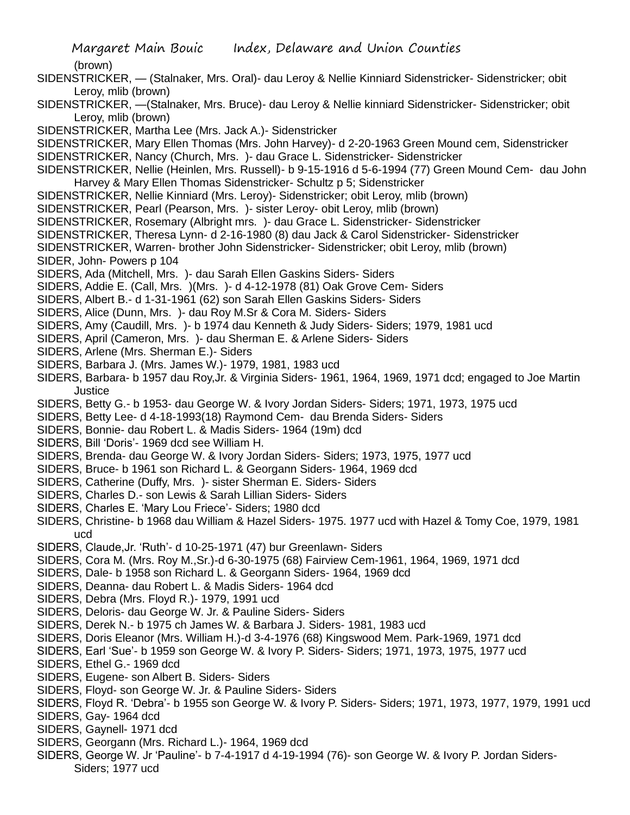#### (brown)

- SIDENSTRICKER, (Stalnaker, Mrs. Oral)- dau Leroy & Nellie Kinniard Sidenstricker- Sidenstricker; obit Leroy, mlib (brown)
- SIDENSTRICKER, —(Stalnaker, Mrs. Bruce)- dau Leroy & Nellie kinniard Sidenstricker- Sidenstricker; obit Leroy, mlib (brown)
- SIDENSTRICKER, Martha Lee (Mrs. Jack A.)- Sidenstricker
- SIDENSTRICKER, Mary Ellen Thomas (Mrs. John Harvey)- d 2-20-1963 Green Mound cem, Sidenstricker SIDENSTRICKER, Nancy (Church, Mrs. )- dau Grace L. Sidenstricker- Sidenstricker
- SIDENSTRICKER, Nellie (Heinlen, Mrs. Russell)- b 9-15-1916 d 5-6-1994 (77) Green Mound Cem- dau John
- Harvey & Mary Ellen Thomas Sidenstricker- Schultz p 5; Sidenstricker
- SIDENSTRICKER, Nellie Kinniard (Mrs. Leroy)- Sidenstricker; obit Leroy, mlib (brown)
- SIDENSTRICKER, Pearl (Pearson, Mrs. )- sister Leroy- obit Leroy, mlib (brown)
- SIDENSTRICKER, Rosemary (Albright mrs. )- dau Grace L. Sidenstricker- Sidenstricker
- SIDENSTRICKER, Theresa Lynn- d 2-16-1980 (8) dau Jack & Carol Sidenstricker- Sidenstricker
- SIDENSTRICKER, Warren- brother John Sidenstricker- Sidenstricker; obit Leroy, mlib (brown)
- SIDER, John- Powers p 104
- SIDERS, Ada (Mitchell, Mrs. )- dau Sarah Ellen Gaskins Siders- Siders
- SIDERS, Addie E. (Call, Mrs. )(Mrs. )- d 4-12-1978 (81) Oak Grove Cem- Siders
- SIDERS, Albert B.- d 1-31-1961 (62) son Sarah Ellen Gaskins Siders- Siders
- SIDERS, Alice (Dunn, Mrs. )- dau Roy M.Sr & Cora M. Siders- Siders
- SIDERS, Amy (Caudill, Mrs. )- b 1974 dau Kenneth & Judy Siders- Siders; 1979, 1981 ucd
- SIDERS, April (Cameron, Mrs. )- dau Sherman E. & Arlene Siders- Siders
- SIDERS, Arlene (Mrs. Sherman E.)- Siders
- SIDERS, Barbara J. (Mrs. James W.)- 1979, 1981, 1983 ucd
- SIDERS, Barbara- b 1957 dau Roy,Jr. & Virginia Siders- 1961, 1964, 1969, 1971 dcd; engaged to Joe Martin Justice
- SIDERS, Betty G.- b 1953- dau George W. & Ivory Jordan Siders- Siders; 1971, 1973, 1975 ucd
- SIDERS, Betty Lee- d 4-18-1993(18) Raymond Cem- dau Brenda Siders- Siders
- SIDERS, Bonnie- dau Robert L. & Madis Siders- 1964 (19m) dcd
- SIDERS, Bill 'Doris'- 1969 dcd see William H.
- SIDERS, Brenda- dau George W. & Ivory Jordan Siders- Siders; 1973, 1975, 1977 ucd
- SIDERS, Bruce- b 1961 son Richard L. & Georgann Siders- 1964, 1969 dcd
- SIDERS, Catherine (Duffy, Mrs. )- sister Sherman E. Siders- Siders
- SIDERS, Charles D.- son Lewis & Sarah Lillian Siders- Siders
- SIDERS, Charles E. 'Mary Lou Friece'- Siders; 1980 dcd
- SIDERS, Christine- b 1968 dau William & Hazel Siders- 1975. 1977 ucd with Hazel & Tomy Coe, 1979, 1981 ucd
- SIDERS, Claude,Jr. 'Ruth'- d 10-25-1971 (47) bur Greenlawn- Siders
- SIDERS, Cora M. (Mrs. Roy M.,Sr.)-d 6-30-1975 (68) Fairview Cem-1961, 1964, 1969, 1971 dcd
- SIDERS, Dale- b 1958 son Richard L. & Georgann Siders- 1964, 1969 dcd
- SIDERS, Deanna- dau Robert L. & Madis Siders- 1964 dcd
- SIDERS, Debra (Mrs. Floyd R.)- 1979, 1991 ucd
- SIDERS, Deloris- dau George W. Jr. & Pauline Siders- Siders
- SIDERS, Derek N.- b 1975 ch James W. & Barbara J. Siders- 1981, 1983 ucd
- SIDERS, Doris Eleanor (Mrs. William H.)-d 3-4-1976 (68) Kingswood Mem. Park-1969, 1971 dcd
- SIDERS, Earl 'Sue'- b 1959 son George W. & Ivory P. Siders- Siders; 1971, 1973, 1975, 1977 ucd
- SIDERS, Ethel G.- 1969 dcd
- SIDERS, Eugene- son Albert B. Siders- Siders
- SIDERS, Floyd- son George W. Jr. & Pauline Siders- Siders
- SIDERS, Floyd R. 'Debra'- b 1955 son George W. & Ivory P. Siders- Siders; 1971, 1973, 1977, 1979, 1991 ucd
- SIDERS, Gay- 1964 dcd
- SIDERS, Gaynell- 1971 dcd
- SIDERS, Georgann (Mrs. Richard L.)- 1964, 1969 dcd
- SIDERS, George W. Jr 'Pauline'- b 7-4-1917 d 4-19-1994 (76)- son George W. & Ivory P. Jordan Siders-Siders; 1977 ucd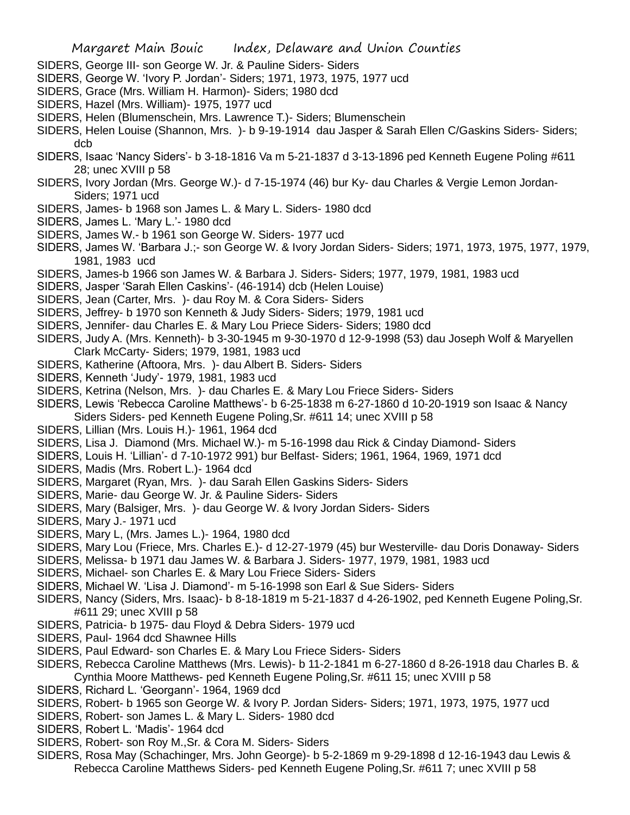- SIDERS, George III- son George W. Jr. & Pauline Siders- Siders
- SIDERS, George W. 'Ivory P. Jordan'- Siders; 1971, 1973, 1975, 1977 ucd
- SIDERS, Grace (Mrs. William H. Harmon)- Siders; 1980 dcd
- SIDERS, Hazel (Mrs. William)- 1975, 1977 ucd
- SIDERS, Helen (Blumenschein, Mrs. Lawrence T.)- Siders; Blumenschein
- SIDERS, Helen Louise (Shannon, Mrs. )- b 9-19-1914 dau Jasper & Sarah Ellen C/Gaskins Siders- Siders; dcb
- SIDERS, Isaac 'Nancy Siders'- b 3-18-1816 Va m 5-21-1837 d 3-13-1896 ped Kenneth Eugene Poling #611 28; unec XVIII p 58
- SIDERS, Ivory Jordan (Mrs. George W.)- d 7-15-1974 (46) bur Ky- dau Charles & Vergie Lemon Jordan-Siders; 1971 ucd
- SIDERS, James- b 1968 son James L. & Mary L. Siders- 1980 dcd
- SIDERS, James L. 'Mary L.'- 1980 dcd
- SIDERS, James W.- b 1961 son George W. Siders- 1977 ucd
- SIDERS, James W. 'Barbara J.;- son George W. & Ivory Jordan Siders- Siders; 1971, 1973, 1975, 1977, 1979, 1981, 1983 ucd
- SIDERS, James-b 1966 son James W. & Barbara J. Siders- Siders; 1977, 1979, 1981, 1983 ucd
- SIDERS, Jasper 'Sarah Ellen Caskins'- (46-1914) dcb (Helen Louise)
- SIDERS, Jean (Carter, Mrs. )- dau Roy M. & Cora Siders- Siders
- SIDERS, Jeffrey- b 1970 son Kenneth & Judy Siders- Siders; 1979, 1981 ucd
- SIDERS, Jennifer- dau Charles E. & Mary Lou Priece Siders- Siders; 1980 dcd
- SIDERS, Judy A. (Mrs. Kenneth)- b 3-30-1945 m 9-30-1970 d 12-9-1998 (53) dau Joseph Wolf & Maryellen Clark McCarty- Siders; 1979, 1981, 1983 ucd
- SIDERS, Katherine (Aftoora, Mrs. )- dau Albert B. Siders- Siders
- SIDERS, Kenneth 'Judy'- 1979, 1981, 1983 ucd
- SIDERS, Ketrina (Nelson, Mrs. )- dau Charles E. & Mary Lou Friece Siders- Siders
- SIDERS, Lewis 'Rebecca Caroline Matthews'- b 6-25-1838 m 6-27-1860 d 10-20-1919 son Isaac & Nancy
- Siders Siders- ped Kenneth Eugene Poling,Sr. #611 14; unec XVIII p 58
- SIDERS, Lillian (Mrs. Louis H.)- 1961, 1964 dcd
- SIDERS, Lisa J. Diamond (Mrs. Michael W.)- m 5-16-1998 dau Rick & Cinday Diamond- Siders
- SIDERS, Louis H. 'Lillian'- d 7-10-1972 991) bur Belfast- Siders; 1961, 1964, 1969, 1971 dcd
- SIDERS, Madis (Mrs. Robert L.)- 1964 dcd
- SIDERS, Margaret (Ryan, Mrs. )- dau Sarah Ellen Gaskins Siders- Siders
- SIDERS, Marie- dau George W. Jr. & Pauline Siders- Siders
- SIDERS, Mary (Balsiger, Mrs. )- dau George W. & Ivory Jordan Siders- Siders
- SIDERS, Mary J.- 1971 ucd
- SIDERS, Mary L, (Mrs. James L.)- 1964, 1980 dcd
- SIDERS, Mary Lou (Friece, Mrs. Charles E.)- d 12-27-1979 (45) bur Westerville- dau Doris Donaway- Siders
- SIDERS, Melissa- b 1971 dau James W. & Barbara J. Siders- 1977, 1979, 1981, 1983 ucd
- SIDERS, Michael- son Charles E. & Mary Lou Friece Siders- Siders
- SIDERS, Michael W. 'Lisa J. Diamond'- m 5-16-1998 son Earl & Sue Siders- Siders
- SIDERS, Nancy (Siders, Mrs. Isaac)- b 8-18-1819 m 5-21-1837 d 4-26-1902, ped Kenneth Eugene Poling,Sr. #611 29; unec XVIII p 58
- SIDERS, Patricia- b 1975- dau Floyd & Debra Siders- 1979 ucd
- SIDERS, Paul- 1964 dcd Shawnee Hills
- SIDERS, Paul Edward- son Charles E. & Mary Lou Friece Siders- Siders
- SIDERS, Rebecca Caroline Matthews (Mrs. Lewis)- b 11-2-1841 m 6-27-1860 d 8-26-1918 dau Charles B. & Cynthia Moore Matthews- ped Kenneth Eugene Poling,Sr. #611 15; unec XVIII p 58
- SIDERS, Richard L. 'Georgann'- 1964, 1969 dcd
- SIDERS, Robert- b 1965 son George W. & Ivory P. Jordan Siders- Siders; 1971, 1973, 1975, 1977 ucd
- SIDERS, Robert- son James L. & Mary L. Siders- 1980 dcd
- SIDERS, Robert L. 'Madis'- 1964 dcd
- SIDERS, Robert- son Roy M.,Sr. & Cora M. Siders- Siders
- SIDERS, Rosa May (Schachinger, Mrs. John George)- b 5-2-1869 m 9-29-1898 d 12-16-1943 dau Lewis & Rebecca Caroline Matthews Siders- ped Kenneth Eugene Poling,Sr. #611 7; unec XVIII p 58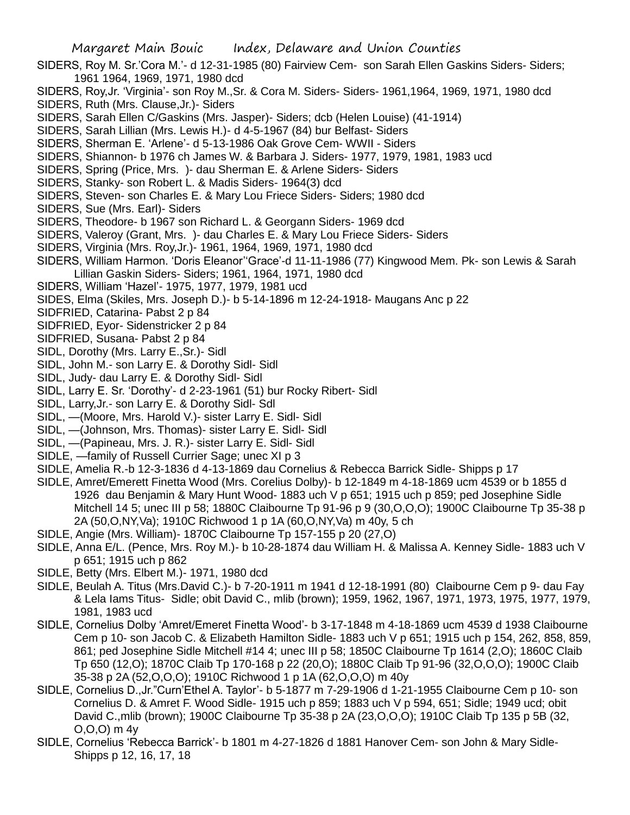- SIDERS, Roy M. Sr.'Cora M.'- d 12-31-1985 (80) Fairview Cem- son Sarah Ellen Gaskins Siders- Siders; 1961 1964, 1969, 1971, 1980 dcd
- SIDERS, Roy,Jr. 'Virginia'- son Roy M.,Sr. & Cora M. Siders- Siders- 1961,1964, 1969, 1971, 1980 dcd
- SIDERS, Ruth (Mrs. Clause,Jr.)- Siders
- SIDERS, Sarah Ellen C/Gaskins (Mrs. Jasper)- Siders; dcb (Helen Louise) (41-1914)
- SIDERS, Sarah Lillian (Mrs. Lewis H.)- d 4-5-1967 (84) bur Belfast- Siders
- SIDERS, Sherman E. 'Arlene'- d 5-13-1986 Oak Grove Cem- WWII Siders
- SIDERS, Shiannon- b 1976 ch James W. & Barbara J. Siders- 1977, 1979, 1981, 1983 ucd
- SIDERS, Spring (Price, Mrs. )- dau Sherman E. & Arlene Siders- Siders
- SIDERS, Stanky- son Robert L. & Madis Siders- 1964(3) dcd
- SIDERS, Steven- son Charles E. & Mary Lou Friece Siders- Siders; 1980 dcd
- SIDERS, Sue (Mrs. Earl)- Siders
- SIDERS, Theodore- b 1967 son Richard L. & Georgann Siders- 1969 dcd
- SIDERS, Valeroy (Grant, Mrs. )- dau Charles E. & Mary Lou Friece Siders- Siders
- SIDERS, Virginia (Mrs. Roy,Jr.)- 1961, 1964, 1969, 1971, 1980 dcd
- SIDERS, William Harmon. 'Doris Eleanor''Grace'-d 11-11-1986 (77) Kingwood Mem. Pk- son Lewis & Sarah Lillian Gaskin Siders- Siders; 1961, 1964, 1971, 1980 dcd
- SIDERS, William 'Hazel'- 1975, 1977, 1979, 1981 ucd
- SIDES, Elma (Skiles, Mrs. Joseph D.)- b 5-14-1896 m 12-24-1918- Maugans Anc p 22
- SIDFRIED, Catarina- Pabst 2 p 84
- SIDFRIED, Eyor- Sidenstricker 2 p 84
- SIDFRIED, Susana- Pabst 2 p 84
- SIDL, Dorothy (Mrs. Larry E.,Sr.)- Sidl
- SIDL, John M.- son Larry E. & Dorothy Sidl- Sidl
- SIDL, Judy- dau Larry E. & Dorothy Sidl- Sidl
- SIDL, Larry E. Sr. 'Dorothy'- d 2-23-1961 (51) bur Rocky Ribert- Sidl
- SIDL, Larry,Jr.- son Larry E. & Dorothy Sidl- Sdl
- SIDL, —(Moore, Mrs. Harold V.)- sister Larry E. Sidl- Sidl
- SIDL, —(Johnson, Mrs. Thomas)- sister Larry E. Sidl- Sidl
- SIDL, —(Papineau, Mrs. J. R.)- sister Larry E. Sidl- Sidl
- SIDLE, —family of Russell Currier Sage; unec XI p 3
- SIDLE, Amelia R.-b 12-3-1836 d 4-13-1869 dau Cornelius & Rebecca Barrick Sidle- Shipps p 17
- SIDLE, Amret/Emerett Finetta Wood (Mrs. Corelius Dolby)- b 12-1849 m 4-18-1869 ucm 4539 or b 1855 d 1926 dau Benjamin & Mary Hunt Wood- 1883 uch V p 651; 1915 uch p 859; ped Josephine Sidle Mitchell 14 5; unec III p 58; 1880C Claibourne Tp 91-96 p 9 (30,O,O,O); 1900C Claibourne Tp 35-38 p 2A (50,O,NY,Va); 1910C Richwood 1 p 1A (60,O,NY,Va) m 40y, 5 ch
- SIDLE, Angie (Mrs. William)- 1870C Claibourne Tp 157-155 p 20 (27,O)
- SIDLE, Anna E/L. (Pence, Mrs. Roy M.)- b 10-28-1874 dau William H. & Malissa A. Kenney Sidle- 1883 uch V p 651; 1915 uch p 862
- SIDLE, Betty (Mrs. Elbert M.)- 1971, 1980 dcd
- SIDLE, Beulah A. Titus (Mrs.David C.)- b 7-20-1911 m 1941 d 12-18-1991 (80) Claibourne Cem p 9- dau Fay & Lela Iams Titus- Sidle; obit David C., mlib (brown); 1959, 1962, 1967, 1971, 1973, 1975, 1977, 1979, 1981, 1983 ucd
- SIDLE, Cornelius Dolby 'Amret/Emeret Finetta Wood'- b 3-17-1848 m 4-18-1869 ucm 4539 d 1938 Claibourne Cem p 10- son Jacob C. & Elizabeth Hamilton Sidle- 1883 uch V p 651; 1915 uch p 154, 262, 858, 859, 861; ped Josephine Sidle Mitchell #14 4; unec III p 58; 1850C Claibourne Tp 1614 (2,O); 1860C Claib Tp 650 (12,O); 1870C Claib Tp 170-168 p 22 (20,O); 1880C Claib Tp 91-96 (32,O,O,O); 1900C Claib 35-38 p 2A (52,O,O,O); 1910C Richwood 1 p 1A (62,O,O,O) m 40y
- SIDLE, Cornelius D.,Jr."Curn'Ethel A. Taylor'- b 5-1877 m 7-29-1906 d 1-21-1955 Claibourne Cem p 10- son Cornelius D. & Amret F. Wood Sidle- 1915 uch p 859; 1883 uch V p 594, 651; Sidle; 1949 ucd; obit David C.,mlib (brown); 1900C Claibourne Tp 35-38 p 2A (23,O,O,O); 1910C Claib Tp 135 p 5B (32, O,O,O) m 4y
- SIDLE, Cornelius 'Rebecca Barrick'- b 1801 m 4-27-1826 d 1881 Hanover Cem- son John & Mary Sidle-Shipps p 12, 16, 17, 18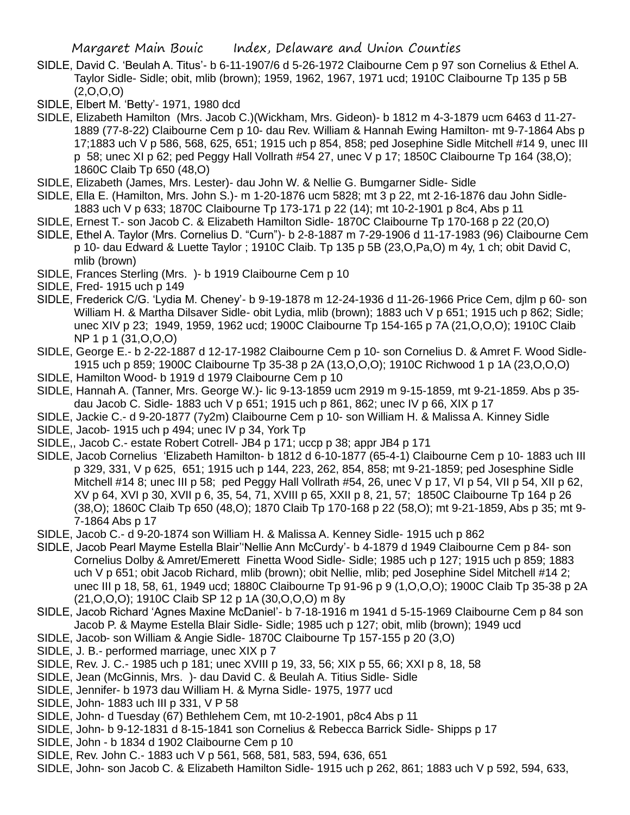- SIDLE, David C. 'Beulah A. Titus'- b 6-11-1907/6 d 5-26-1972 Claibourne Cem p 97 son Cornelius & Ethel A. Taylor Sidle- Sidle; obit, mlib (brown); 1959, 1962, 1967, 1971 ucd; 1910C Claibourne Tp 135 p 5B  $(2,0,0,0)$
- SIDLE, Elbert M. 'Betty'- 1971, 1980 dcd
- SIDLE, Elizabeth Hamilton (Mrs. Jacob C.)(Wickham, Mrs. Gideon)- b 1812 m 4-3-1879 ucm 6463 d 11-27- 1889 (77-8-22) Claibourne Cem p 10- dau Rev. William & Hannah Ewing Hamilton- mt 9-7-1864 Abs p 17;1883 uch V p 586, 568, 625, 651; 1915 uch p 854, 858; ped Josephine Sidle Mitchell #14 9, unec III p 58; unec XI p 62; ped Peggy Hall Vollrath #54 27, unec V p 17; 1850C Claibourne Tp 164 (38,O); 1860C Claib Tp 650 (48,O)
- SIDLE, Elizabeth (James, Mrs. Lester)- dau John W. & Nellie G. Bumgarner Sidle- Sidle
- SIDLE, Ella E. (Hamilton, Mrs. John S.)- m 1-20-1876 ucm 5828; mt 3 p 22, mt 2-16-1876 dau John Sidle-1883 uch V p 633; 1870C Claibourne Tp 173-171 p 22 (14); mt 10-2-1901 p 8c4, Abs p 11
- SIDLE, Ernest T.- son Jacob C. & Elizabeth Hamilton Sidle- 1870C Claibourne Tp 170-168 p 22 (20,O)
- SIDLE, Ethel A. Taylor (Mrs. Cornelius D. "Curn")- b 2-8-1887 m 7-29-1906 d 11-17-1983 (96) Claibourne Cem p 10- dau Edward & Luette Taylor ; 1910C Claib. Tp 135 p 5B (23,O,Pa,O) m 4y, 1 ch; obit David C, mlib (brown)
- SIDLE, Frances Sterling (Mrs. )- b 1919 Claibourne Cem p 10
- SIDLE, Fred- 1915 uch p 149
- SIDLE, Frederick C/G. 'Lydia M. Cheney'- b 9-19-1878 m 12-24-1936 d 11-26-1966 Price Cem, djlm p 60- son William H. & Martha Dilsaver Sidle- obit Lydia, mlib (brown); 1883 uch V p 651; 1915 uch p 862; Sidle; unec XIV p 23; 1949, 1959, 1962 ucd; 1900C Claibourne Tp 154-165 p 7A (21,O,O,O); 1910C Claib NP 1 p 1 (31,O,O,O)
- SIDLE, George E.- b 2-22-1887 d 12-17-1982 Claibourne Cem p 10- son Cornelius D. & Amret F. Wood Sidle-1915 uch p 859; 1900C Claibourne Tp 35-38 p 2A (13,O,O,O); 1910C Richwood 1 p 1A (23,O,O,O)
- SIDLE, Hamilton Wood- b 1919 d 1979 Claibourne Cem p 10
- SIDLE, Hannah A. (Tanner, Mrs. George W.)- lic 9-13-1859 ucm 2919 m 9-15-1859, mt 9-21-1859. Abs p 35 dau Jacob C. Sidle- 1883 uch V p 651; 1915 uch p 861, 862; unec IV p 66, XIX p 17
- SIDLE, Jackie C.- d 9-20-1877 (7y2m) Claibourne Cem p 10- son William H. & Malissa A. Kinney Sidle
- SIDLE, Jacob- 1915 uch p 494; unec IV p 34, York Tp
- SIDLE,, Jacob C.- estate Robert Cotrell- JB4 p 171; uccp p 38; appr JB4 p 171
- SIDLE, Jacob Cornelius 'Elizabeth Hamilton- b 1812 d 6-10-1877 (65-4-1) Claibourne Cem p 10- 1883 uch III p 329, 331, V p 625, 651; 1915 uch p 144, 223, 262, 854, 858; mt 9-21-1859; ped Josesphine Sidle Mitchell #14 8; unec III p 58; ped Peggy Hall Vollrath #54, 26, unec V p 17, VI p 54, VII p 54, XII p 62, XV p 64, XVI p 30, XVII p 6, 35, 54, 71, XVIII p 65, XXII p 8, 21, 57; 1850C Claibourne Tp 164 p 26 (38,O); 1860C Claib Tp 650 (48,O); 1870 Claib Tp 170-168 p 22 (58,O); mt 9-21-1859, Abs p 35; mt 9- 7-1864 Abs p 17
- SIDLE, Jacob C.- d 9-20-1874 son William H. & Malissa A. Kenney Sidle- 1915 uch p 862
- SIDLE, Jacob Pearl Mayme Estella Blair''Nellie Ann McCurdy'- b 4-1879 d 1949 Claibourne Cem p 84- son Cornelius Dolby & Amret/Emerett Finetta Wood Sidle- Sidle; 1985 uch p 127; 1915 uch p 859; 1883 uch V p 651; obit Jacob Richard, mlib (brown); obit Nellie, mlib; ped Josephine Sidel Mitchell #14 2; unec III p 18, 58, 61, 1949 ucd; 1880C Claibourne Tp 91-96 p 9 (1,O,O,O); 1900C Claib Tp 35-38 p 2A (21,O,O,O); 1910C Claib SP 12 p 1A (30,O,O,O) m 8y
- SIDLE, Jacob Richard 'Agnes Maxine McDaniel'- b 7-18-1916 m 1941 d 5-15-1969 Claibourne Cem p 84 son Jacob P. & Mayme Estella Blair Sidle- Sidle; 1985 uch p 127; obit, mlib (brown); 1949 ucd
- SIDLE, Jacob- son William & Angie Sidle- 1870C Claibourne Tp 157-155 p 20 (3,O)
- SIDLE, J. B.- performed marriage, unec XIX p 7
- SIDLE, Rev. J. C.- 1985 uch p 181; unec XVIII p 19, 33, 56; XIX p 55, 66; XXI p 8, 18, 58
- SIDLE, Jean (McGinnis, Mrs. )- dau David C. & Beulah A. Titius Sidle- Sidle
- SIDLE, Jennifer- b 1973 dau William H. & Myrna Sidle- 1975, 1977 ucd
- SIDLE, John- 1883 uch III p 331, V P 58
- SIDLE, John- d Tuesday (67) Bethlehem Cem, mt 10-2-1901, p8c4 Abs p 11
- SIDLE, John- b 9-12-1831 d 8-15-1841 son Cornelius & Rebecca Barrick Sidle- Shipps p 17
- SIDLE, John b 1834 d 1902 Claibourne Cem p 10
- SIDLE, Rev. John C.- 1883 uch V p 561, 568, 581, 583, 594, 636, 651
- SIDLE, John- son Jacob C. & Elizabeth Hamilton Sidle- 1915 uch p 262, 861; 1883 uch V p 592, 594, 633,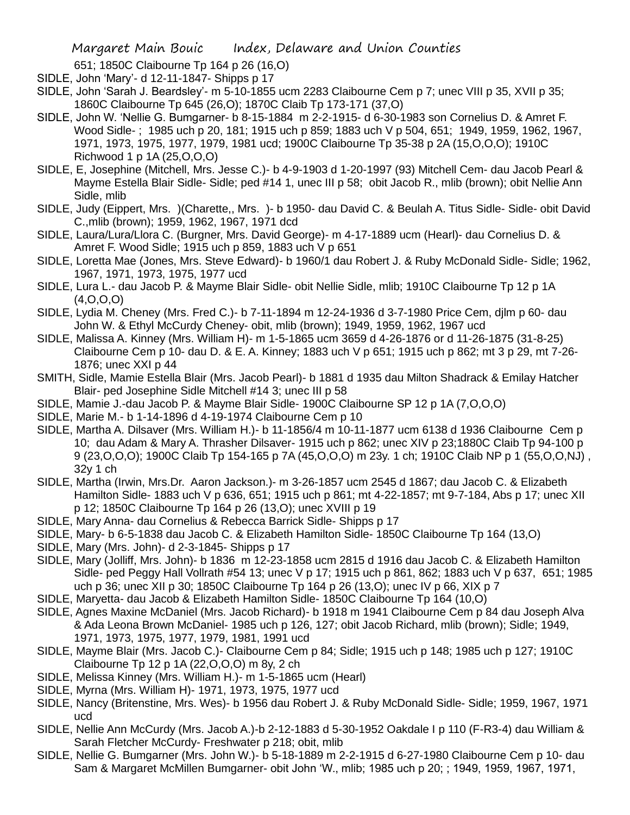- 651; 1850C Claibourne Tp 164 p 26 (16,O)
- SIDLE, John 'Mary'- d 12-11-1847- Shipps p 17
- SIDLE, John 'Sarah J. Beardsley'- m 5-10-1855 ucm 2283 Claibourne Cem p 7; unec VIII p 35, XVII p 35; 1860C Claibourne Tp 645 (26,O); 1870C Claib Tp 173-171 (37,O)
- SIDLE, John W. 'Nellie G. Bumgarner- b 8-15-1884 m 2-2-1915- d 6-30-1983 son Cornelius D. & Amret F. Wood Sidle- ; 1985 uch p 20, 181; 1915 uch p 859; 1883 uch V p 504, 651; 1949, 1959, 1962, 1967, 1971, 1973, 1975, 1977, 1979, 1981 ucd; 1900C Claibourne Tp 35-38 p 2A (15,O,O,O); 1910C Richwood 1 p 1A (25,O,O,O)
- SIDLE, E, Josephine (Mitchell, Mrs. Jesse C.)- b 4-9-1903 d 1-20-1997 (93) Mitchell Cem- dau Jacob Pearl & Mayme Estella Blair Sidle- Sidle; ped #14 1, unec III p 58; obit Jacob R., mlib (brown); obit Nellie Ann Sidle, mlib
- SIDLE, Judy (Eippert, Mrs. )(Charette,, Mrs. )- b 1950- dau David C. & Beulah A. Titus Sidle- Sidle- obit David C.,mlib (brown); 1959, 1962, 1967, 1971 dcd
- SIDLE, Laura/Lura/Llora C. (Burgner, Mrs. David George)- m 4-17-1889 ucm (Hearl)- dau Cornelius D. & Amret F. Wood Sidle; 1915 uch p 859, 1883 uch V p 651
- SIDLE, Loretta Mae (Jones, Mrs. Steve Edward)- b 1960/1 dau Robert J. & Ruby McDonald Sidle- Sidle; 1962, 1967, 1971, 1973, 1975, 1977 ucd
- SIDLE, Lura L.- dau Jacob P. & Mayme Blair Sidle- obit Nellie Sidle, mlib; 1910C Claibourne Tp 12 p 1A (4,O,O,O)
- SIDLE, Lydia M. Cheney (Mrs. Fred C.)- b 7-11-1894 m 12-24-1936 d 3-7-1980 Price Cem, djlm p 60- dau John W. & Ethyl McCurdy Cheney- obit, mlib (brown); 1949, 1959, 1962, 1967 ucd
- SIDLE, Malissa A. Kinney (Mrs. William H)- m 1-5-1865 ucm 3659 d 4-26-1876 or d 11-26-1875 (31-8-25) Claibourne Cem p 10- dau D. & E. A. Kinney; 1883 uch V p 651; 1915 uch p 862; mt 3 p 29, mt 7-26- 1876; unec XXI p 44
- SMITH, Sidle, Mamie Estella Blair (Mrs. Jacob Pearl)- b 1881 d 1935 dau Milton Shadrack & Emilay Hatcher Blair- ped Josephine Sidle Mitchell #14 3; unec III p 58
- SIDLE, Mamie J.-dau Jacob P. & Mayme Blair Sidle- 1900C Claibourne SP 12 p 1A (7,O,O,O)
- SIDLE, Marie M.- b 1-14-1896 d 4-19-1974 Claibourne Cem p 10
- SIDLE, Martha A. Dilsaver (Mrs. William H.)- b 11-1856/4 m 10-11-1877 ucm 6138 d 1936 Claibourne Cem p 10; dau Adam & Mary A. Thrasher Dilsaver- 1915 uch p 862; unec XIV p 23;1880C Claib Tp 94-100 p 9 (23,O,O,O); 1900C Claib Tp 154-165 p 7A (45,O,O,O) m 23y. 1 ch; 1910C Claib NP p 1 (55,O,O,NJ) , 32y 1 ch
- SIDLE, Martha (Irwin, Mrs.Dr. Aaron Jackson.)- m 3-26-1857 ucm 2545 d 1867; dau Jacob C. & Elizabeth Hamilton Sidle- 1883 uch V p 636, 651; 1915 uch p 861; mt 4-22-1857; mt 9-7-184, Abs p 17; unec XII p 12; 1850C Claibourne Tp 164 p 26 (13,O); unec XVIII p 19
- SIDLE, Mary Anna- dau Cornelius & Rebecca Barrick Sidle- Shipps p 17
- SIDLE, Mary- b 6-5-1838 dau Jacob C. & Elizabeth Hamilton Sidle- 1850C Claibourne Tp 164 (13,O)
- SIDLE, Mary (Mrs. John)- d 2-3-1845- Shipps p 17
- SIDLE, Mary (Jolliff, Mrs. John)- b 1836 m 12-23-1858 ucm 2815 d 1916 dau Jacob C. & Elizabeth Hamilton Sidle- ped Peggy Hall Vollrath #54 13; unec V p 17; 1915 uch p 861, 862; 1883 uch V p 637, 651; 1985 uch p 36; unec XII p 30; 1850C Claibourne Tp 164 p 26 (13,O); unec IV p 66, XIX p 7
- SIDLE, Maryetta- dau Jacob & Elizabeth Hamilton Sidle- 1850C Claibourne Tp 164 (10,O)
- SIDLE, Agnes Maxine McDaniel (Mrs. Jacob Richard)- b 1918 m 1941 Claibourne Cem p 84 dau Joseph Alva & Ada Leona Brown McDaniel- 1985 uch p 126, 127; obit Jacob Richard, mlib (brown); Sidle; 1949, 1971, 1973, 1975, 1977, 1979, 1981, 1991 ucd
- SIDLE, Mayme Blair (Mrs. Jacob C.)- Claibourne Cem p 84; Sidle; 1915 uch p 148; 1985 uch p 127; 1910C Claibourne Tp 12 p 1A (22,O,O,O) m 8y, 2 ch
- SIDLE, Melissa Kinney (Mrs. William H.)- m 1-5-1865 ucm (Hearl)
- SIDLE, Myrna (Mrs. William H)- 1971, 1973, 1975, 1977 ucd
- SIDLE, Nancy (Britenstine, Mrs. Wes)- b 1956 dau Robert J. & Ruby McDonald Sidle- Sidle; 1959, 1967, 1971 ucd
- SIDLE, Nellie Ann McCurdy (Mrs. Jacob A.)-b 2-12-1883 d 5-30-1952 Oakdale I p 110 (F-R3-4) dau William & Sarah Fletcher McCurdy- Freshwater p 218; obit, mlib
- SIDLE, Nellie G. Bumgarner (Mrs. John W.)- b 5-18-1889 m 2-2-1915 d 6-27-1980 Claibourne Cem p 10- dau Sam & Margaret McMillen Bumgarner- obit John 'W., mlib; 1985 uch p 20; ; 1949, 1959, 1967, 1971,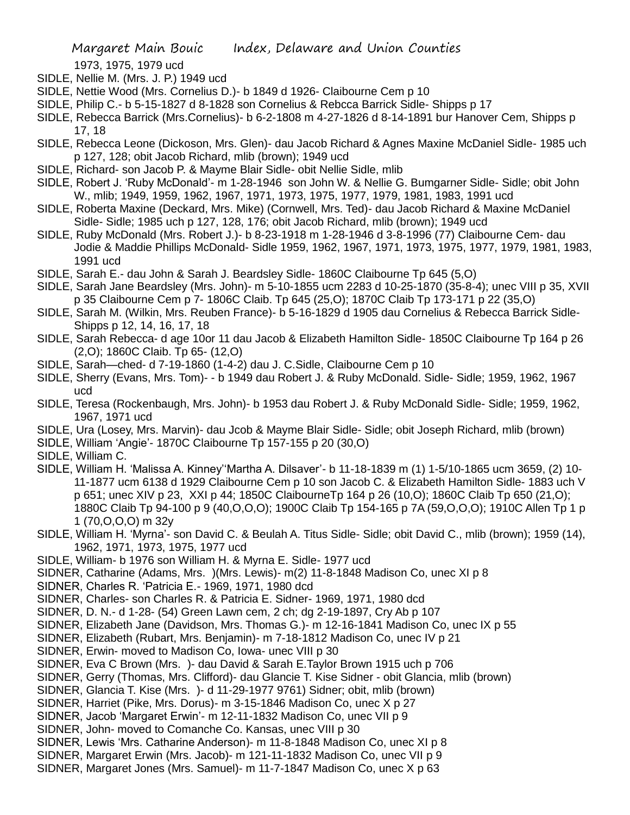1973, 1975, 1979 ucd

- SIDLE, Nellie M. (Mrs. J. P.) 1949 ucd
- SIDLE, Nettie Wood (Mrs. Cornelius D.)- b 1849 d 1926- Claibourne Cem p 10
- SIDLE, Philip C.- b 5-15-1827 d 8-1828 son Cornelius & Rebcca Barrick Sidle- Shipps p 17
- SIDLE, Rebecca Barrick (Mrs.Cornelius)- b 6-2-1808 m 4-27-1826 d 8-14-1891 bur Hanover Cem, Shipps p 17, 18
- SIDLE, Rebecca Leone (Dickoson, Mrs. Glen)- dau Jacob Richard & Agnes Maxine McDaniel Sidle- 1985 uch p 127, 128; obit Jacob Richard, mlib (brown); 1949 ucd
- SIDLE, Richard- son Jacob P. & Mayme Blair Sidle- obit Nellie Sidle, mlib
- SIDLE, Robert J. 'Ruby McDonald'- m 1-28-1946 son John W. & Nellie G. Bumgarner Sidle- Sidle; obit John W., mlib; 1949, 1959, 1962, 1967, 1971, 1973, 1975, 1977, 1979, 1981, 1983, 1991 ucd
- SIDLE, Roberta Maxine (Deckard, Mrs. Mike) (Cornwell, Mrs. Ted)- dau Jacob Richard & Maxine McDaniel Sidle- Sidle; 1985 uch p 127, 128, 176; obit Jacob Richard, mlib (brown); 1949 ucd
- SIDLE, Ruby McDonald (Mrs. Robert J.)- b 8-23-1918 m 1-28-1946 d 3-8-1996 (77) Claibourne Cem- dau Jodie & Maddie Phillips McDonald- Sidle 1959, 1962, 1967, 1971, 1973, 1975, 1977, 1979, 1981, 1983, 1991 ucd
- SIDLE, Sarah E.- dau John & Sarah J. Beardsley Sidle- 1860C Claibourne Tp 645 (5,O)
- SIDLE, Sarah Jane Beardsley (Mrs. John)- m 5-10-1855 ucm 2283 d 10-25-1870 (35-8-4); unec VIII p 35, XVII p 35 Claibourne Cem p 7- 1806C Claib. Tp 645 (25,O); 1870C Claib Tp 173-171 p 22 (35,O)
- SIDLE, Sarah M. (Wilkin, Mrs. Reuben France)- b 5-16-1829 d 1905 dau Cornelius & Rebecca Barrick Sidle-Shipps p 12, 14, 16, 17, 18
- SIDLE, Sarah Rebecca- d age 10or 11 dau Jacob & Elizabeth Hamilton Sidle- 1850C Claibourne Tp 164 p 26 (2,O); 1860C Claib. Tp 65- (12,O)
- SIDLE, Sarah—ched- d 7-19-1860 (1-4-2) dau J. C.Sidle, Claibourne Cem p 10
- SIDLE, Sherry (Evans, Mrs. Tom)- b 1949 dau Robert J. & Ruby McDonald. Sidle- Sidle; 1959, 1962, 1967 ucd
- SIDLE, Teresa (Rockenbaugh, Mrs. John)- b 1953 dau Robert J. & Ruby McDonald Sidle- Sidle; 1959, 1962, 1967, 1971 ucd
- SIDLE, Ura (Losey, Mrs. Marvin)- dau Jcob & Mayme Blair Sidle- Sidle; obit Joseph Richard, mlib (brown)
- SIDLE, William 'Angie'- 1870C Claibourne Tp 157-155 p 20 (30,O)
- SIDLE, William C.
- SIDLE, William H. 'Malissa A. Kinney''Martha A. Dilsaver'- b 11-18-1839 m (1) 1-5/10-1865 ucm 3659, (2) 10- 11-1877 ucm 6138 d 1929 Claibourne Cem p 10 son Jacob C. & Elizabeth Hamilton Sidle- 1883 uch V p 651; unec XIV p 23, XXI p 44; 1850C ClaibourneTp 164 p 26 (10,O); 1860C Claib Tp 650 (21,O); 1880C Claib Tp 94-100 p 9 (40,O,O,O); 1900C Claib Tp 154-165 p 7A (59,O,O,O); 1910C Allen Tp 1 p 1 (70,O,O,O) m 32y
- SIDLE, William H. 'Myrna'- son David C. & Beulah A. Titus Sidle- Sidle; obit David C., mlib (brown); 1959 (14), 1962, 1971, 1973, 1975, 1977 ucd
- SIDLE, William- b 1976 son William H. & Myrna E. Sidle- 1977 ucd
- SIDNER, Catharine (Adams, Mrs. )(Mrs. Lewis)- m(2) 11-8-1848 Madison Co, unec XI p 8
- SIDNER, Charles R. 'Patricia E.- 1969, 1971, 1980 dcd
- SIDNER, Charles- son Charles R. & Patricia E. Sidner- 1969, 1971, 1980 dcd
- SIDNER, D. N.- d 1-28- (54) Green Lawn cem, 2 ch; dg 2-19-1897, Cry Ab p 107
- SIDNER, Elizabeth Jane (Davidson, Mrs. Thomas G.)- m 12-16-1841 Madison Co, unec IX p 55
- SIDNER, Elizabeth (Rubart, Mrs. Benjamin)- m 7-18-1812 Madison Co, unec IV p 21
- SIDNER, Erwin- moved to Madison Co, Iowa- unec VIII p 30
- SIDNER, Eva C Brown (Mrs. )- dau David & Sarah E.Taylor Brown 1915 uch p 706
- SIDNER, Gerry (Thomas, Mrs. Clifford)- dau Glancie T. Kise Sidner obit Glancia, mlib (brown)
- SIDNER, Glancia T. Kise (Mrs. )- d 11-29-1977 9761) Sidner; obit, mlib (brown)
- SIDNER, Harriet (Pike, Mrs. Dorus)- m 3-15-1846 Madison Co, unec X p 27
- SIDNER, Jacob 'Margaret Erwin'- m 12-11-1832 Madison Co, unec VII p 9
- SIDNER, John- moved to Comanche Co. Kansas, unec VIII p 30
- SIDNER, Lewis 'Mrs. Catharine Anderson)- m 11-8-1848 Madison Co, unec XI p 8
- SIDNER, Margaret Erwin (Mrs. Jacob)- m 121-11-1832 Madison Co, unec VII p 9
- SIDNER, Margaret Jones (Mrs. Samuel)- m 11-7-1847 Madison Co, unec X p 63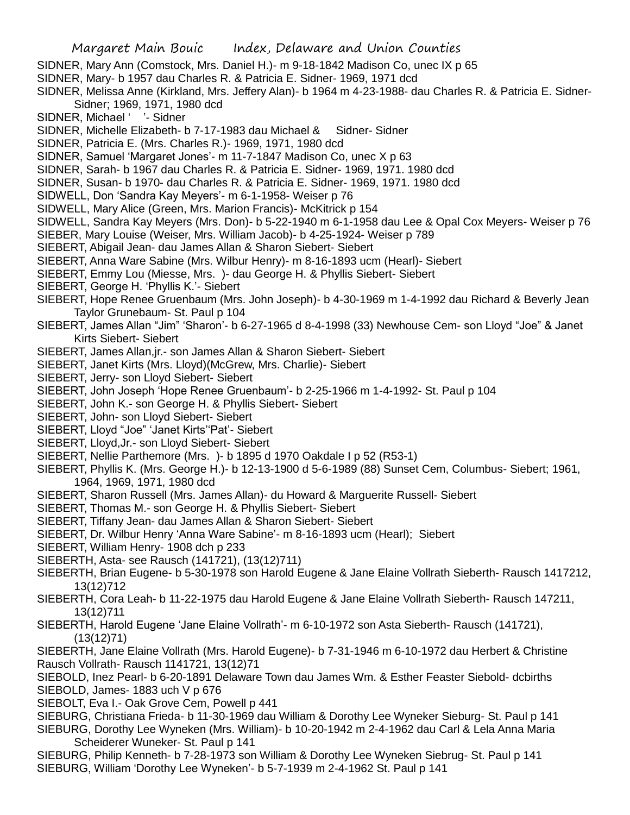- Margaret Main Bouic Index, Delaware and Union Counties
- SIDNER, Mary Ann (Comstock, Mrs. Daniel H.)- m 9-18-1842 Madison Co, unec IX p 65
- SIDNER, Mary- b 1957 dau Charles R. & Patricia E. Sidner- 1969, 1971 dcd
- SIDNER, Melissa Anne (Kirkland, Mrs. Jeffery Alan)- b 1964 m 4-23-1988- dau Charles R. & Patricia E. Sidner-Sidner; 1969, 1971, 1980 dcd
- SIDNER, Michael ' '- Sidner
- SIDNER, Michelle Elizabeth- b 7-17-1983 dau Michael & Sidner- Sidner
- SIDNER, Patricia E. (Mrs. Charles R.)- 1969, 1971, 1980 dcd
- SIDNER, Samuel 'Margaret Jones'- m 11-7-1847 Madison Co, unec X p 63
- SIDNER, Sarah- b 1967 dau Charles R. & Patricia E. Sidner- 1969, 1971. 1980 dcd
- SIDNER, Susan- b 1970- dau Charles R. & Patricia E. Sidner- 1969, 1971. 1980 dcd
- SIDWELL, Don 'Sandra Kay Meyers'- m 6-1-1958- Weiser p 76
- SIDWELL, Mary Alice (Green, Mrs. Marion Francis)- McKitrick p 154
- SIDWELL, Sandra Kay Meyers (Mrs. Don)- b 5-22-1940 m 6-1-1958 dau Lee & Opal Cox Meyers- Weiser p 76
- SIEBER, Mary Louise (Weiser, Mrs. William Jacob)- b 4-25-1924- Weiser p 789
- SIEBERT, Abigail Jean- dau James Allan & Sharon Siebert- Siebert
- SIEBERT, Anna Ware Sabine (Mrs. Wilbur Henry)- m 8-16-1893 ucm (Hearl)- Siebert
- SIEBERT, Emmy Lou (Miesse, Mrs. )- dau George H. & Phyllis Siebert- Siebert
- SIEBERT, George H. 'Phyllis K.'- Siebert
- SIEBERT, Hope Renee Gruenbaum (Mrs. John Joseph)- b 4-30-1969 m 1-4-1992 dau Richard & Beverly Jean Taylor Grunebaum- St. Paul p 104
- SIEBERT, James Allan "Jim" 'Sharon'- b 6-27-1965 d 8-4-1998 (33) Newhouse Cem- son Lloyd "Joe" & Janet Kirts Siebert- Siebert
- SIEBERT, James Allan,jr.- son James Allan & Sharon Siebert- Siebert
- SIEBERT, Janet Kirts (Mrs. Lloyd)(McGrew, Mrs. Charlie)- Siebert
- SIEBERT, Jerry- son Lloyd Siebert- Siebert
- SIEBERT, John Joseph 'Hope Renee Gruenbaum'- b 2-25-1966 m 1-4-1992- St. Paul p 104
- SIEBERT, John K.- son George H. & Phyllis Siebert- Siebert
- SIEBERT, John- son Lloyd Siebert- Siebert
- SIEBERT, Lloyd "Joe" 'Janet Kirts''Pat'- Siebert
- SIEBERT, Lloyd,Jr.- son Lloyd Siebert- Siebert
- SIEBERT, Nellie Parthemore (Mrs. )- b 1895 d 1970 Oakdale I p 52 (R53-1)
- SIEBERT, Phyllis K. (Mrs. George H.)- b 12-13-1900 d 5-6-1989 (88) Sunset Cem, Columbus- Siebert; 1961, 1964, 1969, 1971, 1980 dcd
- SIEBERT, Sharon Russell (Mrs. James Allan)- du Howard & Marguerite Russell- Siebert
- SIEBERT, Thomas M.- son George H. & Phyllis Siebert- Siebert
- SIEBERT, Tiffany Jean- dau James Allan & Sharon Siebert- Siebert
- SIEBERT, Dr. Wilbur Henry 'Anna Ware Sabine'- m 8-16-1893 ucm (Hearl); Siebert
- SIEBERT, William Henry- 1908 dch p 233
- SIEBERTH, Asta- see Rausch (141721), (13(12)711)
- SIEBERTH, Brian Eugene- b 5-30-1978 son Harold Eugene & Jane Elaine Vollrath Sieberth- Rausch 1417212, 13(12)712
- SIEBERTH, Cora Leah- b 11-22-1975 dau Harold Eugene & Jane Elaine Vollrath Sieberth- Rausch 147211, 13(12)711
- SIEBERTH, Harold Eugene 'Jane Elaine Vollrath'- m 6-10-1972 son Asta Sieberth- Rausch (141721), (13(12)71)
- SIEBERTH, Jane Elaine Vollrath (Mrs. Harold Eugene)- b 7-31-1946 m 6-10-1972 dau Herbert & Christine Rausch Vollrath- Rausch 1141721, 13(12)71
- SIEBOLD, Inez Pearl- b 6-20-1891 Delaware Town dau James Wm. & Esther Feaster Siebold- dcbirths SIEBOLD, James- 1883 uch V p 676
- SIEBOLT, Eva I.- Oak Grove Cem, Powell p 441
- SIEBURG, Christiana Frieda- b 11-30-1969 dau William & Dorothy Lee Wyneker Sieburg- St. Paul p 141
- SIEBURG, Dorothy Lee Wyneken (Mrs. William)- b 10-20-1942 m 2-4-1962 dau Carl & Lela Anna Maria Scheiderer Wuneker- St. Paul p 141
- SIEBURG, Philip Kenneth- b 7-28-1973 son William & Dorothy Lee Wyneken Siebrug- St. Paul p 141 SIEBURG, William 'Dorothy Lee Wyneken'- b 5-7-1939 m 2-4-1962 St. Paul p 141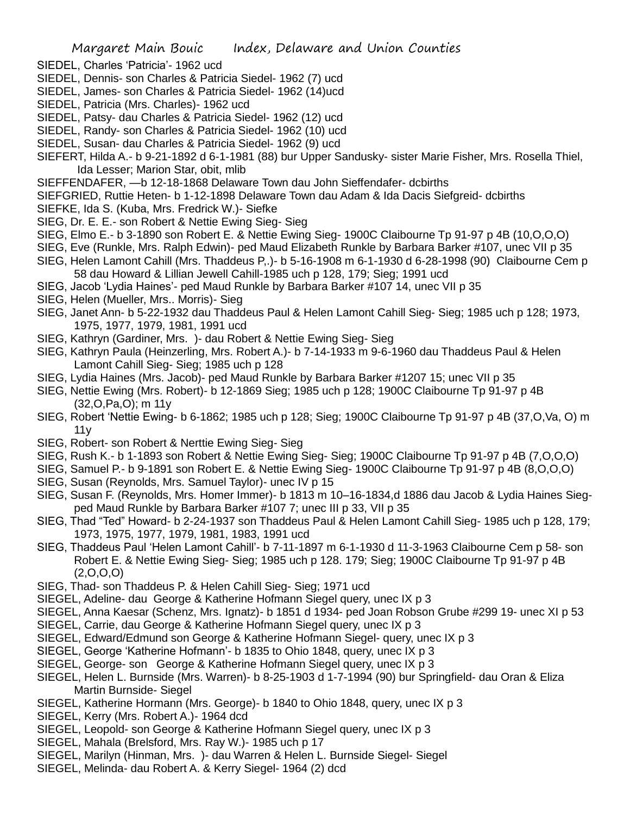- SIEDEL, Charles 'Patricia'- 1962 ucd
- SIEDEL, Dennis- son Charles & Patricia Siedel- 1962 (7) ucd
- SIEDEL, James- son Charles & Patricia Siedel- 1962 (14)ucd
- SIEDEL, Patricia (Mrs. Charles)- 1962 ucd
- SIEDEL, Patsy- dau Charles & Patricia Siedel- 1962 (12) ucd
- SIEDEL, Randy- son Charles & Patricia Siedel- 1962 (10) ucd
- SIEDEL, Susan- dau Charles & Patricia Siedel- 1962 (9) ucd
- SIEFERT, Hilda A.- b 9-21-1892 d 6-1-1981 (88) bur Upper Sandusky- sister Marie Fisher, Mrs. Rosella Thiel, Ida Lesser; Marion Star, obit, mlib
- SIEFFENDAFER, —b 12-18-1868 Delaware Town dau John Sieffendafer- dcbirths
- SIEFGRIED, Ruttie Heten- b 1-12-1898 Delaware Town dau Adam & Ida Dacis Siefgreid- dcbirths
- SIEFKE, Ida S. (Kuba, Mrs. Fredrick W.)- Siefke
- SIEG, Dr. E. E.- son Robert & Nettie Ewing Sieg- Sieg
- SIEG, Elmo E.- b 3-1890 son Robert E. & Nettie Ewing Sieg- 1900C Claibourne Tp 91-97 p 4B (10,O,O,O)
- SIEG, Eve (Runkle, Mrs. Ralph Edwin)- ped Maud Elizabeth Runkle by Barbara Barker #107, unec VII p 35
- SIEG, Helen Lamont Cahill (Mrs. Thaddeus P,.)- b 5-16-1908 m 6-1-1930 d 6-28-1998 (90) Claibourne Cem p 58 dau Howard & Lillian Jewell Cahill-1985 uch p 128, 179; Sieg; 1991 ucd
- SIEG, Jacob 'Lydia Haines'- ped Maud Runkle by Barbara Barker #107 14, unec VII p 35
- SIEG, Helen (Mueller, Mrs.. Morris)- Sieg
- SIEG, Janet Ann- b 5-22-1932 dau Thaddeus Paul & Helen Lamont Cahill Sieg- Sieg; 1985 uch p 128; 1973, 1975, 1977, 1979, 1981, 1991 ucd
- SIEG, Kathryn (Gardiner, Mrs. )- dau Robert & Nettie Ewing Sieg- Sieg
- SIEG, Kathryn Paula (Heinzerling, Mrs. Robert A.)- b 7-14-1933 m 9-6-1960 dau Thaddeus Paul & Helen Lamont Cahill Sieg- Sieg; 1985 uch p 128
- SIEG, Lydia Haines (Mrs. Jacob)- ped Maud Runkle by Barbara Barker #1207 15; unec VII p 35
- SIEG, Nettie Ewing (Mrs. Robert)- b 12-1869 Sieg; 1985 uch p 128; 1900C Claibourne Tp 91-97 p 4B (32,O,Pa,O); m 11y
- SIEG, Robert 'Nettie Ewing- b 6-1862; 1985 uch p 128; Sieg; 1900C Claibourne Tp 91-97 p 4B (37,O,Va, O) m 11y
- SIEG, Robert- son Robert & Nerttie Ewing Sieg- Sieg
- SIEG, Rush K.- b 1-1893 son Robert & Nettie Ewing Sieg- Sieg; 1900C Claibourne Tp 91-97 p 4B (7,O,O,O)
- SIEG, Samuel P.- b 9-1891 son Robert E. & Nettie Ewing Sieg- 1900C Claibourne Tp 91-97 p 4B (8,O,O,O)
- SIEG, Susan (Reynolds, Mrs. Samuel Taylor)- unec IV p 15
- SIEG, Susan F. (Reynolds, Mrs. Homer Immer)- b 1813 m 10–16-1834,d 1886 dau Jacob & Lydia Haines Siegped Maud Runkle by Barbara Barker #107 7; unec III p 33, VII p 35
- SIEG, Thad "Ted" Howard- b 2-24-1937 son Thaddeus Paul & Helen Lamont Cahill Sieg- 1985 uch p 128, 179; 1973, 1975, 1977, 1979, 1981, 1983, 1991 ucd
- SIEG, Thaddeus Paul 'Helen Lamont Cahill'- b 7-11-1897 m 6-1-1930 d 11-3-1963 Claibourne Cem p 58- son Robert E. & Nettie Ewing Sieg- Sieg; 1985 uch p 128. 179; Sieg; 1900C Claibourne Tp 91-97 p 4B  $(2,0,0,0)$
- SIEG, Thad- son Thaddeus P. & Helen Cahill Sieg- Sieg; 1971 ucd
- SIEGEL, Adeline- dau George & Katherine Hofmann Siegel query, unec IX p 3
- SIEGEL, Anna Kaesar (Schenz, Mrs. Ignatz)- b 1851 d 1934- ped Joan Robson Grube #299 19- unec XI p 53
- SIEGEL, Carrie, dau George & Katherine Hofmann Siegel query, unec IX p 3
- SIEGEL, Edward/Edmund son George & Katherine Hofmann Siegel- query, unec IX p 3
- SIEGEL, George 'Katherine Hofmann'- b 1835 to Ohio 1848, query, unec IX p 3
- SIEGEL, George- son George & Katherine Hofmann Siegel query, unec IX p 3
- SIEGEL, Helen L. Burnside (Mrs. Warren)- b 8-25-1903 d 1-7-1994 (90) bur Springfield- dau Oran & Eliza Martin Burnside- Siegel
- SIEGEL, Katherine Hormann (Mrs. George)- b 1840 to Ohio 1848, query, unec IX p 3
- SIEGEL, Kerry (Mrs. Robert A.)- 1964 dcd
- SIEGEL, Leopold- son George & Katherine Hofmann Siegel query, unec IX p 3
- SIEGEL, Mahala (Brelsford, Mrs. Ray W.)- 1985 uch p 17
- SIEGEL, Marilyn (Hinman, Mrs. )- dau Warren & Helen L. Burnside Siegel- Siegel
- SIEGEL, Melinda- dau Robert A. & Kerry Siegel- 1964 (2) dcd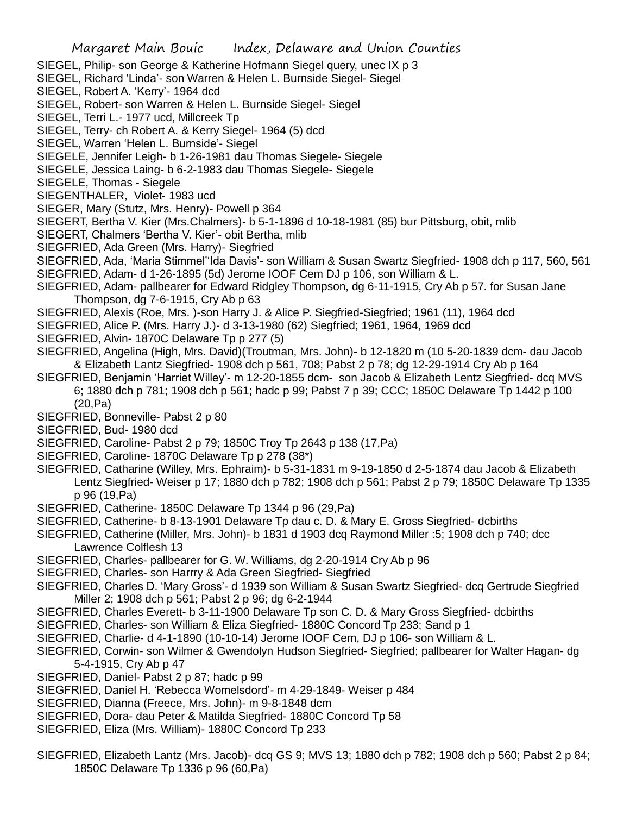SIEGEL, Philip- son George & Katherine Hofmann Siegel query, unec IX p 3

SIEGEL, Richard 'Linda'- son Warren & Helen L. Burnside Siegel- Siegel

SIEGEL, Robert A. 'Kerry'- 1964 dcd

SIEGEL, Robert- son Warren & Helen L. Burnside Siegel- Siegel

SIEGEL, Terri L.- 1977 ucd, Millcreek Tp

SIEGEL, Terry- ch Robert A. & Kerry Siegel- 1964 (5) dcd

SIEGEL, Warren 'Helen L. Burnside'- Siegel

SIEGELE, Jennifer Leigh- b 1-26-1981 dau Thomas Siegele- Siegele

SIEGELE, Jessica Laing- b 6-2-1983 dau Thomas Siegele- Siegele

SIEGELE, Thomas - Siegele

SIEGENTHALER, Violet- 1983 ucd

SIEGER, Mary (Stutz, Mrs. Henry)- Powell p 364

SIEGERT, Bertha V. Kier (Mrs.Chalmers)- b 5-1-1896 d 10-18-1981 (85) bur Pittsburg, obit, mlib

SIEGERT, Chalmers 'Bertha V. Kier'- obit Bertha, mlib

SIEGFRIED, Ada Green (Mrs. Harry)- Siegfried

SIEGFRIED, Ada, 'Maria Stimmel''Ida Davis'- son William & Susan Swartz Siegfried- 1908 dch p 117, 560, 561 SIEGFRIED, Adam- d 1-26-1895 (5d) Jerome IOOF Cem DJ p 106, son William & L.

SIEGFRIED, Adam- pallbearer for Edward Ridgley Thompson, dg 6-11-1915, Cry Ab p 57. for Susan Jane Thompson, dg 7-6-1915, Cry Ab p 63

SIEGFRIED, Alexis (Roe, Mrs. )-son Harry J. & Alice P. Siegfried-Siegfried; 1961 (11), 1964 dcd

SIEGFRIED, Alice P. (Mrs. Harry J.)- d 3-13-1980 (62) Siegfried; 1961, 1964, 1969 dcd

SIEGFRIED, Alvin- 1870C Delaware Tp p 277 (5)

SIEGFRIED, Angelina (High, Mrs. David)(Troutman, Mrs. John)- b 12-1820 m (10 5-20-1839 dcm- dau Jacob & Elizabeth Lantz Siegfried- 1908 dch p 561, 708; Pabst 2 p 78; dg 12-29-1914 Cry Ab p 164

SIEGFRIED, Benjamin 'Harriet Willey'- m 12-20-1855 dcm- son Jacob & Elizabeth Lentz Siegfried- dcq MVS 6; 1880 dch p 781; 1908 dch p 561; hadc p 99; Pabst 7 p 39; CCC; 1850C Delaware Tp 1442 p 100 (20,Pa)

SIEGFRIED, Bonneville- Pabst 2 p 80

SIEGFRIED, Bud- 1980 dcd

SIEGFRIED, Caroline- Pabst 2 p 79; 1850C Troy Tp 2643 p 138 (17,Pa)

- SIEGFRIED, Caroline- 1870C Delaware Tp p 278 (38\*)
- SIEGFRIED, Catharine (Willey, Mrs. Ephraim)- b 5-31-1831 m 9-19-1850 d 2-5-1874 dau Jacob & Elizabeth Lentz Siegfried- Weiser p 17; 1880 dch p 782; 1908 dch p 561; Pabst 2 p 79; 1850C Delaware Tp 1335 p 96 (19,Pa)
- SIEGFRIED, Catherine- 1850C Delaware Tp 1344 p 96 (29,Pa)

SIEGFRIED, Catherine- b 8-13-1901 Delaware Tp dau c. D. & Mary E. Gross Siegfried- dcbirths

SIEGFRIED, Catherine (Miller, Mrs. John)- b 1831 d 1903 dcq Raymond Miller :5; 1908 dch p 740; dcc Lawrence Colflesh 13

SIEGFRIED, Charles- pallbearer for G. W. Williams, dg 2-20-1914 Cry Ab p 96

SIEGFRIED, Charles- son Harrry & Ada Green Siegfried- Siegfried

SIEGFRIED, Charles D. 'Mary Gross'- d 1939 son William & Susan Swartz Siegfried- dcq Gertrude Siegfried Miller 2; 1908 dch p 561; Pabst 2 p 96; dg 6-2-1944

SIEGFRIED, Charles Everett- b 3-11-1900 Delaware Tp son C. D. & Mary Gross Siegfried- dcbirths

SIEGFRIED, Charles- son William & Eliza Siegfried- 1880C Concord Tp 233; Sand p 1

SIEGFRIED, Charlie- d 4-1-1890 (10-10-14) Jerome IOOF Cem, DJ p 106- son William & L.

- SIEGFRIED, Corwin- son Wilmer & Gwendolyn Hudson Siegfried- Siegfried; pallbearer for Walter Hagan- dg 5-4-1915, Cry Ab p 47
- SIEGFRIED, Daniel- Pabst 2 p 87; hadc p 99

SIEGFRIED, Daniel H. 'Rebecca Womelsdord'- m 4-29-1849- Weiser p 484

- SIEGFRIED, Dianna (Freece, Mrs. John)- m 9-8-1848 dcm
- SIEGFRIED, Dora- dau Peter & Matilda Siegfried- 1880C Concord Tp 58
- SIEGFRIED, Eliza (Mrs. William)- 1880C Concord Tp 233
- SIEGFRIED, Elizabeth Lantz (Mrs. Jacob)- dcq GS 9; MVS 13; 1880 dch p 782; 1908 dch p 560; Pabst 2 p 84; 1850C Delaware Tp 1336 p 96 (60,Pa)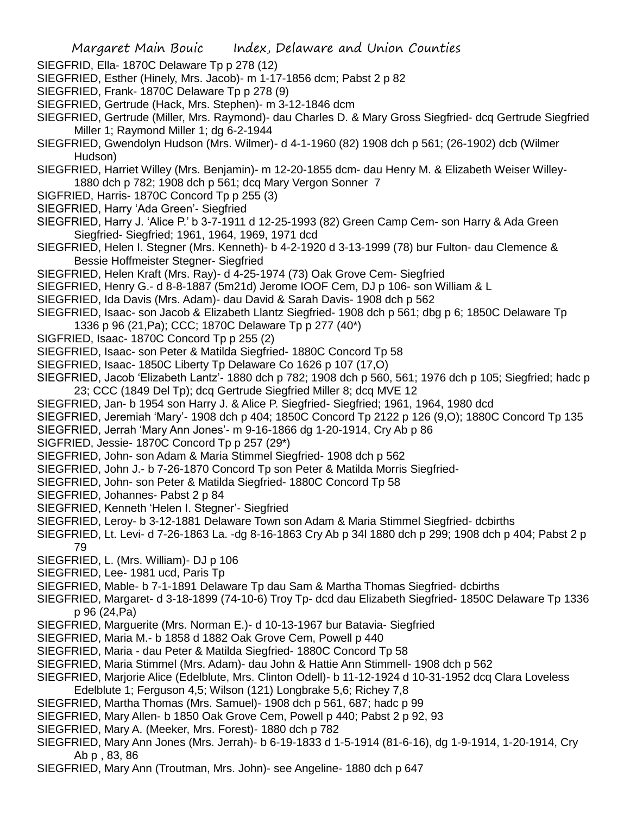- SIEGFRID, Ella- 1870C Delaware Tp p 278 (12)
- SIEGFRIED, Esther (Hinely, Mrs. Jacob)- m 1-17-1856 dcm; Pabst 2 p 82
- SIEGFRIED, Frank- 1870C Delaware Tp p 278 (9)
- SIEGFRIED, Gertrude (Hack, Mrs. Stephen)- m 3-12-1846 dcm
- SIEGFRIED, Gertrude (Miller, Mrs. Raymond)- dau Charles D. & Mary Gross Siegfried- dcq Gertrude Siegfried Miller 1; Raymond Miller 1; dg 6-2-1944
- SIEGFRIED, Gwendolyn Hudson (Mrs. Wilmer)- d 4-1-1960 (82) 1908 dch p 561; (26-1902) dcb (Wilmer Hudson)
- SIEGFRIED, Harriet Willey (Mrs. Benjamin)- m 12-20-1855 dcm- dau Henry M. & Elizabeth Weiser Willey-1880 dch p 782; 1908 dch p 561; dcq Mary Vergon Sonner 7
- SIGFRIED, Harris- 1870C Concord Tp p 255 (3)
- SIEGFRIED, Harry 'Ada Green'- Siegfried
- SIEGFRIED, Harry J. 'Alice P.' b 3-7-1911 d 12-25-1993 (82) Green Camp Cem- son Harry & Ada Green Siegfried- Siegfried; 1961, 1964, 1969, 1971 dcd
- SIEGFRIED, Helen I. Stegner (Mrs. Kenneth)- b 4-2-1920 d 3-13-1999 (78) bur Fulton- dau Clemence & Bessie Hoffmeister Stegner- Siegfried
- SIEGFRIED, Helen Kraft (Mrs. Ray)- d 4-25-1974 (73) Oak Grove Cem- Siegfried
- SIEGFRIED, Henry G.- d 8-8-1887 (5m21d) Jerome IOOF Cem, DJ p 106- son William & L
- SIEGFRIED, Ida Davis (Mrs. Adam)- dau David & Sarah Davis- 1908 dch p 562
- SIEGFRIED, Isaac- son Jacob & Elizabeth Llantz Siegfried- 1908 dch p 561; dbg p 6; 1850C Delaware Tp 1336 p 96 (21,Pa); CCC; 1870C Delaware Tp p 277 (40\*)
- SIGFRIED, Isaac- 1870C Concord Tp p 255 (2)
- SIEGFRIED, Isaac- son Peter & Matilda Siegfried- 1880C Concord Tp 58
- SIEGFRIED, Isaac- 1850C Liberty Tp Delaware Co 1626 p 107 (17,O)
- SIEGFRIED, Jacob 'Elizabeth Lantz'- 1880 dch p 782; 1908 dch p 560, 561; 1976 dch p 105; Siegfried; hadc p 23; CCC (1849 Del Tp); dcq Gertrude Siegfried Miller 8; dcq MVE 12
- SIEGFRIED, Jan- b 1954 son Harry J. & Alice P. Siegfried- Siegfried; 1961, 1964, 1980 dcd
- SIEGFRIED, Jeremiah 'Mary'- 1908 dch p 404; 1850C Concord Tp 2122 p 126 (9,O); 1880C Concord Tp 135
- SIEGFRIED, Jerrah 'Mary Ann Jones'- m 9-16-1866 dg 1-20-1914, Cry Ab p 86
- SIGFRIED, Jessie- 1870C Concord Tp p 257 (29\*)
- SIEGFRIED, John- son Adam & Maria Stimmel Siegfried- 1908 dch p 562
- SIEGFRIED, John J.- b 7-26-1870 Concord Tp son Peter & Matilda Morris Siegfried-
- SIEGFRIED, John- son Peter & Matilda Siegfried- 1880C Concord Tp 58
- SIEGFRIED, Johannes- Pabst 2 p 84
- SIEGFRIED, Kenneth 'Helen I. Stegner'- Siegfried
- SIEGFRIED, Leroy- b 3-12-1881 Delaware Town son Adam & Maria Stimmel Siegfried- dcbirths
- SIEGFRIED, Lt. Levi- d 7-26-1863 La. -dg 8-16-1863 Cry Ab p 34l 1880 dch p 299; 1908 dch p 404; Pabst 2 p
- 79 SIEGFRIED, L. (Mrs. William)- DJ p 106
- SIEGFRIED, Lee- 1981 ucd, Paris Tp
- SIEGFRIED, Mable- b 7-1-1891 Delaware Tp dau Sam & Martha Thomas Siegfried- dcbirths
- SIEGFRIED, Margaret- d 3-18-1899 (74-10-6) Troy Tp- dcd dau Elizabeth Siegfried- 1850C Delaware Tp 1336 p 96 (24,Pa)
- SIEGFRIED, Marguerite (Mrs. Norman E.)- d 10-13-1967 bur Batavia- Siegfried
- SIEGFRIED, Maria M.- b 1858 d 1882 Oak Grove Cem, Powell p 440
- SIEGFRIED, Maria dau Peter & Matilda Siegfried- 1880C Concord Tp 58
- SIEGFRIED, Maria Stimmel (Mrs. Adam)- dau John & Hattie Ann Stimmell- 1908 dch p 562
- SIEGFRIED, Marjorie Alice (Edelblute, Mrs. Clinton Odell)- b 11-12-1924 d 10-31-1952 dcq Clara Loveless
- Edelblute 1; Ferguson 4,5; Wilson (121) Longbrake 5,6; Richey 7,8
- SIEGFRIED, Martha Thomas (Mrs. Samuel)- 1908 dch p 561, 687; hadc p 99
- SIEGFRIED, Mary Allen- b 1850 Oak Grove Cem, Powell p 440; Pabst 2 p 92, 93
- SIEGFRIED, Mary A. (Meeker, Mrs. Forest)- 1880 dch p 782
- SIEGFRIED, Mary Ann Jones (Mrs. Jerrah)- b 6-19-1833 d 1-5-1914 (81-6-16), dg 1-9-1914, 1-20-1914, Cry Ab p , 83, 86
- SIEGFRIED, Mary Ann (Troutman, Mrs. John)- see Angeline- 1880 dch p 647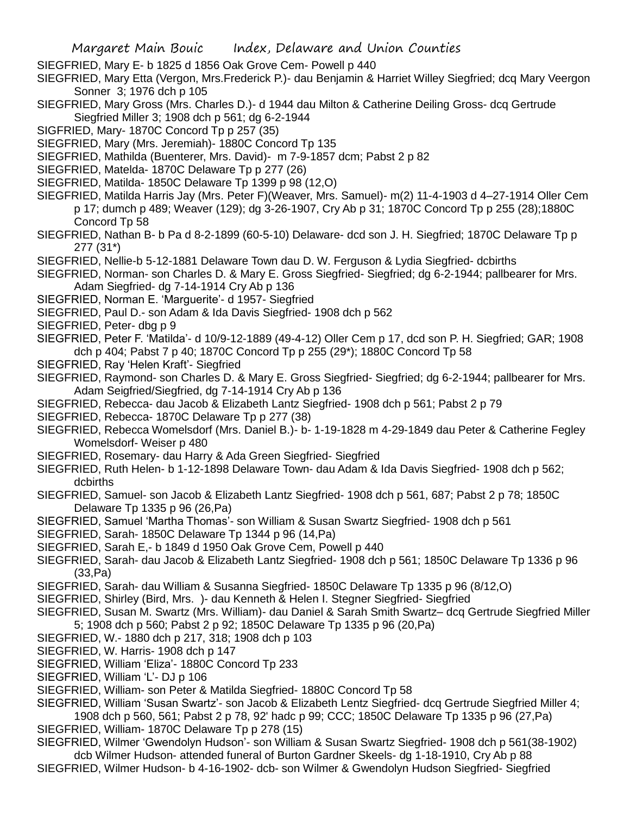SIEGFRIED, Mary E- b 1825 d 1856 Oak Grove Cem- Powell p 440

SIEGFRIED, Mary Etta (Vergon, Mrs.Frederick P.)- dau Benjamin & Harriet Willey Siegfried; dcq Mary Veergon Sonner 3; 1976 dch p 105

- SIEGFRIED, Mary Gross (Mrs. Charles D.)- d 1944 dau Milton & Catherine Deiling Gross- dcq Gertrude Siegfried Miller 3; 1908 dch p 561; dg 6-2-1944
- SIGFRIED, Mary- 1870C Concord Tp p 257 (35)
- SIEGFRIED, Mary (Mrs. Jeremiah)- 1880C Concord Tp 135
- SIEGFRIED, Mathilda (Buenterer, Mrs. David)- m 7-9-1857 dcm; Pabst 2 p 82
- SIEGFRIED, Matelda- 1870C Delaware Tp p 277 (26)
- SIEGFRIED, Matilda- 1850C Delaware Tp 1399 p 98 (12,O)
- SIEGFRIED, Matilda Harris Jay (Mrs. Peter F)(Weaver, Mrs. Samuel)- m(2) 11-4-1903 d 4–27-1914 Oller Cem p 17; dumch p 489; Weaver (129); dg 3-26-1907, Cry Ab p 31; 1870C Concord Tp p 255 (28);1880C Concord Tp 58
- SIEGFRIED, Nathan B- b Pa d 8-2-1899 (60-5-10) Delaware- dcd son J. H. Siegfried; 1870C Delaware Tp p 277 (31\*)
- SIEGFRIED, Nellie-b 5-12-1881 Delaware Town dau D. W. Ferguson & Lydia Siegfried- dcbirths
- SIEGFRIED, Norman- son Charles D. & Mary E. Gross Siegfried- Siegfried; dg 6-2-1944; pallbearer for Mrs. Adam Siegfried- dg 7-14-1914 Cry Ab p 136
- SIEGFRIED, Norman E. 'Marguerite'- d 1957- Siegfried
- SIEGFRIED, Paul D.- son Adam & Ida Davis Siegfried- 1908 dch p 562
- SIEGFRIED, Peter- dbg p 9
- SIEGFRIED, Peter F. 'Matilda'- d 10/9-12-1889 (49-4-12) Oller Cem p 17, dcd son P. H. Siegfried; GAR; 1908 dch p 404; Pabst 7 p 40; 1870C Concord Tp p 255 (29\*); 1880C Concord Tp 58
- SIEGFRIED, Ray 'Helen Kraft'- Siegfried
- SIEGFRIED, Raymond- son Charles D. & Mary E. Gross Siegfried- Siegfried; dg 6-2-1944; pallbearer for Mrs. Adam Seigfried/Siegfried, dg 7-14-1914 Cry Ab p 136
- SIEGFRIED, Rebecca- dau Jacob & Elizabeth Lantz Siegfried- 1908 dch p 561; Pabst 2 p 79
- SIEGFRIED, Rebecca- 1870C Delaware Tp p 277 (38)
- SIEGFRIED, Rebecca Womelsdorf (Mrs. Daniel B.)- b- 1-19-1828 m 4-29-1849 dau Peter & Catherine Fegley Womelsdorf- Weiser p 480
- SIEGFRIED, Rosemary- dau Harry & Ada Green Siegfried- Siegfried
- SIEGFRIED, Ruth Helen- b 1-12-1898 Delaware Town- dau Adam & Ida Davis Siegfried- 1908 dch p 562; dcbirths
- SIEGFRIED, Samuel- son Jacob & Elizabeth Lantz Siegfried- 1908 dch p 561, 687; Pabst 2 p 78; 1850C Delaware Tp 1335 p 96 (26,Pa)
- SIEGFRIED, Samuel 'Martha Thomas'- son William & Susan Swartz Siegfried- 1908 dch p 561
- SIEGFRIED, Sarah- 1850C Delaware Tp 1344 p 96 (14,Pa)
- SIEGFRIED, Sarah E,- b 1849 d 1950 Oak Grove Cem, Powell p 440
- SIEGFRIED, Sarah- dau Jacob & Elizabeth Lantz Siegfried- 1908 dch p 561; 1850C Delaware Tp 1336 p 96 (33,Pa)
- SIEGFRIED, Sarah- dau William & Susanna Siegfried- 1850C Delaware Tp 1335 p 96 (8/12,O)
- SIEGFRIED, Shirley (Bird, Mrs. )- dau Kenneth & Helen I. Stegner Siegfried- Siegfried
- SIEGFRIED, Susan M. Swartz (Mrs. William)- dau Daniel & Sarah Smith Swartz– dcq Gertrude Siegfried Miller 5; 1908 dch p 560; Pabst 2 p 92; 1850C Delaware Tp 1335 p 96 (20,Pa)
- SIEGFRIED, W.- 1880 dch p 217, 318; 1908 dch p 103
- SIEGFRIED, W. Harris- 1908 dch p 147
- SIEGFRIED, William 'Eliza'- 1880C Concord Tp 233
- SIEGFRIED, William 'L'- DJ p 106
- SIEGFRIED, William- son Peter & Matilda Siegfried- 1880C Concord Tp 58
- SIEGFRIED, William 'Susan Swartz'- son Jacob & Elizabeth Lentz Siegfried- dcq Gertrude Siegfried Miller 4; 1908 dch p 560, 561; Pabst 2 p 78, 92' hadc p 99; CCC; 1850C Delaware Tp 1335 p 96 (27,Pa)
- SIEGFRIED, William- 1870C Delaware Tp p 278 (15)
- SIEGFRIED, Wilmer 'Gwendolyn Hudson'- son William & Susan Swartz Siegfried- 1908 dch p 561(38-1902) dcb Wilmer Hudson- attended funeral of Burton Gardner Skeels- dg 1-18-1910, Cry Ab p 88
- SIEGFRIED, Wilmer Hudson- b 4-16-1902- dcb- son Wilmer & Gwendolyn Hudson Siegfried- Siegfried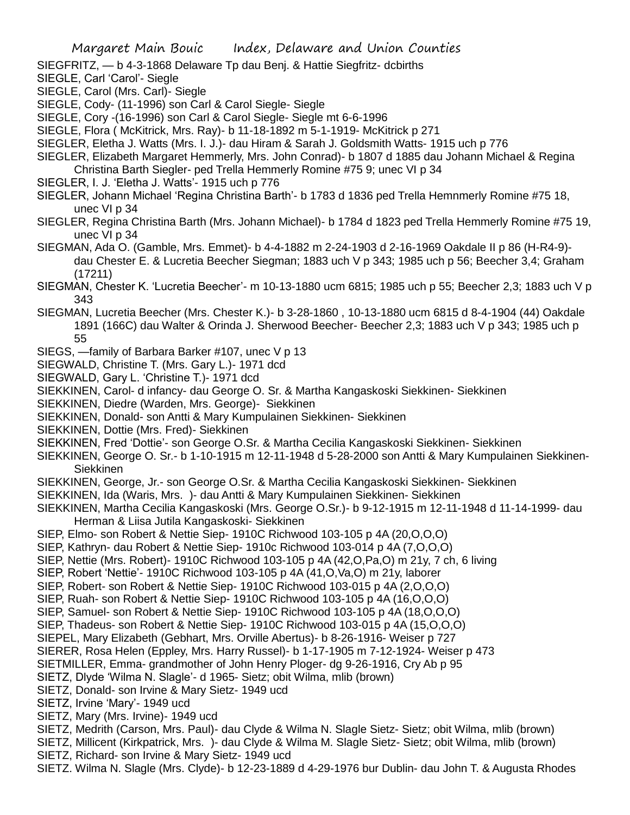SIEGFRITZ, — b 4-3-1868 Delaware Tp dau Benj. & Hattie Siegfritz- dcbirths

SIEGLE, Carl 'Carol'- Siegle

SIEGLE, Carol (Mrs. Carl)- Siegle

SIEGLE, Cody- (11-1996) son Carl & Carol Siegle- Siegle

SIEGLE, Cory -(16-1996) son Carl & Carol Siegle- Siegle mt 6-6-1996

SIEGLE, Flora ( McKitrick, Mrs. Ray)- b 11-18-1892 m 5-1-1919- McKitrick p 271

SIEGLER, Eletha J. Watts (Mrs. I. J.)- dau Hiram & Sarah J. Goldsmith Watts- 1915 uch p 776

- SIEGLER, Elizabeth Margaret Hemmerly, Mrs. John Conrad)- b 1807 d 1885 dau Johann Michael & Regina Christina Barth Siegler- ped Trella Hemmerly Romine #75 9; unec VI p 34
- SIEGLER, I. J. 'Eletha J. Watts'- 1915 uch p 776

SIEGLER, Johann Michael 'Regina Christina Barth'- b 1783 d 1836 ped Trella Hemnmerly Romine #75 18, unec VI p 34

SIEGLER, Regina Christina Barth (Mrs. Johann Michael)- b 1784 d 1823 ped Trella Hemmerly Romine #75 19, unec VI p 34

SIEGMAN, Ada O. (Gamble, Mrs. Emmet)- b 4-4-1882 m 2-24-1903 d 2-16-1969 Oakdale II p 86 (H-R4-9) dau Chester E. & Lucretia Beecher Siegman; 1883 uch V p 343; 1985 uch p 56; Beecher 3,4; Graham (17211)

SIEGMAN, Chester K. 'Lucretia Beecher'- m 10-13-1880 ucm 6815; 1985 uch p 55; Beecher 2,3; 1883 uch V p 343

- SIEGMAN, Lucretia Beecher (Mrs. Chester K.)- b 3-28-1860 , 10-13-1880 ucm 6815 d 8-4-1904 (44) Oakdale 1891 (166C) dau Walter & Orinda J. Sherwood Beecher- Beecher 2,3; 1883 uch V p 343; 1985 uch p 55
- SIEGS, —family of Barbara Barker #107, unec V p 13
- SIEGWALD, Christine T. (Mrs. Gary L.)- 1971 dcd
- SIEGWALD, Gary L. 'Christine T.)- 1971 dcd
- SIEKKINEN, Carol- d infancy- dau George O. Sr. & Martha Kangaskoski Siekkinen- Siekkinen

SIEKKINEN, Diedre (Warden, Mrs. George)- Siekkinen

- SIEKKINEN, Donald- son Antti & Mary Kumpulainen Siekkinen- Siekkinen
- SIEKKINEN, Dottie (Mrs. Fred)- Siekkinen
- SIEKKINEN, Fred 'Dottie'- son George O.Sr. & Martha Cecilia Kangaskoski Siekkinen- Siekkinen
- SIEKKINEN, George O. Sr.- b 1-10-1915 m 12-11-1948 d 5-28-2000 son Antti & Mary Kumpulainen Siekkinen-Siekkinen
- SIEKKINEN, George, Jr.- son George O.Sr. & Martha Cecilia Kangaskoski Siekkinen- Siekkinen
- SIEKKINEN, Ida (Waris, Mrs. )- dau Antti & Mary Kumpulainen Siekkinen- Siekkinen
- SIEKKINEN, Martha Cecilia Kangaskoski (Mrs. George O.Sr.)- b 9-12-1915 m 12-11-1948 d 11-14-1999- dau Herman & Liisa Jutila Kangaskoski- Siekkinen
- SIEP, Elmo- son Robert & Nettie Siep- 1910C Richwood 103-105 p 4A (20,O,O,O)
- SIEP, Kathryn- dau Robert & Nettie Siep- 1910c Richwood 103-014 p 4A (7,O,O,O)
- SIEP, Nettie (Mrs. Robert)- 1910C Richwood 103-105 p 4A (42,O,Pa,O) m 21y, 7 ch, 6 living
- SIEP, Robert 'Nettie'- 1910C Richwood 103-105 p 4A (41,O,Va,O) m 21y, laborer
- SIEP, Robert- son Robert & Nettie Siep- 1910C Richwood 103-015 p 4A (2,O,O,O)
- SIEP, Ruah- son Robert & Nettie Siep- 1910C Richwood 103-105 p 4A (16,O,O,O)
- SIEP, Samuel- son Robert & Nettie Siep- 1910C Richwood 103-105 p 4A (18,O,O,O)
- SIEP, Thadeus- son Robert & Nettie Siep- 1910C Richwood 103-015 p 4A (15,O,O,O)
- SIEPEL, Mary Elizabeth (Gebhart, Mrs. Orville Abertus)- b 8-26-1916- Weiser p 727
- SIERER, Rosa Helen (Eppley, Mrs. Harry Russel)- b 1-17-1905 m 7-12-1924- Weiser p 473
- SIETMILLER, Emma- grandmother of John Henry Ploger- dg 9-26-1916, Cry Ab p 95
- SIETZ, Dlyde 'Wilma N. Slagle'- d 1965- Sietz; obit Wilma, mlib (brown)
- SIETZ, Donald- son Irvine & Mary Sietz- 1949 ucd
- SIETZ, Irvine 'Mary'- 1949 ucd
- SIETZ, Mary (Mrs. Irvine)- 1949 ucd
- SIETZ, Medrith (Carson, Mrs. Paul)- dau Clyde & Wilma N. Slagle Sietz- Sietz; obit Wilma, mlib (brown)
- SIETZ, Millicent (Kirkpatrick, Mrs. )- dau Clyde & Wilma M. Slagle Sietz- Sietz; obit Wilma, mlib (brown)
- SIETZ, Richard- son Irvine & Mary Sietz- 1949 ucd

SIETZ. Wilma N. Slagle (Mrs. Clyde)- b 12-23-1889 d 4-29-1976 bur Dublin- dau John T. & Augusta Rhodes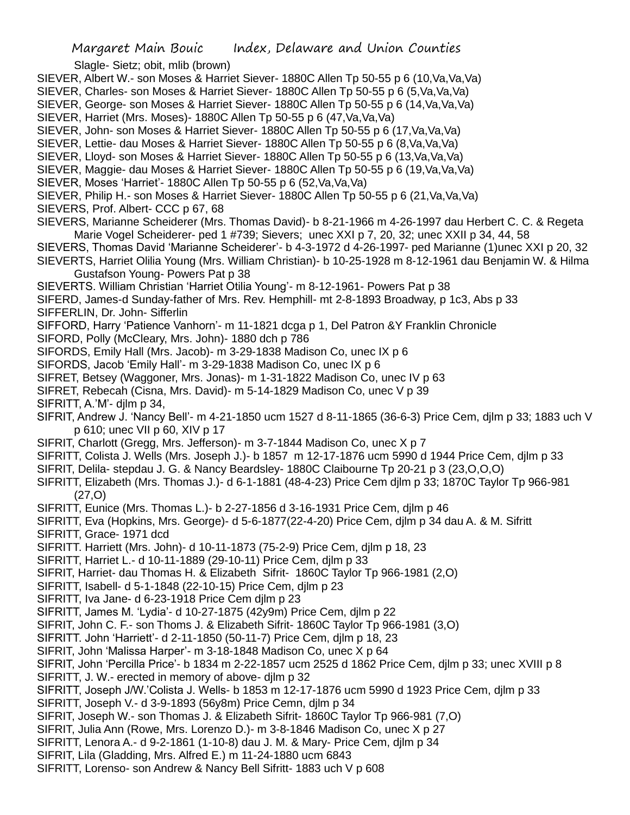Slagle- Sietz; obit, mlib (brown) SIEVER, Albert W.- son Moses & Harriet Siever- 1880C Allen Tp 50-55 p 6 (10,Va,Va,Va) SIEVER, Charles- son Moses & Harriet Siever- 1880C Allen Tp 50-55 p 6 (5,Va,Va,Va) SIEVER, George- son Moses & Harriet Siever- 1880C Allen Tp 50-55 p 6 (14,Va,Va,Va) SIEVER, Harriet (Mrs. Moses)- 1880C Allen Tp 50-55 p 6 (47,Va,Va,Va) SIEVER, John- son Moses & Harriet Siever- 1880C Allen Tp 50-55 p 6 (17,Va,Va,Va) SIEVER, Lettie- dau Moses & Harriet Siever- 1880C Allen Tp 50-55 p 6 (8,Va,Va,Va) SIEVER, Lloyd- son Moses & Harriet Siever- 1880C Allen Tp 50-55 p 6 (13,Va,Va,Va) SIEVER, Maggie- dau Moses & Harriet Siever- 1880C Allen Tp 50-55 p 6 (19,Va,Va,Va) SIEVER, Moses 'Harriet'- 1880C Allen Tp 50-55 p 6 (52,Va,Va,Va) SIEVER, Philip H.- son Moses & Harriet Siever- 1880C Allen Tp 50-55 p 6 (21,Va,Va,Va) SIEVERS, Prof. Albert- CCC p 67, 68 SIEVERS, Marianne Scheiderer (Mrs. Thomas David)- b 8-21-1966 m 4-26-1997 dau Herbert C. C. & Regeta Marie Vogel Scheiderer- ped 1 #739; Sievers; unec XXI p 7, 20, 32; unec XXII p 34, 44, 58 SIEVERS, Thomas David 'Marianne Scheiderer'- b 4-3-1972 d 4-26-1997- ped Marianne (1)unec XXI p 20, 32 SIEVERTS, Harriet Olilia Young (Mrs. William Christian)- b 10-25-1928 m 8-12-1961 dau Benjamin W. & Hilma Gustafson Young- Powers Pat p 38 SIEVERTS. William Christian 'Harriet Otilia Young'- m 8-12-1961- Powers Pat p 38 SIFERD, James-d Sunday-father of Mrs. Rev. Hemphill- mt 2-8-1893 Broadway, p 1c3, Abs p 33 SIFFERLIN, Dr. John- Sifferlin SIFFORD, Harry 'Patience Vanhorn'- m 11-1821 dcga p 1, Del Patron &Y Franklin Chronicle SIFORD, Polly (McCleary, Mrs. John)- 1880 dch p 786 SIFORDS, Emily Hall (Mrs. Jacob)- m 3-29-1838 Madison Co, unec IX p 6 SIFORDS, Jacob 'Emily Hall'- m 3-29-1838 Madison Co, unec IX p 6 SIFRET, Betsey (Waggoner, Mrs. Jonas)- m 1-31-1822 Madison Co, unec IV p 63 SIFRET, Rebecah (Cisna, Mrs. David)- m 5-14-1829 Madison Co, unec V p 39 SIFRITT, A.'M'- dilm p 34, SIFRIT, Andrew J. 'Nancy Bell'- m 4-21-1850 ucm 1527 d 8-11-1865 (36-6-3) Price Cem, djlm p 33; 1883 uch V p 610; unec VII p 60, XIV p 17 SIFRIT, Charlott (Gregg, Mrs. Jefferson)- m 3-7-1844 Madison Co, unec X p 7 SIFRITT, Colista J. Wells (Mrs. Joseph J.)- b 1857 m 12-17-1876 ucm 5990 d 1944 Price Cem, djlm p 33 SIFRIT, Delila- stepdau J. G. & Nancy Beardsley- 1880C Claibourne Tp 20-21 p 3 (23,O,O,O) SIFRITT, Elizabeth (Mrs. Thomas J.)- d 6-1-1881 (48-4-23) Price Cem djlm p 33; 1870C Taylor Tp 966-981 (27,O) SIFRITT, Eunice (Mrs. Thomas L.)- b 2-27-1856 d 3-16-1931 Price Cem, djlm p 46 SIFRITT, Eva (Hopkins, Mrs. George)- d 5-6-1877(22-4-20) Price Cem, djlm p 34 dau A. & M. Sifritt SIFRITT, Grace- 1971 dcd SIFRITT. Harriett (Mrs. John)- d 10-11-1873 (75-2-9) Price Cem, djlm p 18, 23 SIFRITT, Harriet L.- d 10-11-1889 (29-10-11) Price Cem, djlm p 33 SIFRIT, Harriet- dau Thomas H. & Elizabeth Sifrit- 1860C Taylor Tp 966-1981 (2,O) SIFRITT, Isabell- d 5-1-1848 (22-10-15) Price Cem, djlm p 23 SIFRITT, Iva Jane- d 6-23-1918 Price Cem djlm p 23 SIFRITT, James M. 'Lydia'- d 10-27-1875 (42y9m) Price Cem, djlm p 22 SIFRIT, John C. F.- son Thoms J. & Elizabeth Sifrit- 1860C Taylor Tp 966-1981 (3,O) SIFRITT. John 'Harriett'- d 2-11-1850 (50-11-7) Price Cem, djlm p 18, 23 SIFRIT, John 'Malissa Harper'- m 3-18-1848 Madison Co, unec X p 64 SIFRIT, John 'Percilla Price'- b 1834 m 2-22-1857 ucm 2525 d 1862 Price Cem, djlm p 33; unec XVIII p 8 SIFRITT, J. W.- erected in memory of above- djlm p 32 SIFRITT, Joseph J/W.'Colista J. Wells- b 1853 m 12-17-1876 ucm 5990 d 1923 Price Cem, djlm p 33 SIFRITT, Joseph V.- d 3-9-1893 (56y8m) Price Cemn, djlm p 34 SIFRIT, Joseph W.- son Thomas J. & Elizabeth Sifrit- 1860C Taylor Tp 966-981 (7,O) SIFRIT, Julia Ann (Rowe, Mrs. Lorenzo D.)- m 3-8-1846 Madison Co, unec X p 27 SIFRITT, Lenora A.- d 9-2-1861 (1-10-8) dau J. M. & Mary- Price Cem, djlm p 34 SIFRIT, Lila (Gladding, Mrs. Alfred E.) m 11-24-1880 ucm 6843 SIFRITT, Lorenso- son Andrew & Nancy Bell Sifritt- 1883 uch V p 608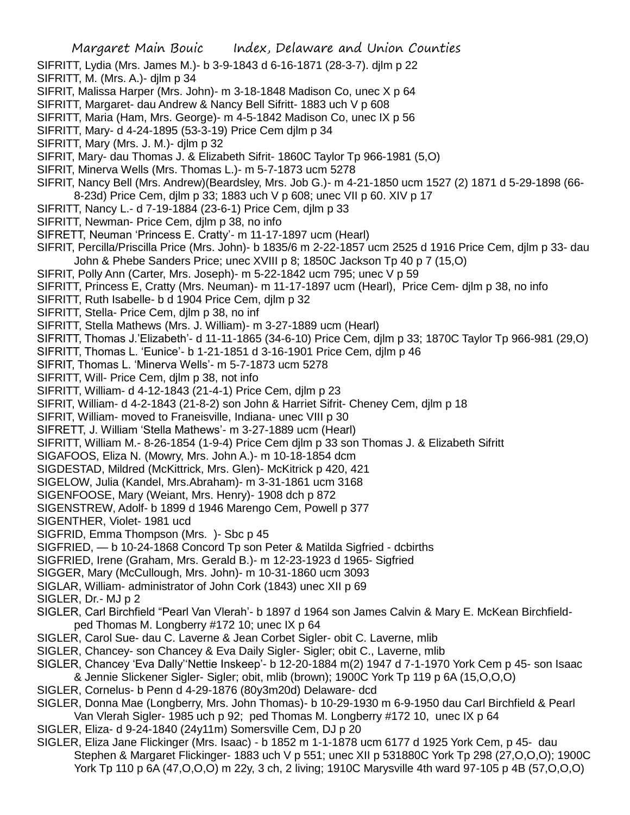- SIFRITT, Lydia (Mrs. James M.)- b 3-9-1843 d 6-16-1871 (28-3-7). djlm p 22
- SIFRITT, M. (Mrs. A.)- djlm p 34
- SIFRIT, Malissa Harper (Mrs. John)- m 3-18-1848 Madison Co, unec X p 64
- SIFRITT, Margaret- dau Andrew & Nancy Bell Sifritt- 1883 uch V p 608
- SIFRITT, Maria (Ham, Mrs. George)- m 4-5-1842 Madison Co, unec IX p 56
- SIFRITT, Mary- d 4-24-1895 (53-3-19) Price Cem djlm p 34
- SIFRITT, Mary (Mrs. J. M.)- djlm p 32
- SIFRIT, Mary- dau Thomas J. & Elizabeth Sifrit- 1860C Taylor Tp 966-1981 (5,O)
- SIFRIT, Minerva Wells (Mrs. Thomas L.)- m 5-7-1873 ucm 5278
- SIFRIT, Nancy Bell (Mrs. Andrew)(Beardsley, Mrs. Job G.)- m 4-21-1850 ucm 1527 (2) 1871 d 5-29-1898 (66-
- 8-23d) Price Cem, djlm p 33; 1883 uch V p 608; unec VII p 60. XIV p 17
- SIFRITT, Nancy L.- d 7-19-1884 (23-6-1) Price Cem, djlm p 33
- SIFRITT, Newman- Price Cem, djlm p 38, no info
- SIFRETT, Neuman 'Princess E. Cratty'- m 11-17-1897 ucm (Hearl)
- SIFRIT, Percilla/Priscilla Price (Mrs. John)- b 1835/6 m 2-22-1857 ucm 2525 d 1916 Price Cem, djlm p 33- dau John & Phebe Sanders Price; unec XVIII p 8; 1850C Jackson Tp 40 p 7 (15,O)
- SIFRIT, Polly Ann (Carter, Mrs. Joseph)- m 5-22-1842 ucm 795; unec V p 59
- SIFRITT, Princess E, Cratty (Mrs. Neuman)- m 11-17-1897 ucm (Hearl), Price Cem- djlm p 38, no info
- SIFRITT, Ruth Isabelle- b d 1904 Price Cem, djlm p 32
- SIFRITT, Stella- Price Cem, djlm p 38, no inf
- SIFRITT, Stella Mathews (Mrs. J. William)- m 3-27-1889 ucm (Hearl)
- SIFRITT, Thomas J.'Elizabeth'- d 11-11-1865 (34-6-10) Price Cem, djlm p 33; 1870C Taylor Tp 966-981 (29,O)
- SIFRITT, Thomas L. 'Eunice'- b 1-21-1851 d 3-16-1901 Price Cem, djlm p 46
- SIFRIT, Thomas L. 'Minerva Wells'- m 5-7-1873 ucm 5278
- SIFRITT, Will- Price Cem, djlm p 38, not info
- SIFRITT, William- d 4-12-1843 (21-4-1) Price Cem, djlm p 23
- SIFRIT, William- d 4-2-1843 (21-8-2) son John & Harriet Sifrit- Cheney Cem, djlm p 18
- SIFRIT, William- moved to Franeisville, Indiana- unec VIII p 30
- SIFRETT, J. William 'Stella Mathews'- m 3-27-1889 ucm (Hearl)
- SIFRITT, William M.- 8-26-1854 (1-9-4) Price Cem djlm p 33 son Thomas J. & Elizabeth Sifritt
- SIGAFOOS, Eliza N. (Mowry, Mrs. John A.)- m 10-18-1854 dcm
- SIGDESTAD, Mildred (McKittrick, Mrs. Glen)- McKitrick p 420, 421
- SIGELOW, Julia (Kandel, Mrs.Abraham)- m 3-31-1861 ucm 3168
- SIGENFOOSE, Mary (Weiant, Mrs. Henry)- 1908 dch p 872
- SIGENSTREW, Adolf- b 1899 d 1946 Marengo Cem, Powell p 377
- SIGENTHER, Violet- 1981 ucd
- SIGFRID, Emma Thompson (Mrs. )- Sbc p 45
- SIGFRIED, b 10-24-1868 Concord Tp son Peter & Matilda Sigfried dcbirths
- SIGFRIED, Irene (Graham, Mrs. Gerald B.)- m 12-23-1923 d 1965- Sigfried
- SIGGER, Mary (McCullough, Mrs. John)- m 10-31-1860 ucm 3093
- SIGLAR, William- administrator of John Cork (1843) unec XII p 69

SIGLER, Dr.- MJ p 2

- SIGLER, Carl Birchfield "Pearl Van Vlerah'- b 1897 d 1964 son James Calvin & Mary E. McKean Birchfieldped Thomas M. Longberry #172 10; unec IX p 64
- SIGLER, Carol Sue- dau C. Laverne & Jean Corbet Sigler- obit C. Laverne, mlib
- SIGLER, Chancey- son Chancey & Eva Daily Sigler- Sigler; obit C., Laverne, mlib
- SIGLER, Chancey 'Eva Dally''Nettie Inskeep'- b 12-20-1884 m(2) 1947 d 7-1-1970 York Cem p 45- son Isaac & Jennie Slickener Sigler- Sigler; obit, mlib (brown); 1900C York Tp 119 p 6A (15,O,O,O)
- SIGLER, Cornelus- b Penn d 4-29-1876 (80y3m20d) Delaware- dcd
- SIGLER, Donna Mae (Longberry, Mrs. John Thomas)- b 10-29-1930 m 6-9-1950 dau Carl Birchfield & Pearl Van Vlerah Sigler- 1985 uch p 92; ped Thomas M. Longberry #172 10, unec IX p 64
- SIGLER, Eliza- d 9-24-1840 (24y11m) Somersville Cem, DJ p 20
- SIGLER, Eliza Jane Flickinger (Mrs. Isaac) b 1852 m 1-1-1878 ucm 6177 d 1925 York Cem, p 45- dau Stephen & Margaret Flickinger- 1883 uch V p 551; unec XII p 531880C York Tp 298 (27,O,O,O); 1900C York Tp 110 p 6A (47,O,O,O) m 22y, 3 ch, 2 living; 1910C Marysville 4th ward 97-105 p 4B (57,O,O,O)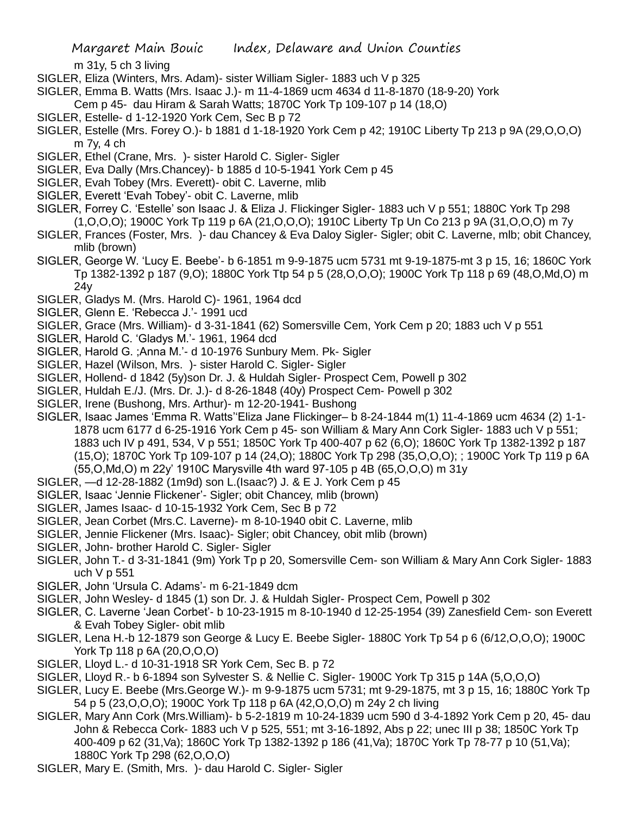m 31y, 5 ch 3 living

- SIGLER, Eliza (Winters, Mrs. Adam)- sister William Sigler- 1883 uch V p 325
- SIGLER, Emma B. Watts (Mrs. Isaac J.)- m 11-4-1869 ucm 4634 d 11-8-1870 (18-9-20) York
- Cem p 45- dau Hiram & Sarah Watts; 1870C York Tp 109-107 p 14 (18,O)
- SIGLER, Estelle- d 1-12-1920 York Cem, Sec B p 72
- SIGLER, Estelle (Mrs. Forey O.)- b 1881 d 1-18-1920 York Cem p 42; 1910C Liberty Tp 213 p 9A (29,O,O,O) m 7y, 4 ch
- SIGLER, Ethel (Crane, Mrs. )- sister Harold C. Sigler- Sigler
- SIGLER, Eva Dally (Mrs.Chancey)- b 1885 d 10-5-1941 York Cem p 45
- SIGLER, Evah Tobey (Mrs. Everett)- obit C. Laverne, mlib
- SIGLER, Everett 'Evah Tobey'- obit C. Laverne, mlib
- SIGLER, Forrey C. 'Estelle' son Isaac J. & Eliza J. Flickinger Sigler- 1883 uch V p 551; 1880C York Tp 298 (1,O,O,O); 1900C York Tp 119 p 6A (21,O,O,O); 1910C Liberty Tp Un Co 213 p 9A (31,O,O,O) m 7y
- SIGLER, Frances (Foster, Mrs. )- dau Chancey & Eva Daloy Sigler- Sigler; obit C. Laverne, mlb; obit Chancey, mlib (brown)
- SIGLER, George W. 'Lucy E. Beebe'- b 6-1851 m 9-9-1875 ucm 5731 mt 9-19-1875-mt 3 p 15, 16; 1860C York Tp 1382-1392 p 187 (9,O); 1880C York Ttp 54 p 5 (28,O,O,O); 1900C York Tp 118 p 69 (48,O,Md,O) m 24y
- SIGLER, Gladys M. (Mrs. Harold C)- 1961, 1964 dcd
- SIGLER, Glenn E. 'Rebecca J.'- 1991 ucd
- SIGLER, Grace (Mrs. William)- d 3-31-1841 (62) Somersville Cem, York Cem p 20; 1883 uch V p 551
- SIGLER, Harold C. 'Gladys M.'- 1961, 1964 dcd
- SIGLER, Harold G. ;Anna M.'- d 10-1976 Sunbury Mem. Pk- Sigler
- SIGLER, Hazel (Wilson, Mrs. )- sister Harold C. Sigler- Sigler
- SIGLER, Hollend- d 1842 (5y)son Dr. J. & Huldah Sigler- Prospect Cem, Powell p 302
- SIGLER, Huldah E./J. (Mrs. Dr. J.)- d 8-26-1848 (40y) Prospect Cem- Powell p 302
- SIGLER, Irene (Bushong, Mrs. Arthur)- m 12-20-1941- Bushong
- SIGLER, Isaac James 'Emma R. Watts''Eliza Jane Flickinger– b 8-24-1844 m(1) 11-4-1869 ucm 4634 (2) 1-1- 1878 ucm 6177 d 6-25-1916 York Cem p 45- son William & Mary Ann Cork Sigler- 1883 uch V p 551; 1883 uch IV p 491, 534, V p 551; 1850C York Tp 400-407 p 62 (6,O); 1860C York Tp 1382-1392 p 187 (15,O); 1870C York Tp 109-107 p 14 (24,O); 1880C York Tp 298 (35,O,O,O); ; 1900C York Tp 119 p 6A (55,O,Md,O) m 22y' 1910C Marysville 4th ward 97-105 p 4B (65,O,O,O) m 31y
- SIGLER, —d 12-28-1882 (1m9d) son L.(Isaac?) J. & E J. York Cem p 45
- SIGLER, Isaac 'Jennie Flickener'- Sigler; obit Chancey, mlib (brown)
- SIGLER, James Isaac- d 10-15-1932 York Cem, Sec B p 72
- SIGLER, Jean Corbet (Mrs.C. Laverne)- m 8-10-1940 obit C. Laverne, mlib
- SIGLER, Jennie Flickener (Mrs. Isaac)- Sigler; obit Chancey, obit mlib (brown)
- SIGLER, John- brother Harold C. Sigler- Sigler
- SIGLER, John T.- d 3-31-1841 (9m) York Tp p 20, Somersville Cem- son William & Mary Ann Cork Sigler- 1883 uch V p 551
- SIGLER, John 'Ursula C. Adams'- m 6-21-1849 dcm
- SIGLER, John Wesley- d 1845 (1) son Dr. J. & Huldah Sigler- Prospect Cem, Powell p 302
- SIGLER, C. Laverne 'Jean Corbet'- b 10-23-1915 m 8-10-1940 d 12-25-1954 (39) Zanesfield Cem- son Everett & Evah Tobey Sigler- obit mlib
- SIGLER, Lena H.-b 12-1879 son George & Lucy E. Beebe Sigler- 1880C York Tp 54 p 6 (6/12,O,O,O); 1900C York Tp 118 p 6A (20,O,O,O)
- SIGLER, Lloyd L.- d 10-31-1918 SR York Cem, Sec B. p 72
- SIGLER, Lloyd R.- b 6-1894 son Sylvester S. & Nellie C. Sigler- 1900C York Tp 315 p 14A (5,O,O,O)
- SIGLER, Lucy E. Beebe (Mrs.George W.)- m 9-9-1875 ucm 5731; mt 9-29-1875, mt 3 p 15, 16; 1880C York Tp 54 p 5 (23,O,O,O); 1900C York Tp 118 p 6A (42,O,O,O) m 24y 2 ch living
- SIGLER, Mary Ann Cork (Mrs.William)- b 5-2-1819 m 10-24-1839 ucm 590 d 3-4-1892 York Cem p 20, 45- dau John & Rebecca Cork- 1883 uch V p 525, 551; mt 3-16-1892, Abs p 22; unec III p 38; 1850C York Tp 400-409 p 62 (31,Va); 1860C York Tp 1382-1392 p 186 (41,Va); 1870C York Tp 78-77 p 10 (51,Va); 1880C York Tp 298 (62,O,O,O)
- SIGLER, Mary E. (Smith, Mrs. )- dau Harold C. Sigler- Sigler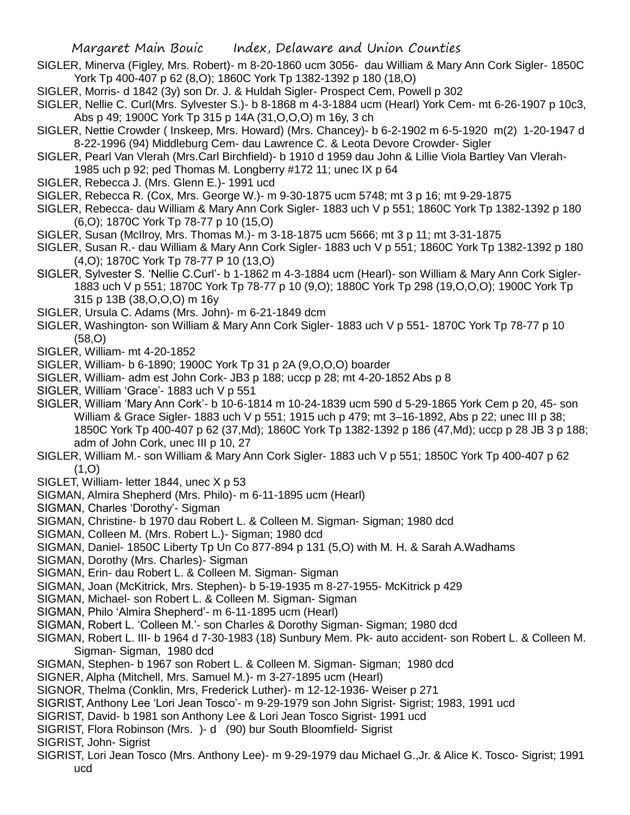- SIGLER, Minerva (Figley, Mrs. Robert)- m 8-20-1860 ucm 3056- dau William & Mary Ann Cork Sigler- 1850C York Tp 400-407 p 62 (8,O); 1860C York Tp 1382-1392 p 180 (18,O)
- SIGLER, Morris- d 1842 (3y) son Dr. J. & Huldah Sigler- Prospect Cem, Powell p 302
- SIGLER, Nellie C. Curl(Mrs. Sylvester S.)- b 8-1868 m 4-3-1884 ucm (Hearl) York Cem- mt 6-26-1907 p 10c3, Abs p 49; 1900C York Tp 315 p 14A (31,O,O,O) m 16y, 3 ch
- SIGLER, Nettie Crowder ( Inskeep, Mrs. Howard) (Mrs. Chancey)- b 6-2-1902 m 6-5-1920 m(2) 1-20-1947 d 8-22-1996 (94) Middleburg Cem- dau Lawrence C. & Leota Devore Crowder- Sigler
- SIGLER, Pearl Van Vlerah (Mrs.Carl Birchfield)- b 1910 d 1959 dau John & Lillie Viola Bartley Van Vlerah-1985 uch p 92; ped Thomas M. Longberry #172 11; unec IX p 64
- SIGLER, Rebecca J. (Mrs. Glenn E.)- 1991 ucd
- SIGLER, Rebecca R. (Cox, Mrs. George W.)- m 9-30-1875 ucm 5748; mt 3 p 16; mt 9-29-1875
- SIGLER, Rebecca- dau William & Mary Ann Cork Sigler- 1883 uch V p 551; 1860C York Tp 1382-1392 p 180 (6,O); 1870C York Tp 78-77 p 10 (15,O)
- SIGLER, Susan (McIlroy, Mrs. Thomas M.)- m 3-18-1875 ucm 5666; mt 3 p 11; mt 3-31-1875
- SIGLER, Susan R.- dau William & Mary Ann Cork Sigler- 1883 uch V p 551; 1860C York Tp 1382-1392 p 180 (4,O); 1870C York Tp 78-77 P 10 (13,O)
- SIGLER, Sylvester S. 'Nellie C.Curl'- b 1-1862 m 4-3-1884 ucm (Hearl)- son William & Mary Ann Cork Sigler-1883 uch V p 551; 1870C York Tp 78-77 p 10 (9,O); 1880C York Tp 298 (19,O,O,O); 1900C York Tp 315 p 13B (38,O,O,O) m 16y
- SIGLER, Ursula C. Adams (Mrs. John)- m 6-21-1849 dcm
- SIGLER, Washington- son William & Mary Ann Cork Sigler- 1883 uch V p 551- 1870C York Tp 78-77 p 10 (58,O)
- SIGLER, William- mt 4-20-1852
- SIGLER, William- b 6-1890; 1900C York Tp 31 p 2A (9,O,O,O) boarder
- SIGLER, William- adm est John Cork- JB3 p 188; uccp p 28; mt 4-20-1852 Abs p 8
- SIGLER, William 'Grace'- 1883 uch V p 551
- SIGLER, William 'Mary Ann Cork'- b 10-6-1814 m 10-24-1839 ucm 590 d 5-29-1865 York Cem p 20, 45- son William & Grace Sigler- 1883 uch V p 551; 1915 uch p 479; mt 3–16-1892, Abs p 22; unec III p 38; 1850C York Tp 400-407 p 62 (37,Md); 1860C York Tp 1382-1392 p 186 (47,Md); uccp p 28 JB 3 p 188; adm of John Cork, unec III p 10, 27
- SIGLER, William M.- son William & Mary Ann Cork Sigler- 1883 uch V p 551; 1850C York Tp 400-407 p 62  $(1,0)$
- SIGLET, William- letter 1844, unec X p 53
- SIGMAN, Almira Shepherd (Mrs. Philo)- m 6-11-1895 ucm (Hearl)
- SIGMAN, Charles 'Dorothy'- Sigman
- SIGMAN, Christine- b 1970 dau Robert L. & Colleen M. Sigman- Sigman; 1980 dcd
- SIGMAN, Colleen M. (Mrs. Robert L.)- Sigman; 1980 dcd
- SIGMAN, Daniel- 1850C Liberty Tp Un Co 877-894 p 131 (5,O) with M. H. & Sarah A.Wadhams
- SIGMAN, Dorothy (Mrs. Charles)- Sigman
- SIGMAN, Erin- dau Robert L. & Colleen M. Sigman- Sigman
- SIGMAN, Joan (McKitrick, Mrs. Stephen)- b 5-19-1935 m 8-27-1955- McKitrick p 429
- SIGMAN, Michael- son Robert L. & Colleen M. Sigman- Sigman
- SIGMAN, Philo 'Almira Shepherd'- m 6-11-1895 ucm (Hearl)
- SIGMAN, Robert L. 'Colleen M.'- son Charles & Dorothy Sigman- Sigman; 1980 dcd
- SIGMAN, Robert L. III- b 1964 d 7-30-1983 (18) Sunbury Mem. Pk- auto accident- son Robert L. & Colleen M. Sigman- Sigman, 1980 dcd
- SIGMAN, Stephen- b 1967 son Robert L. & Colleen M. Sigman- Sigman; 1980 dcd
- SIGNER, Alpha (Mitchell, Mrs. Samuel M.)- m 3-27-1895 ucm (Hearl)
- SIGNOR, Thelma (Conklin, Mrs, Frederick Luther)- m 12-12-1936- Weiser p 271
- SIGRIST, Anthony Lee 'Lori Jean Tosco'- m 9-29-1979 son John Sigrist- Sigrist; 1983, 1991 ucd
- SIGRIST, David- b 1981 son Anthony Lee & Lori Jean Tosco Sigrist- 1991 ucd
- SIGRIST, Flora Robinson (Mrs. )- d (90) bur South Bloomfield- Sigrist

SIGRIST, John- Sigrist

SIGRIST, Lori Jean Tosco (Mrs. Anthony Lee)- m 9-29-1979 dau Michael G.,Jr. & Alice K. Tosco- Sigrist; 1991 ucd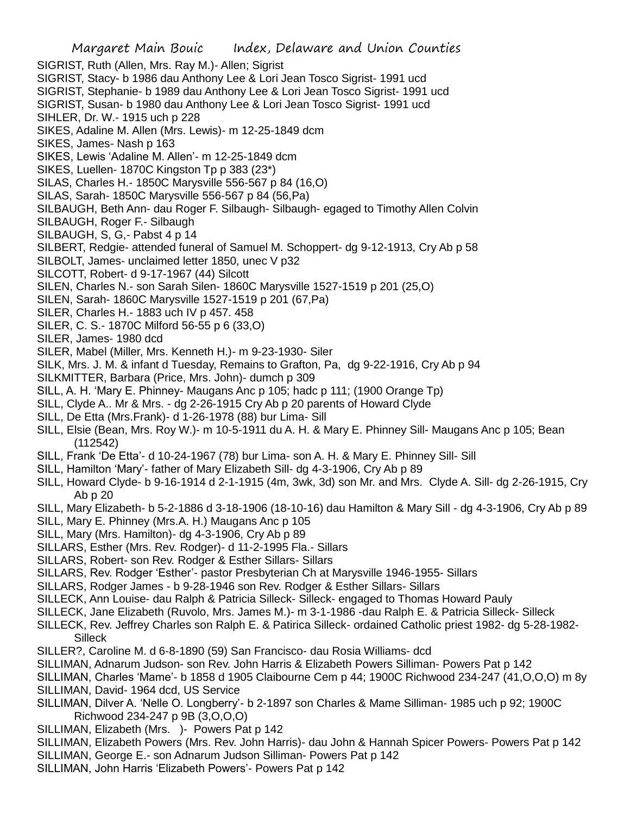Margaret Main Bouic Index, Delaware and Union Counties SIGRIST, Ruth (Allen, Mrs. Ray M.)- Allen; Sigrist SIGRIST, Stacy- b 1986 dau Anthony Lee & Lori Jean Tosco Sigrist- 1991 ucd SIGRIST, Stephanie- b 1989 dau Anthony Lee & Lori Jean Tosco Sigrist- 1991 ucd SIGRIST, Susan- b 1980 dau Anthony Lee & Lori Jean Tosco Sigrist- 1991 ucd SIHLER, Dr. W.- 1915 uch p 228 SIKES, Adaline M. Allen (Mrs. Lewis)- m 12-25-1849 dcm SIKES, James- Nash p 163 SIKES, Lewis 'Adaline M. Allen'- m 12-25-1849 dcm SIKES, Luellen- 1870C Kingston Tp p 383 (23\*) SILAS, Charles H.- 1850C Marysville 556-567 p 84 (16,O) SILAS, Sarah- 1850C Marysville 556-567 p 84 (56,Pa) SILBAUGH, Beth Ann- dau Roger F. Silbaugh- Silbaugh- egaged to Timothy Allen Colvin SILBAUGH, Roger F.- Silbaugh SILBAUGH, S, G,- Pabst 4 p 14 SILBERT, Redgie- attended funeral of Samuel M. Schoppert- dg 9-12-1913, Cry Ab p 58 SILBOLT, James- unclaimed letter 1850, unec V p32 SILCOTT, Robert- d 9-17-1967 (44) Silcott SILEN, Charles N.- son Sarah Silen- 1860C Marysville 1527-1519 p 201 (25,O) SILEN, Sarah- 1860C Marysville 1527-1519 p 201 (67,Pa) SILER, Charles H.- 1883 uch IV p 457. 458 SILER, C. S.- 1870C Milford 56-55 p 6 (33,O) SILER, James- 1980 dcd SILER, Mabel (Miller, Mrs. Kenneth H.)- m 9-23-1930- Siler SILK, Mrs. J. M. & infant d Tuesday, Remains to Grafton, Pa, dg 9-22-1916, Cry Ab p 94 SILKMITTER, Barbara (Price, Mrs. John)- dumch p 309 SILL, A. H. 'Mary E. Phinney- Maugans Anc p 105; hadc p 111; (1900 Orange Tp) SILL, Clyde A.. Mr & Mrs. - dg 2-26-1915 Cry Ab p 20 parents of Howard Clyde SILL, De Etta (Mrs.Frank)- d 1-26-1978 (88) bur Lima- Sill SILL, Elsie (Bean, Mrs. Roy W.)- m 10-5-1911 du A. H. & Mary E. Phinney Sill- Maugans Anc p 105; Bean (112542) SILL, Frank 'De Etta'- d 10-24-1967 (78) bur Lima- son A. H. & Mary E. Phinney Sill- Sill SILL, Hamilton 'Mary'- father of Mary Elizabeth Sill- dg 4-3-1906, Cry Ab p 89 SILL, Howard Clyde- b 9-16-1914 d 2-1-1915 (4m, 3wk, 3d) son Mr. and Mrs. Clyde A. Sill- dg 2-26-1915, Cry Ab p 20 SILL, Mary Elizabeth- b 5-2-1886 d 3-18-1906 (18-10-16) dau Hamilton & Mary Sill - dg 4-3-1906, Cry Ab p 89 SILL, Mary E. Phinney (Mrs.A. H.) Maugans Anc p 105 SILL, Mary (Mrs. Hamilton)- dg 4-3-1906, Cry Ab p 89 SILLARS, Esther (Mrs. Rev. Rodger)- d 11-2-1995 Fla.- Sillars SILLARS, Robert- son Rev. Rodger & Esther Sillars- Sillars SILLARS, Rev. Rodger 'Esther'- pastor Presbyterian Ch at Marysville 1946-1955- Sillars SILLARS, Rodger James - b 9-28-1946 son Rev. Rodger & Esther Sillars- Sillars SILLECK, Ann Louise- dau Ralph & Patricia Silleck- Silleck- engaged to Thomas Howard Pauly SILLECK, Jane Elizabeth (Ruvolo, Mrs. James M.)- m 3-1-1986 -dau Ralph E. & Patricia Silleck- Silleck SILLECK, Rev. Jeffrey Charles son Ralph E. & Patirica Silleck- ordained Catholic priest 1982- dg 5-28-1982- **Silleck** SILLER?, Caroline M. d 6-8-1890 (59) San Francisco- dau Rosia Williams- dcd SILLIMAN, Adnarum Judson- son Rev. John Harris & Elizabeth Powers Silliman- Powers Pat p 142 SILLIMAN, Charles 'Mame'- b 1858 d 1905 Claibourne Cem p 44; 1900C Richwood 234-247 (41,O,O,O) m 8y SILLIMAN, David- 1964 dcd, US Service SILLIMAN, Dilver A. 'Nelle O. Longberry'- b 2-1897 son Charles & Mame Silliman- 1985 uch p 92; 1900C Richwood 234-247 p 9B (3,O,O,O)

- SILLIMAN, Elizabeth (Mrs. )- Powers Pat p 142
- SILLIMAN, Elizabeth Powers (Mrs. Rev. John Harris)- dau John & Hannah Spicer Powers- Powers Pat p 142 SILLIMAN, George E.- son Adnarum Judson Silliman- Powers Pat p 142
- 
- SILLIMAN, John Harris 'Elizabeth Powers'- Powers Pat p 142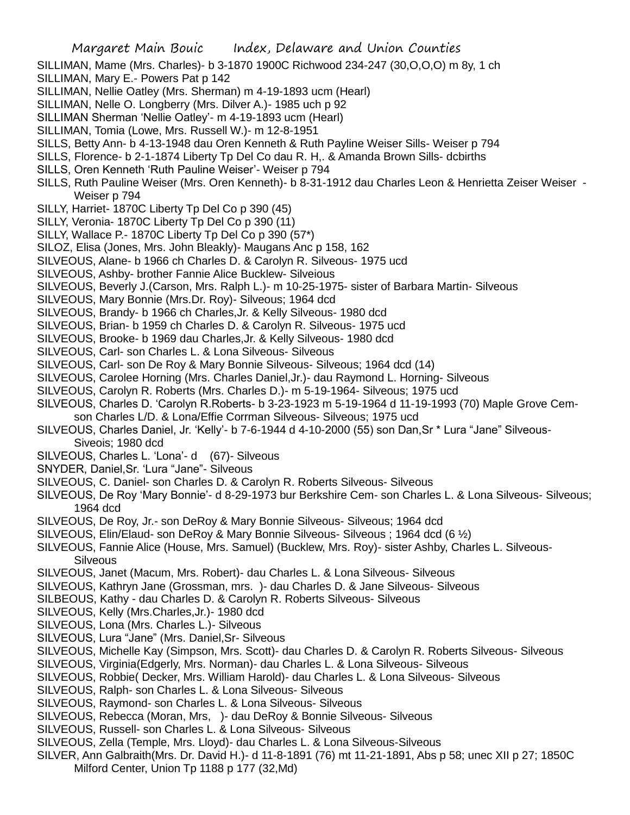- SILLIMAN, Mame (Mrs. Charles)- b 3-1870 1900C Richwood 234-247 (30,O,O,O) m 8y, 1 ch
- SILLIMAN, Mary E.- Powers Pat p 142
- SILLIMAN, Nellie Oatley (Mrs. Sherman) m 4-19-1893 ucm (Hearl)
- SILLIMAN, Nelle O. Longberry (Mrs. Dilver A.)- 1985 uch p 92
- SILLIMAN Sherman 'Nellie Oatley'- m 4-19-1893 ucm (Hearl)
- SILLIMAN, Tomia (Lowe, Mrs. Russell W.)- m 12-8-1951
- SILLS, Betty Ann- b 4-13-1948 dau Oren Kenneth & Ruth Payline Weiser Sills- Weiser p 794
- SILLS, Florence- b 2-1-1874 Liberty Tp Del Co dau R. H,. & Amanda Brown Sills- dcbirths
- SILLS, Oren Kenneth 'Ruth Pauline Weiser'- Weiser p 794
- SILLS, Ruth Pauline Weiser (Mrs. Oren Kenneth)- b 8-31-1912 dau Charles Leon & Henrietta Zeiser Weiser Weiser p 794
- SILLY, Harriet- 1870C Liberty Tp Del Co p 390 (45)
- SILLY, Veronia- 1870C Liberty Tp Del Co p 390 (11)
- SILLY, Wallace P.- 1870C Liberty Tp Del Co p 390 (57\*)
- SILOZ, Elisa (Jones, Mrs. John Bleakly)- Maugans Anc p 158, 162
- SILVEOUS, Alane- b 1966 ch Charles D. & Carolyn R. Silveous- 1975 ucd
- SILVEOUS, Ashby- brother Fannie Alice Bucklew- Silveious
- SILVEOUS, Beverly J.(Carson, Mrs. Ralph L.)- m 10-25-1975- sister of Barbara Martin- Silveous
- SILVEOUS, Mary Bonnie (Mrs.Dr. Roy)- Silveous; 1964 dcd
- SILVEOUS, Brandy- b 1966 ch Charles,Jr. & Kelly Silveous- 1980 dcd
- SILVEOUS, Brian- b 1959 ch Charles D. & Carolyn R. Silveous- 1975 ucd
- SILVEOUS, Brooke- b 1969 dau Charles,Jr. & Kelly Silveous- 1980 dcd
- SILVEOUS, Carl- son Charles L. & Lona Silveous- Silveous
- SILVEOUS, Carl- son De Roy & Mary Bonnie Silveous- Silveous; 1964 dcd (14)
- SILVEOUS, Carolee Horning (Mrs. Charles Daniel,Jr.)- dau Raymond L. Horning- Silveous
- SILVEOUS, Carolyn R. Roberts (Mrs. Charles D.)- m 5-19-1964- Silveous; 1975 ucd
- SILVEOUS, Charles D. 'Carolyn R.Roberts- b 3-23-1923 m 5-19-1964 d 11-19-1993 (70) Maple Grove Cem-
- son Charles L/D. & Lona/Effie Corrman Silveous- Silveous; 1975 ucd
- SILVEOUS, Charles Daniel, Jr. 'Kelly'- b 7-6-1944 d 4-10-2000 (55) son Dan,Sr \* Lura "Jane" Silveous-Siveois; 1980 dcd
- SILVEOUS, Charles L. 'Lona'- d (67)- Silveous
- SNYDER, Daniel,Sr. 'Lura "Jane"- Silveous
- SILVEOUS, C. Daniel- son Charles D. & Carolyn R. Roberts Silveous- Silveous
- SILVEOUS, De Roy 'Mary Bonnie'- d 8-29-1973 bur Berkshire Cem- son Charles L. & Lona Silveous- Silveous; 1964 dcd
- SILVEOUS, De Roy, Jr.- son DeRoy & Mary Bonnie Silveous- Silveous; 1964 dcd
- SILVEOUS, Elin/Elaud- son DeRoy & Mary Bonnie Silveous- Silveous ; 1964 dcd (6 ½)
- SILVEOUS, Fannie Alice (House, Mrs. Samuel) (Bucklew, Mrs. Roy)- sister Ashby, Charles L. Silveous-**Silveous**
- SILVEOUS, Janet (Macum, Mrs. Robert)- dau Charles L. & Lona Silveous- Silveous
- SILVEOUS, Kathryn Jane (Grossman, mrs. )- dau Charles D. & Jane Silveous- Silveous
- SILBEOUS, Kathy dau Charles D. & Carolyn R. Roberts Silveous- Silveous
- SILVEOUS, Kelly (Mrs.Charles,Jr.)- 1980 dcd
- SILVEOUS, Lona (Mrs. Charles L.)- Silveous
- SILVEOUS, Lura "Jane" (Mrs. Daniel,Sr- Silveous
- SILVEOUS, Michelle Kay (Simpson, Mrs. Scott)- dau Charles D. & Carolyn R. Roberts Silveous- Silveous
- SILVEOUS, Virginia(Edgerly, Mrs. Norman)- dau Charles L. & Lona Silveous- Silveous
- SILVEOUS, Robbie( Decker, Mrs. William Harold)- dau Charles L. & Lona Silveous- Silveous
- SILVEOUS, Ralph- son Charles L. & Lona Silveous- Silveous
- SILVEOUS, Raymond- son Charles L. & Lona Silveous- Silveous
- SILVEOUS, Rebecca (Moran, Mrs, )- dau DeRoy & Bonnie Silveous- Silveous
- SILVEOUS, Russell- son Charles L. & Lona Silveous- Silveous
- SILVEOUS, Zella (Temple, Mrs. Lloyd)- dau Charles L. & Lona Silveous-Silveous
- SILVER, Ann Galbraith(Mrs. Dr. David H.)- d 11-8-1891 (76) mt 11-21-1891, Abs p 58; unec XII p 27; 1850C Milford Center, Union Tp 1188 p 177 (32,Md)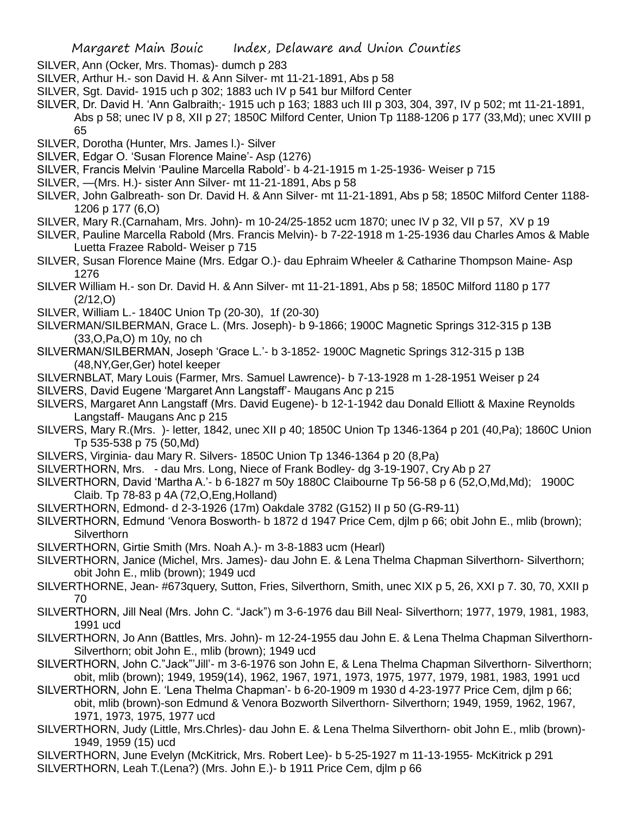- SILVER, Ann (Ocker, Mrs. Thomas)- dumch p 283
- SILVER, Arthur H.- son David H. & Ann Silver- mt 11-21-1891, Abs p 58
- SILVER, Sgt. David- 1915 uch p 302; 1883 uch IV p 541 bur Milford Center
- SILVER, Dr. David H. 'Ann Galbraith;- 1915 uch p 163; 1883 uch III p 303, 304, 397, IV p 502; mt 11-21-1891, Abs p 58; unec IV p 8, XII p 27; 1850C Milford Center, Union Tp 1188-1206 p 177 (33,Md); unec XVIII p 65
- SILVER, Dorotha (Hunter, Mrs. James l.)- Silver
- SILVER, Edgar O. 'Susan Florence Maine'- Asp (1276)
- SILVER, Francis Melvin 'Pauline Marcella Rabold'- b 4-21-1915 m 1-25-1936- Weiser p 715
- SILVER, —(Mrs. H.)- sister Ann Silver- mt 11-21-1891, Abs p 58
- SILVER, John Galbreath- son Dr. David H. & Ann Silver- mt 11-21-1891, Abs p 58; 1850C Milford Center 1188- 1206 p 177 (6,O)
- SILVER, Mary R.(Carnaham, Mrs. John)- m 10-24/25-1852 ucm 1870; unec IV p 32, VII p 57, XV p 19
- SILVER, Pauline Marcella Rabold (Mrs. Francis Melvin)- b 7-22-1918 m 1-25-1936 dau Charles Amos & Mable Luetta Frazee Rabold- Weiser p 715
- SILVER, Susan Florence Maine (Mrs. Edgar O.)- dau Ephraim Wheeler & Catharine Thompson Maine- Asp 1276
- SILVER William H.- son Dr. David H. & Ann Silver- mt 11-21-1891, Abs p 58; 1850C Milford 1180 p 177 (2/12,O)
- SILVER, William L.- 1840C Union Tp (20-30), 1f (20-30)
- SILVERMAN/SILBERMAN, Grace L. (Mrs. Joseph)- b 9-1866; 1900C Magnetic Springs 312-315 p 13B (33,O,Pa,O) m 10y, no ch
- SILVERMAN/SILBERMAN, Joseph 'Grace L.'- b 3-1852- 1900C Magnetic Springs 312-315 p 13B (48,NY,Ger,Ger) hotel keeper
- SILVERNBLAT, Mary Louis (Farmer, Mrs. Samuel Lawrence)- b 7-13-1928 m 1-28-1951 Weiser p 24
- SILVERS, David Eugene 'Margaret Ann Langstaff'- Maugans Anc p 215
- SILVERS, Margaret Ann Langstaff (Mrs. David Eugene)- b 12-1-1942 dau Donald Elliott & Maxine Reynolds Langstaff- Maugans Anc p 215
- SILVERS, Mary R.(Mrs. )- letter, 1842, unec XII p 40; 1850C Union Tp 1346-1364 p 201 (40,Pa); 1860C Union Tp 535-538 p 75 (50,Md)
- SILVERS, Virginia- dau Mary R. Silvers- 1850C Union Tp 1346-1364 p 20 (8,Pa)
- SILVERTHORN, Mrs. dau Mrs. Long, Niece of Frank Bodley- dg 3-19-1907, Cry Ab p 27
- SILVERTHORN, David 'Martha A.'- b 6-1827 m 50y 1880C Claibourne Tp 56-58 p 6 (52,O,Md,Md); 1900C Claib. Tp 78-83 p 4A (72,O,Eng,Holland)
- SILVERTHORN, Edmond- d 2-3-1926 (17m) Oakdale 3782 (G152) II p 50 (G-R9-11)
- SILVERTHORN, Edmund 'Venora Bosworth- b 1872 d 1947 Price Cem, djlm p 66; obit John E., mlib (brown); **Silverthorn**
- SILVERTHORN, Girtie Smith (Mrs. Noah A.)- m 3-8-1883 ucm (Hearl)
- SILVERTHORN, Janice (Michel, Mrs. James)- dau John E. & Lena Thelma Chapman Silverthorn- Silverthorn; obit John E., mlib (brown); 1949 ucd
- SILVERTHORNE, Jean- #673query, Sutton, Fries, Silverthorn, Smith, unec XIX p 5, 26, XXI p 7. 30, 70, XXII p 70
- SILVERTHORN, Jill Neal (Mrs. John C. "Jack") m 3-6-1976 dau Bill Neal- Silverthorn; 1977, 1979, 1981, 1983, 1991 ucd
- SILVERTHORN, Jo Ann (Battles, Mrs. John)- m 12-24-1955 dau John E. & Lena Thelma Chapman Silverthorn-Silverthorn; obit John E., mlib (brown); 1949 ucd
- SILVERTHORN, John C."Jack"'Jill'- m 3-6-1976 son John E, & Lena Thelma Chapman Silverthorn- Silverthorn; obit, mlib (brown); 1949, 1959(14), 1962, 1967, 1971, 1973, 1975, 1977, 1979, 1981, 1983, 1991 ucd
- SILVERTHORN, John E. 'Lena Thelma Chapman'- b 6-20-1909 m 1930 d 4-23-1977 Price Cem, djlm p 66; obit, mlib (brown)-son Edmund & Venora Bozworth Silverthorn- Silverthorn; 1949, 1959, 1962, 1967, 1971, 1973, 1975, 1977 ucd
- SILVERTHORN, Judy (Little, Mrs.Chrles)- dau John E. & Lena Thelma Silverthorn- obit John E., mlib (brown)- 1949, 1959 (15) ucd
- SILVERTHORN, June Evelyn (McKitrick, Mrs. Robert Lee)- b 5-25-1927 m 11-13-1955- McKitrick p 291 SILVERTHORN, Leah T.(Lena?) (Mrs. John E.)- b 1911 Price Cem, djlm p 66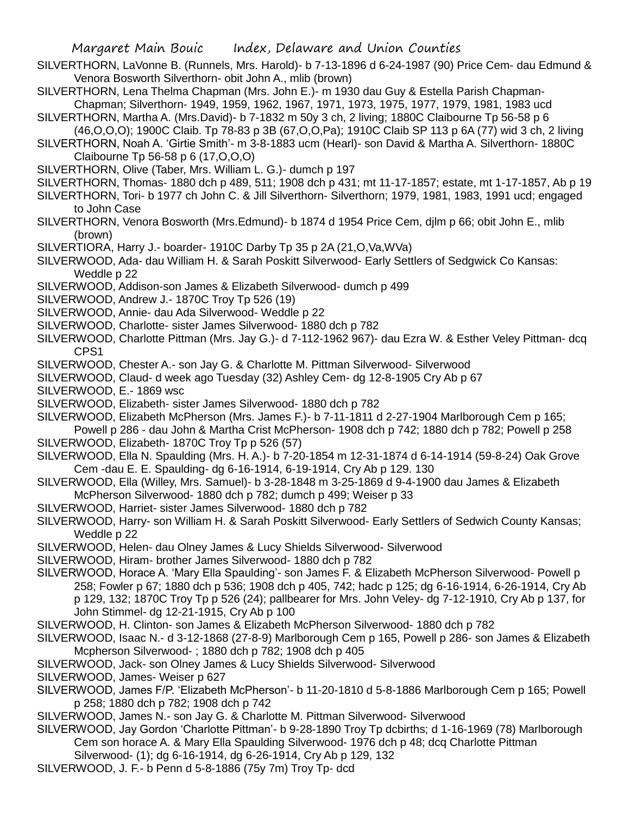- SILVERTHORN, LaVonne B. (Runnels, Mrs. Harold)- b 7-13-1896 d 6-24-1987 (90) Price Cem- dau Edmund & Venora Bosworth Silverthorn- obit John A., mlib (brown)
- SILVERTHORN, Lena Thelma Chapman (Mrs. John E.)- m 1930 dau Guy & Estella Parish Chapman-Chapman; Silverthorn- 1949, 1959, 1962, 1967, 1971, 1973, 1975, 1977, 1979, 1981, 1983 ucd
- SILVERTHORN, Martha A. (Mrs.David)- b 7-1832 m 50y 3 ch, 2 living; 1880C Claibourne Tp 56-58 p 6
	- (46,O,O,O); 1900C Claib. Tp 78-83 p 3B (67,O,O,Pa); 1910C Claib SP 113 p 6A (77) wid 3 ch, 2 living
- SILVERTHORN, Noah A. 'Girtie Smith'- m 3-8-1883 ucm (Hearl)- son David & Martha A. Silverthorn- 1880C Claibourne Tp 56-58 p 6 (17,O,O,O)
- SILVERTHORN, Olive (Taber, Mrs. William L. G.)- dumch p 197
- SILVERTHORN, Thomas- 1880 dch p 489, 511; 1908 dch p 431; mt 11-17-1857; estate, mt 1-17-1857, Ab p 19
- SILVERTHORN, Tori- b 1977 ch John C. & Jill Silverthorn- Silverthorn; 1979, 1981, 1983, 1991 ucd; engaged to John Case
- SILVERTHORN, Venora Bosworth (Mrs.Edmund)- b 1874 d 1954 Price Cem, djlm p 66; obit John E., mlib (brown)
- SILVERTIORA, Harry J.- boarder- 1910C Darby Tp 35 p 2A (21,O,Va,WVa)
- SILVERWOOD, Ada- dau William H. & Sarah Poskitt Silverwood- Early Settlers of Sedgwick Co Kansas: Weddle p 22
- SILVERWOOD, Addison-son James & Elizabeth Silverwood- dumch p 499
- SILVERWOOD, Andrew J.- 1870C Troy Tp 526 (19)
- SILVERWOOD, Annie- dau Ada Silverwood- Weddle p 22
- SILVERWOOD, Charlotte- sister James Silverwood- 1880 dch p 782
- SILVERWOOD, Charlotte Pittman (Mrs. Jay G.)- d 7-112-1962 967)- dau Ezra W. & Esther Veley Pittman- dcq CPS1
- SILVERWOOD, Chester A.- son Jay G. & Charlotte M. Pittman Silverwood- Silverwood
- SILVERWOOD, Claud- d week ago Tuesday (32) Ashley Cem- dg 12-8-1905 Cry Ab p 67
- SILVERWOOD, E.- 1869 wsc
- SILVERWOOD, Elizabeth- sister James Silverwood- 1880 dch p 782
- SILVERWOOD, Elizabeth McPherson (Mrs. James F.)- b 7-11-1811 d 2-27-1904 Marlborough Cem p 165;
- Powell p 286 dau John & Martha Crist McPherson- 1908 dch p 742; 1880 dch p 782; Powell p 258 SILVERWOOD, Elizabeth- 1870C Troy Tp p 526 (57)
- SILVERWOOD, Ella N. Spaulding (Mrs. H. A.)- b 7-20-1854 m 12-31-1874 d 6-14-1914 (59-8-24) Oak Grove Cem -dau E. E. Spaulding- dg 6-16-1914, 6-19-1914, Cry Ab p 129. 130
- SILVERWOOD, Ella (Willey, Mrs. Samuel)- b 3-28-1848 m 3-25-1869 d 9-4-1900 dau James & Elizabeth McPherson Silverwood- 1880 dch p 782; dumch p 499; Weiser p 33
- SILVERWOOD, Harriet- sister James Silverwood- 1880 dch p 782

SILVERWOOD, Harry- son William H. & Sarah Poskitt Silverwood- Early Settlers of Sedwich County Kansas; Weddle p 22

- SILVERWOOD, Helen- dau Olney James & Lucy Shields Silverwood- Silverwood
- SILVERWOOD, Hiram- brother James Silverwood- 1880 dch p 782
- SILVERWOOD, Horace A. 'Mary Ella Spaulding'- son James F. & Elizabeth McPherson Silverwood- Powell p 258; Fowler p 67; 1880 dch p 536; 1908 dch p 405, 742; hadc p 125; dg 6-16-1914, 6-26-1914, Cry Ab p 129, 132; 1870C Troy Tp p 526 (24); pallbearer for Mrs. John Veley- dg 7-12-1910, Cry Ab p 137, for John Stimmel- dg 12-21-1915, Cry Ab p 100
- SILVERWOOD, H. Clinton- son James & Elizabeth McPherson Silverwood- 1880 dch p 782
- SILVERWOOD, Isaac N.- d 3-12-1868 (27-8-9) Marlborough Cem p 165, Powell p 286- son James & Elizabeth Mcpherson Silverwood- ; 1880 dch p 782; 1908 dch p 405
- SILVERWOOD, Jack- son Olney James & Lucy Shields Silverwood- Silverwood
- SILVERWOOD, James- Weiser p 627
- SILVERWOOD, James F/P. 'Elizabeth McPherson'- b 11-20-1810 d 5-8-1886 Marlborough Cem p 165; Powell p 258; 1880 dch p 782; 1908 dch p 742
- SILVERWOOD, James N.- son Jay G. & Charlotte M. Pittman Silverwood- Silverwood
- SILVERWOOD, Jay Gordon 'Charlotte Pittman'- b 9-28-1890 Troy Tp dcbirths; d 1-16-1969 (78) Marlborough Cem son horace A. & Mary Ella Spaulding Silverwood- 1976 dch p 48; dcq Charlotte Pittman
	- Silverwood- (1); dg 6-16-1914, dg 6-26-1914, Cry Ab p 129, 132
- SILVERWOOD, J. F.- b Penn d 5-8-1886 (75y 7m) Troy Tp- dcd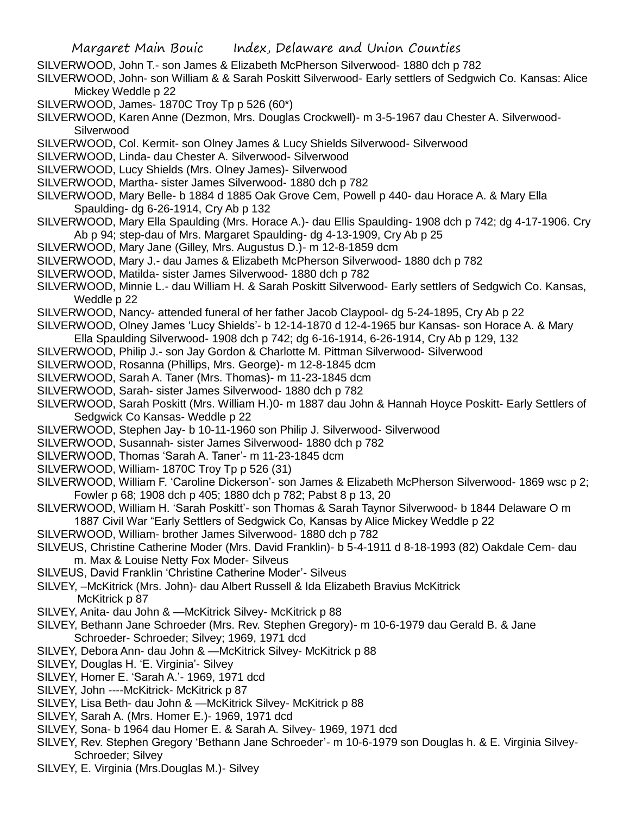- SILVERWOOD, John T.- son James & Elizabeth McPherson Silverwood- 1880 dch p 782
- SILVERWOOD, John- son William & & Sarah Poskitt Silverwood- Early settlers of Sedgwich Co. Kansas: Alice Mickey Weddle p 22
- SILVERWOOD, James- 1870C Troy Tp p 526 (60\*)
- SILVERWOOD, Karen Anne (Dezmon, Mrs. Douglas Crockwell)- m 3-5-1967 dau Chester A. Silverwood-**Silverwood**
- SILVERWOOD, Col. Kermit- son Olney James & Lucy Shields Silverwood- Silverwood
- SILVERWOOD, Linda- dau Chester A. Silverwood- Silverwood
- SILVERWOOD, Lucy Shields (Mrs. Olney James)- Silverwood
- SILVERWOOD, Martha- sister James Silverwood- 1880 dch p 782
- SILVERWOOD, Mary Belle- b 1884 d 1885 Oak Grove Cem, Powell p 440- dau Horace A. & Mary Ella Spaulding- dg 6-26-1914, Cry Ab p 132
- SILVERWOOD, Mary Ella Spaulding (Mrs. Horace A.)- dau Ellis Spaulding- 1908 dch p 742; dg 4-17-1906. Cry Ab p 94; step-dau of Mrs. Margaret Spaulding- dg 4-13-1909, Cry Ab p 25
- SILVERWOOD, Mary Jane (Gilley, Mrs. Augustus D.)- m 12-8-1859 dcm
- SILVERWOOD, Mary J.- dau James & Elizabeth McPherson Silverwood- 1880 dch p 782
- SILVERWOOD, Matilda- sister James Silverwood- 1880 dch p 782
- SILVERWOOD, Minnie L.- dau William H. & Sarah Poskitt Silverwood- Early settlers of Sedgwich Co. Kansas, Weddle p 22
- SILVERWOOD, Nancy- attended funeral of her father Jacob Claypool- dg 5-24-1895, Cry Ab p 22
- SILVERWOOD, Olney James 'Lucy Shields'- b 12-14-1870 d 12-4-1965 bur Kansas- son Horace A. & Mary
- Ella Spaulding Silverwood- 1908 dch p 742; dg 6-16-1914, 6-26-1914, Cry Ab p 129, 132
- SILVERWOOD, Philip J.- son Jay Gordon & Charlotte M. Pittman Silverwood- Silverwood
- SILVERWOOD, Rosanna (Phillips, Mrs. George)- m 12-8-1845 dcm
- SILVERWOOD, Sarah A. Taner (Mrs. Thomas)- m 11-23-1845 dcm
- SILVERWOOD, Sarah- sister James Silverwood- 1880 dch p 782
- SILVERWOOD, Sarah Poskitt (Mrs. William H.)0- m 1887 dau John & Hannah Hoyce Poskitt- Early Settlers of Sedgwick Co Kansas- Weddle p 22
- SILVERWOOD, Stephen Jay- b 10-11-1960 son Philip J. Silverwood- Silverwood
- SILVERWOOD, Susannah- sister James Silverwood- 1880 dch p 782
- SILVERWOOD, Thomas 'Sarah A. Taner'- m 11-23-1845 dcm
- SILVERWOOD, William- 1870C Troy Tp p 526 (31)
- SILVERWOOD, William F. 'Caroline Dickerson'- son James & Elizabeth McPherson Silverwood- 1869 wsc p 2; Fowler p 68; 1908 dch p 405; 1880 dch p 782; Pabst 8 p 13, 20
- SILVERWOOD, William H. 'Sarah Poskitt'- son Thomas & Sarah Taynor Silverwood- b 1844 Delaware O m 1887 Civil War "Early Settlers of Sedgwick Co, Kansas by Alice Mickey Weddle p 22
- SILVERWOOD, William- brother James Silverwood- 1880 dch p 782
- SILVEUS, Christine Catherine Moder (Mrs. David Franklin)- b 5-4-1911 d 8-18-1993 (82) Oakdale Cem- dau m. Max & Louise Netty Fox Moder- Silveus
- SILVEUS, David Franklin 'Christine Catherine Moder'- Silveus
- SILVEY, –McKitrick (Mrs. John)- dau Albert Russell & Ida Elizabeth Bravius McKitrick McKitrick p 87
- SILVEY, Anita- dau John & —McKitrick Silvey- McKitrick p 88
- SILVEY, Bethann Jane Schroeder (Mrs. Rev. Stephen Gregory)- m 10-6-1979 dau Gerald B. & Jane Schroeder- Schroeder; Silvey; 1969, 1971 dcd
- SILVEY, Debora Ann- dau John & —McKitrick Silvey- McKitrick p 88
- SILVEY, Douglas H. 'E. Virginia'- Silvey
- SILVEY, Homer E. 'Sarah A.'- 1969, 1971 dcd
- SILVEY, John ----McKitrick- McKitrick p 87
- SILVEY, Lisa Beth- dau John & —McKitrick Silvey- McKitrick p 88
- SILVEY, Sarah A. (Mrs. Homer E.)- 1969, 1971 dcd
- SILVEY, Sona- b 1964 dau Homer E. & Sarah A. Silvey- 1969, 1971 dcd
- SILVEY, Rev. Stephen Gregory 'Bethann Jane Schroeder'- m 10-6-1979 son Douglas h. & E. Virginia Silvey-Schroeder; Silvey
- SILVEY, E. Virginia (Mrs.Douglas M.)- Silvey